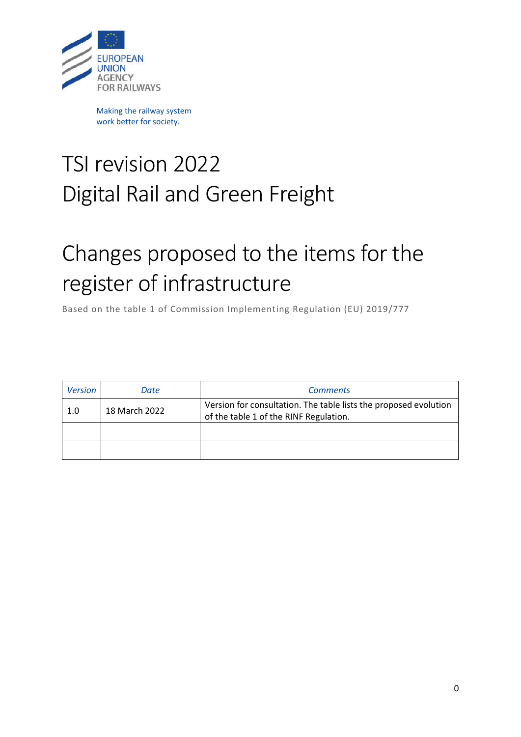

Making the railway system work better for society.

## TSI revision 2022 Digital Rail and Green Freight

## Changes proposed to the items for the register of infrastructure

Based on the table 1 of Commission Implementing Regulation (EU) 2019/777

| <b>Version</b> | Date          | <b>Comments</b>                                                                                            |
|----------------|---------------|------------------------------------------------------------------------------------------------------------|
| 1.0            | 18 March 2022 | Version for consultation. The table lists the proposed evolution<br>of the table 1 of the RINF Regulation. |
|                |               |                                                                                                            |
|                |               |                                                                                                            |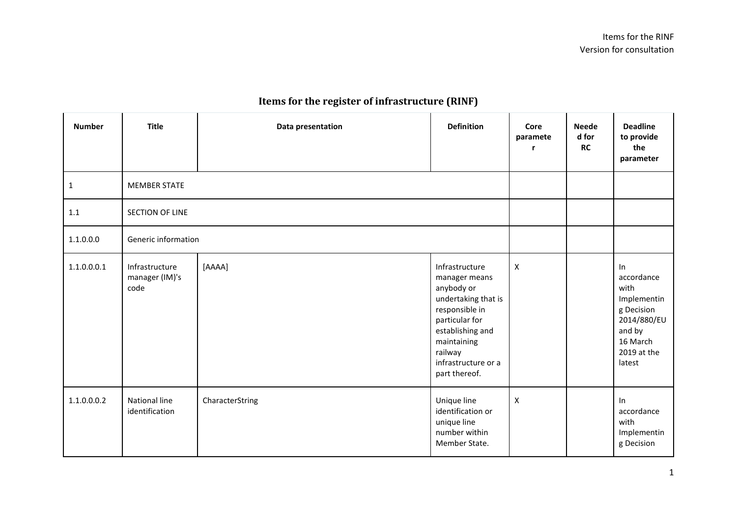## **Items for the register of infrastructure (RINF)**

| <b>Number</b> | <b>Title</b>                             | Data presentation | <b>Definition</b>                                                                                                                                                                              | Core<br>paramete          | <b>Neede</b><br>d for<br>RC | <b>Deadline</b><br>to provide<br>the<br>parameter                                                                   |
|---------------|------------------------------------------|-------------------|------------------------------------------------------------------------------------------------------------------------------------------------------------------------------------------------|---------------------------|-----------------------------|---------------------------------------------------------------------------------------------------------------------|
| $\mathbf{1}$  | <b>MEMBER STATE</b>                      |                   |                                                                                                                                                                                                |                           |                             |                                                                                                                     |
| 1.1           | SECTION OF LINE                          |                   |                                                                                                                                                                                                |                           |                             |                                                                                                                     |
| 1.1.0.0.0     | Generic information                      |                   |                                                                                                                                                                                                |                           |                             |                                                                                                                     |
| 1.1.0.0.0.1   | Infrastructure<br>manager (IM)'s<br>code | [AAAA]            | Infrastructure<br>manager means<br>anybody or<br>undertaking that is<br>responsible in<br>particular for<br>establishing and<br>maintaining<br>railway<br>infrastructure or a<br>part thereof. | X                         |                             | In<br>accordance<br>with<br>Implementin<br>g Decision<br>2014/880/EU<br>and by<br>16 March<br>2019 at the<br>latest |
| 1.1.0.0.0.2   | National line<br>identification          | CharacterString   | Unique line<br>identification or<br>unique line<br>number within<br>Member State.                                                                                                              | $\boldsymbol{\mathsf{X}}$ |                             | In<br>accordance<br>with<br>Implementin<br>g Decision                                                               |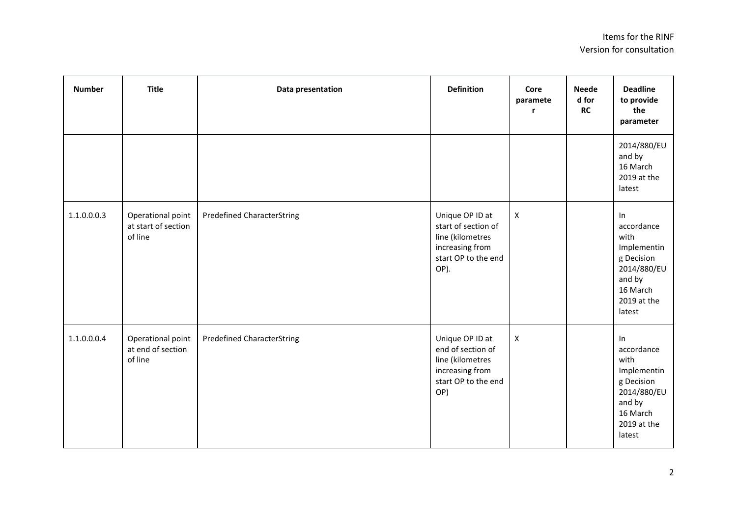| <b>Number</b> | <b>Title</b>                                        | Data presentation                 | <b>Definition</b>                                                                                            | Core<br>paramete<br>r | <b>Neede</b><br>d for<br>RC | <b>Deadline</b><br>to provide<br>the<br>parameter                                                                      |
|---------------|-----------------------------------------------------|-----------------------------------|--------------------------------------------------------------------------------------------------------------|-----------------------|-----------------------------|------------------------------------------------------------------------------------------------------------------------|
|               |                                                     |                                   |                                                                                                              |                       |                             | 2014/880/EU<br>and by<br>16 March<br>2019 at the<br>latest                                                             |
| 1.1.0.0.0.3   | Operational point<br>at start of section<br>of line | <b>Predefined CharacterString</b> | Unique OP ID at<br>start of section of<br>line (kilometres<br>increasing from<br>start OP to the end<br>OP). | $\mathsf{X}$          |                             | $\ln$<br>accordance<br>with<br>Implementin<br>g Decision<br>2014/880/EU<br>and by<br>16 March<br>2019 at the<br>latest |
| 1.1.0.0.0.4   | Operational point<br>at end of section<br>of line   | <b>Predefined CharacterString</b> | Unique OP ID at<br>end of section of<br>line (kilometres<br>increasing from<br>start OP to the end<br>OP)    | $\pmb{\times}$        |                             | In<br>accordance<br>with<br>Implementin<br>g Decision<br>2014/880/EU<br>and by<br>16 March<br>2019 at the<br>latest    |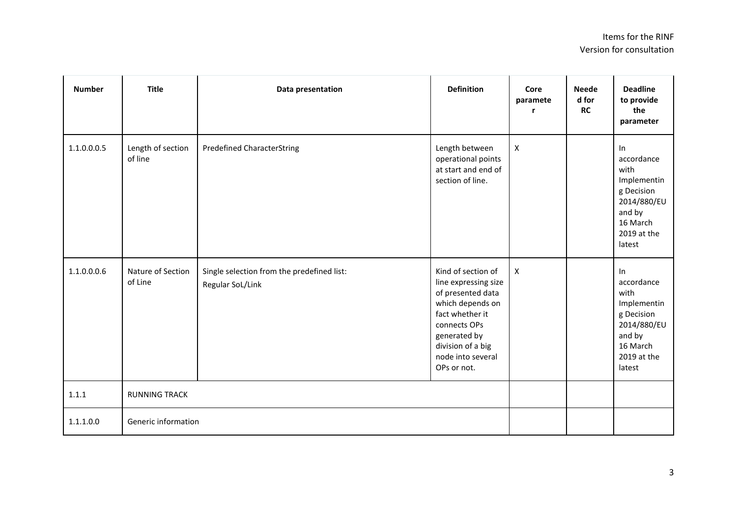| <b>Number</b> | <b>Title</b>                 | Data presentation                                              | <b>Definition</b>                                                                                                                                                                               | Core<br>paramete<br>$\mathbf{r}$ | <b>Neede</b><br>d for<br><b>RC</b> | <b>Deadline</b><br>to provide<br>the<br>parameter                                                                   |
|---------------|------------------------------|----------------------------------------------------------------|-------------------------------------------------------------------------------------------------------------------------------------------------------------------------------------------------|----------------------------------|------------------------------------|---------------------------------------------------------------------------------------------------------------------|
| 1.1.0.0.0.5   | Length of section<br>of line | <b>Predefined CharacterString</b>                              | Length between<br>operational points<br>at start and end of<br>section of line.                                                                                                                 | $\boldsymbol{\mathsf{X}}$        |                                    | In<br>accordance<br>with<br>Implementin<br>g Decision<br>2014/880/EU<br>and by<br>16 March<br>2019 at the<br>latest |
| 1.1.0.0.0.6   | Nature of Section<br>of Line | Single selection from the predefined list:<br>Regular SoL/Link | Kind of section of<br>line expressing size<br>of presented data<br>which depends on<br>fact whether it<br>connects OPs<br>generated by<br>division of a big<br>node into several<br>OPs or not. | $\boldsymbol{\mathsf{X}}$        |                                    | In<br>accordance<br>with<br>Implementin<br>g Decision<br>2014/880/EU<br>and by<br>16 March<br>2019 at the<br>latest |
| 1.1.1         | <b>RUNNING TRACK</b>         |                                                                |                                                                                                                                                                                                 |                                  |                                    |                                                                                                                     |
| 1.1.1.0.0     | Generic information          |                                                                |                                                                                                                                                                                                 |                                  |                                    |                                                                                                                     |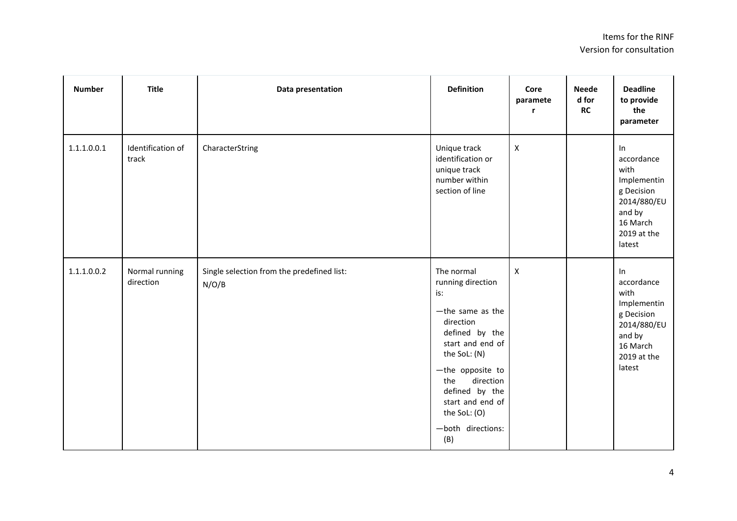| <b>Number</b> | <b>Title</b>                | Data presentation                                   | <b>Definition</b>                                                                                                                                                                                                                                          | Core<br>paramete<br>r     | <b>Neede</b><br>d for<br>RC | <b>Deadline</b><br>to provide<br>the<br>parameter                                                                   |
|---------------|-----------------------------|-----------------------------------------------------|------------------------------------------------------------------------------------------------------------------------------------------------------------------------------------------------------------------------------------------------------------|---------------------------|-----------------------------|---------------------------------------------------------------------------------------------------------------------|
| 1.1.1.0.0.1   | Identification of<br>track  | CharacterString                                     | Unique track<br>identification or<br>unique track<br>number within<br>section of line                                                                                                                                                                      | $\pmb{\times}$            |                             | In<br>accordance<br>with<br>Implementin<br>g Decision<br>2014/880/EU<br>and by<br>16 March<br>2019 at the<br>latest |
| 1.1.1.0.0.2   | Normal running<br>direction | Single selection from the predefined list:<br>N/O/B | The normal<br>running direction<br>is:<br>$-th$ e same as the<br>direction<br>defined by the<br>start and end of<br>the SoL: (N)<br>-the opposite to<br>direction<br>the<br>defined by the<br>start and end of<br>the SoL: (O)<br>-both directions:<br>(B) | $\boldsymbol{\mathsf{X}}$ |                             | In<br>accordance<br>with<br>Implementin<br>g Decision<br>2014/880/EU<br>and by<br>16 March<br>2019 at the<br>latest |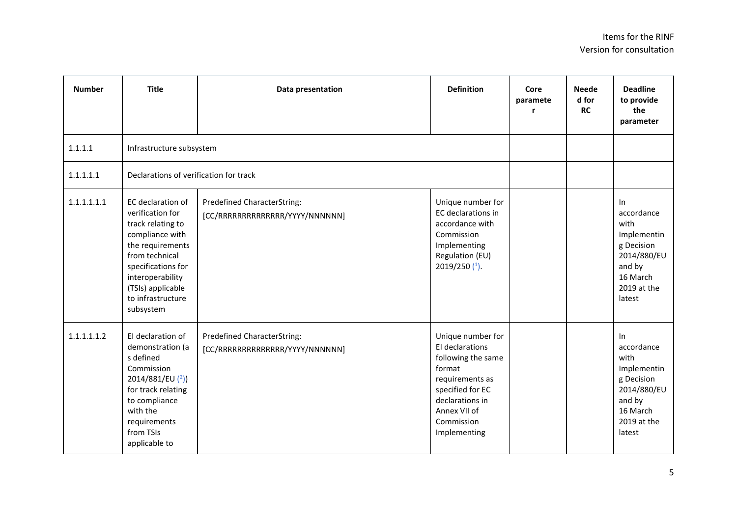| <b>Number</b> | <b>Title</b>                                                                                                                                                                                                         | Data presentation                                                     | <b>Definition</b>                                                                                                                                                            | Core<br>paramete<br>r | <b>Neede</b><br>d for<br><b>RC</b> | <b>Deadline</b><br>to provide<br>the<br>parameter                                                                   |
|---------------|----------------------------------------------------------------------------------------------------------------------------------------------------------------------------------------------------------------------|-----------------------------------------------------------------------|------------------------------------------------------------------------------------------------------------------------------------------------------------------------------|-----------------------|------------------------------------|---------------------------------------------------------------------------------------------------------------------|
| 1.1.1.1       | Infrastructure subsystem                                                                                                                                                                                             |                                                                       |                                                                                                                                                                              |                       |                                    |                                                                                                                     |
| 1.1.1.1.1     | Declarations of verification for track                                                                                                                                                                               |                                                                       |                                                                                                                                                                              |                       |                                    |                                                                                                                     |
| 1.1.1.1.1.1   | EC declaration of<br>verification for<br>track relating to<br>compliance with<br>the requirements<br>from technical<br>specifications for<br>interoperability<br>(TSIs) applicable<br>to infrastructure<br>subsystem | <b>Predefined CharacterString:</b><br>[CC/RRRRRRRRRRRRRR/YYYY/NNNNNN] | Unique number for<br>EC declarations in<br>accordance with<br>Commission<br>Implementing<br>Regulation (EU)<br>2019/250 $(1)$ .                                              |                       |                                    | In<br>accordance<br>with<br>Implementin<br>g Decision<br>2014/880/EU<br>and by<br>16 March<br>2019 at the<br>latest |
| 1.1.1.1.1.2   | El declaration of<br>demonstration (a<br>s defined<br>Commission<br>2014/881/EU $(2)$<br>for track relating<br>to compliance<br>with the<br>requirements<br>from TSIs<br>applicable to                               | Predefined CharacterString:<br>[CC/RRRRRRRRRRRRRR/YYYY/NNNNNN]        | Unique number for<br>El declarations<br>following the same<br>format<br>requirements as<br>specified for EC<br>declarations in<br>Annex VII of<br>Commission<br>Implementing |                       |                                    | In<br>accordance<br>with<br>Implementin<br>g Decision<br>2014/880/EU<br>and by<br>16 March<br>2019 at the<br>latest |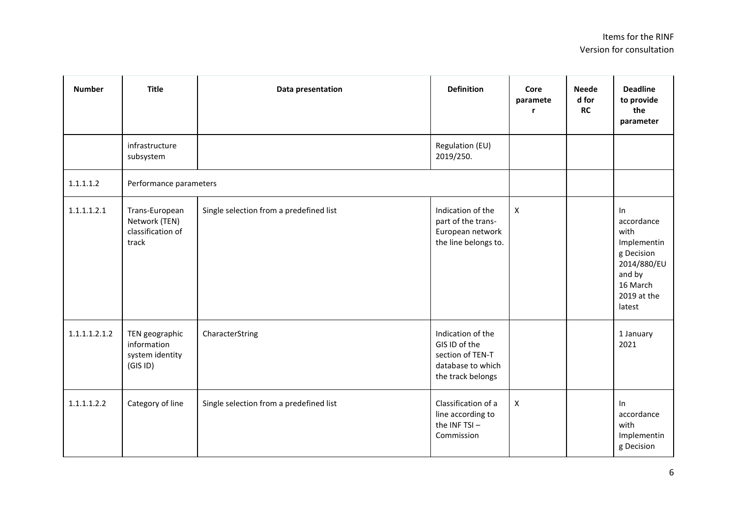| <b>Number</b> | <b>Title</b>                                                  | Data presentation                       | <b>Definition</b>                                                                                | Core<br>paramete   | <b>Neede</b><br>d for<br><b>RC</b> | <b>Deadline</b><br>to provide<br>the<br>parameter                                                                   |
|---------------|---------------------------------------------------------------|-----------------------------------------|--------------------------------------------------------------------------------------------------|--------------------|------------------------------------|---------------------------------------------------------------------------------------------------------------------|
|               | infrastructure<br>subsystem                                   |                                         | Regulation (EU)<br>2019/250.                                                                     |                    |                                    |                                                                                                                     |
| 1.1.1.1.2     | Performance parameters                                        |                                         |                                                                                                  |                    |                                    |                                                                                                                     |
| 1.1.1.1.2.1   | Trans-European<br>Network (TEN)<br>classification of<br>track | Single selection from a predefined list | Indication of the<br>part of the trans-<br>European network<br>the line belongs to.              | $\pmb{\mathsf{X}}$ |                                    | In<br>accordance<br>with<br>Implementin<br>g Decision<br>2014/880/EU<br>and by<br>16 March<br>2019 at the<br>latest |
| 1.1.1.1.2.1.2 | TEN geographic<br>information<br>system identity<br>(GISID)   | CharacterString                         | Indication of the<br>GIS ID of the<br>section of TEN-T<br>database to which<br>the track belongs |                    |                                    | 1 January<br>2021                                                                                                   |
| 1.1.1.1.2.2   | Category of line                                              | Single selection from a predefined list | Classification of a<br>line according to<br>the INF TSI-<br>Commission                           | $\pmb{\mathsf{X}}$ |                                    | In<br>accordance<br>with<br>Implementin<br>g Decision                                                               |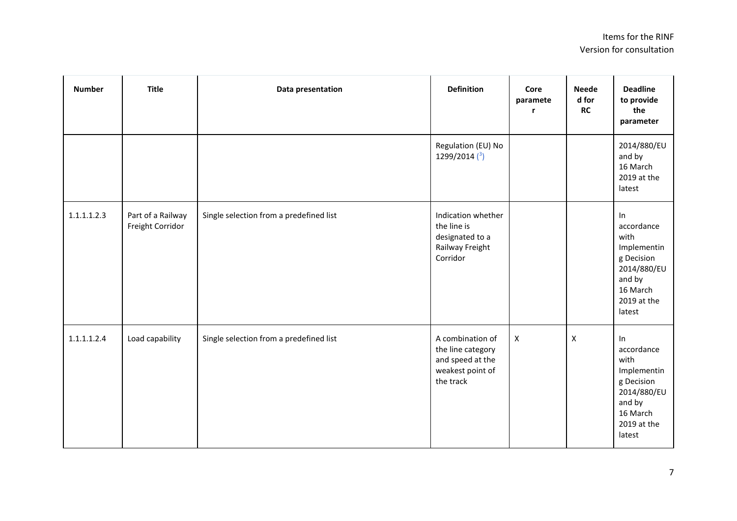| <b>Number</b> | <b>Title</b>                          | Data presentation                       | <b>Definition</b>                                                                          | Core<br>paramete<br>r | <b>Neede</b><br>d for<br>RC | <b>Deadline</b><br>to provide<br>the<br>parameter                                                                   |
|---------------|---------------------------------------|-----------------------------------------|--------------------------------------------------------------------------------------------|-----------------------|-----------------------------|---------------------------------------------------------------------------------------------------------------------|
|               |                                       |                                         | Regulation (EU) No<br>1299/2014 $(3)$                                                      |                       |                             | 2014/880/EU<br>and by<br>16 March<br>2019 at the<br>latest                                                          |
| 1.1.1.1.2.3   | Part of a Railway<br>Freight Corridor | Single selection from a predefined list | Indication whether<br>the line is<br>designated to a<br>Railway Freight<br>Corridor        |                       |                             | In<br>accordance<br>with<br>Implementin<br>g Decision<br>2014/880/EU<br>and by<br>16 March<br>2019 at the<br>latest |
| 1.1.1.1.2.4   | Load capability                       | Single selection from a predefined list | A combination of<br>the line category<br>and speed at the<br>weakest point of<br>the track | $\pmb{\times}$        | $\pmb{\mathsf{X}}$          | In<br>accordance<br>with<br>Implementin<br>g Decision<br>2014/880/EU<br>and by<br>16 March<br>2019 at the<br>latest |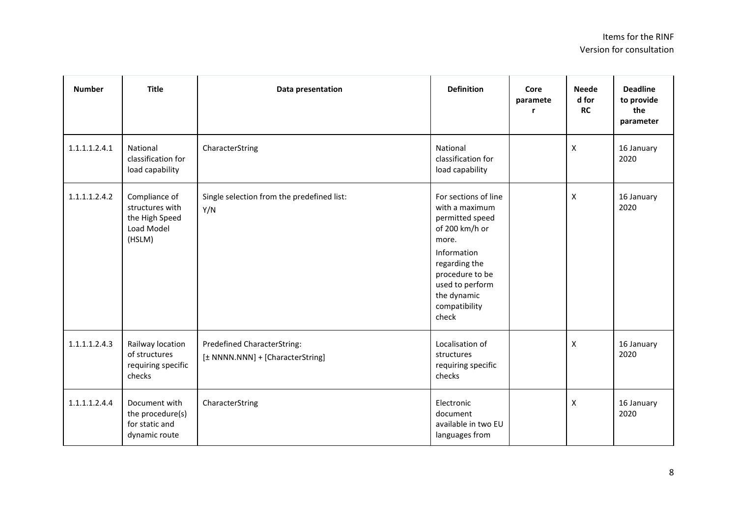| <b>Number</b> | <b>Title</b>                                                               | Data presentation                                                      | <b>Definition</b>                                                                                                                                                                                   | Core<br>paramete<br>r | <b>Neede</b><br>d for<br><b>RC</b> | <b>Deadline</b><br>to provide<br>the<br>parameter |
|---------------|----------------------------------------------------------------------------|------------------------------------------------------------------------|-----------------------------------------------------------------------------------------------------------------------------------------------------------------------------------------------------|-----------------------|------------------------------------|---------------------------------------------------|
| 1.1.1.1.2.4.1 | National<br>classification for<br>load capability                          | CharacterString                                                        | National<br>classification for<br>load capability                                                                                                                                                   |                       | $\pmb{\times}$                     | 16 January<br>2020                                |
| 1.1.1.1.2.4.2 | Compliance of<br>structures with<br>the High Speed<br>Load Model<br>(HSLM) | Single selection from the predefined list:<br>Y/N                      | For sections of line<br>with a maximum<br>permitted speed<br>of 200 km/h or<br>more.<br>Information<br>regarding the<br>procedure to be<br>used to perform<br>the dynamic<br>compatibility<br>check |                       | X                                  | 16 January<br>2020                                |
| 1.1.1.1.2.4.3 | Railway location<br>of structures<br>requiring specific<br>checks          | <b>Predefined CharacterString:</b><br>[± NNNN.NNN] + [CharacterString] | Localisation of<br>structures<br>requiring specific<br>checks                                                                                                                                       |                       | X                                  | 16 January<br>2020                                |
| 1.1.1.1.2.4.4 | Document with<br>the procedure(s)<br>for static and<br>dynamic route       | CharacterString                                                        | Electronic<br>document<br>available in two EU<br>languages from                                                                                                                                     |                       | X                                  | 16 January<br>2020                                |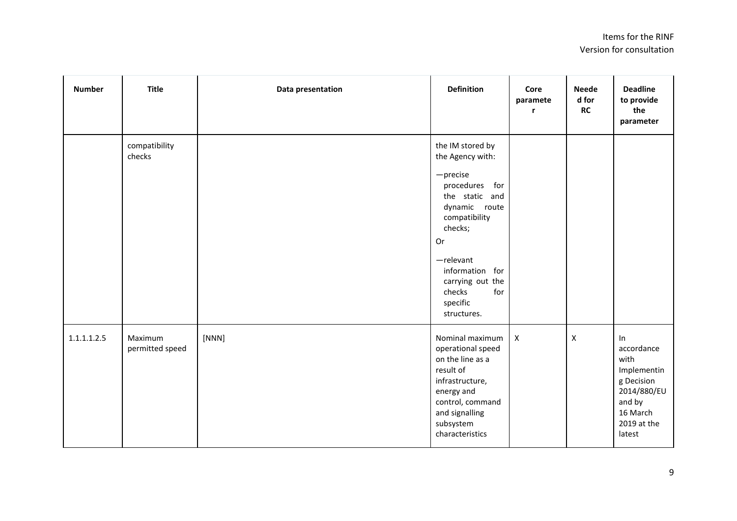| <b>Number</b> | <b>Title</b>               | Data presentation | <b>Definition</b>                                                                                                                                                                                                                             | Core<br>paramete<br>r | <b>Neede</b><br>d for<br>RC | <b>Deadline</b><br>to provide<br>the<br>parameter                                                                   |
|---------------|----------------------------|-------------------|-----------------------------------------------------------------------------------------------------------------------------------------------------------------------------------------------------------------------------------------------|-----------------------|-----------------------------|---------------------------------------------------------------------------------------------------------------------|
|               | compatibility<br>checks    |                   | the IM stored by<br>the Agency with:<br>$-$ precise<br>procedures for<br>the static and<br>dynamic route<br>compatibility<br>checks;<br>Or<br>$-$ relevant<br>information for<br>carrying out the<br>checks<br>for<br>specific<br>structures. |                       |                             |                                                                                                                     |
| 1.1.1.1.2.5   | Maximum<br>permitted speed | [NNN]             | Nominal maximum<br>operational speed<br>on the line as a<br>result of<br>infrastructure,<br>energy and<br>control, command<br>and signalling<br>subsystem<br>characteristics                                                                  | $\pmb{\times}$        | $\pmb{\times}$              | In<br>accordance<br>with<br>Implementin<br>g Decision<br>2014/880/EU<br>and by<br>16 March<br>2019 at the<br>latest |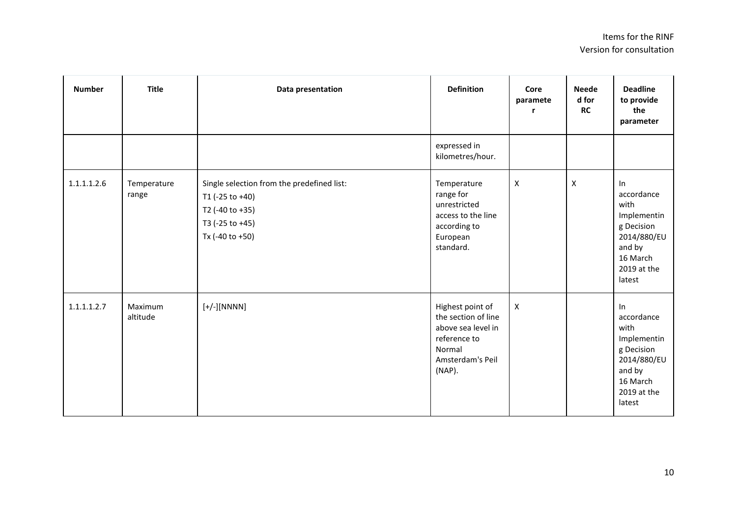| <b>Number</b> | <b>Title</b>         | Data presentation                                                                                                      | <b>Definition</b>                                                                                                     | Core<br>paramete<br>r | <b>Neede</b><br>d for<br><b>RC</b> | <b>Deadline</b><br>to provide<br>the<br>parameter                                                                      |
|---------------|----------------------|------------------------------------------------------------------------------------------------------------------------|-----------------------------------------------------------------------------------------------------------------------|-----------------------|------------------------------------|------------------------------------------------------------------------------------------------------------------------|
|               |                      |                                                                                                                        | expressed in<br>kilometres/hour.                                                                                      |                       |                                    |                                                                                                                        |
| 1.1.1.1.2.6   | Temperature<br>range | Single selection from the predefined list:<br>T1 (-25 to +40)<br>T2 (-40 to +35)<br>T3 (-25 to +45)<br>Tx (-40 to +50) | Temperature<br>range for<br>unrestricted<br>access to the line<br>according to<br>European<br>standard.               | X                     | X                                  | $\ln$<br>accordance<br>with<br>Implementin<br>g Decision<br>2014/880/EU<br>and by<br>16 March<br>2019 at the<br>latest |
| 1.1.1.1.2.7   | Maximum<br>altitude  | $[+/$ ][NNNN]                                                                                                          | Highest point of<br>the section of line<br>above sea level in<br>reference to<br>Normal<br>Amsterdam's Peil<br>(NAP). | $\mathsf{x}$          |                                    | In<br>accordance<br>with<br>Implementin<br>g Decision<br>2014/880/EU<br>and by<br>16 March<br>2019 at the<br>latest    |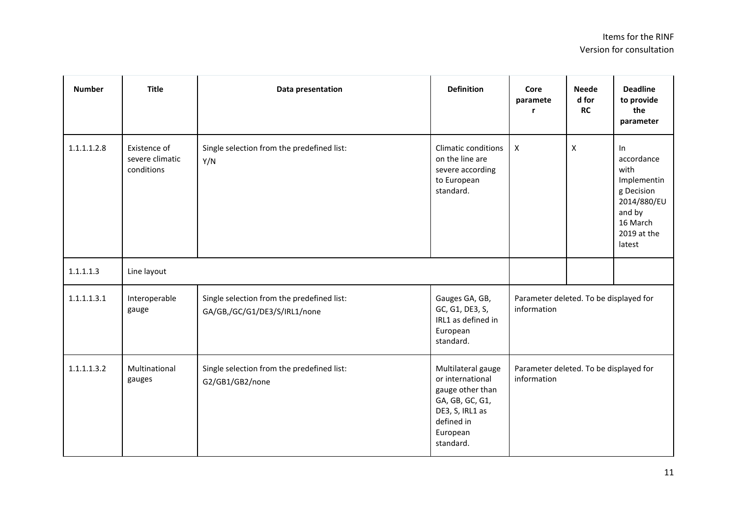| <b>Number</b> | <b>Title</b>                                  | Data presentation                                                          | <b>Definition</b>                                                                                                                       | Core<br>paramete<br>r                                 | <b>Neede</b><br>d for<br><b>RC</b> | <b>Deadline</b><br>to provide<br>the<br>parameter                                                                   |
|---------------|-----------------------------------------------|----------------------------------------------------------------------------|-----------------------------------------------------------------------------------------------------------------------------------------|-------------------------------------------------------|------------------------------------|---------------------------------------------------------------------------------------------------------------------|
| 1.1.1.1.2.8   | Existence of<br>severe climatic<br>conditions | Single selection from the predefined list:<br>Y/N                          | <b>Climatic conditions</b><br>on the line are<br>severe according<br>to European<br>standard.                                           | $\boldsymbol{X}$                                      | X                                  | In<br>accordance<br>with<br>Implementin<br>g Decision<br>2014/880/EU<br>and by<br>16 March<br>2019 at the<br>latest |
| 1.1.1.1.3     | Line layout                                   |                                                                            |                                                                                                                                         |                                                       |                                    |                                                                                                                     |
| 1.1.1.1.3.1   | Interoperable<br>gauge                        | Single selection from the predefined list:<br>GA/GB,/GC/G1/DE3/S/IRL1/none | Gauges GA, GB,<br>GC, G1, DE3, S,<br>IRL1 as defined in<br>European<br>standard.                                                        | Parameter deleted. To be displayed for<br>information |                                    |                                                                                                                     |
| 1.1.1.1.3.2   | Multinational<br>gauges                       | Single selection from the predefined list:<br>G2/GB1/GB2/none              | Multilateral gauge<br>or international<br>gauge other than<br>GA, GB, GC, G1,<br>DE3, S, IRL1 as<br>defined in<br>European<br>standard. | Parameter deleted. To be displayed for<br>information |                                    |                                                                                                                     |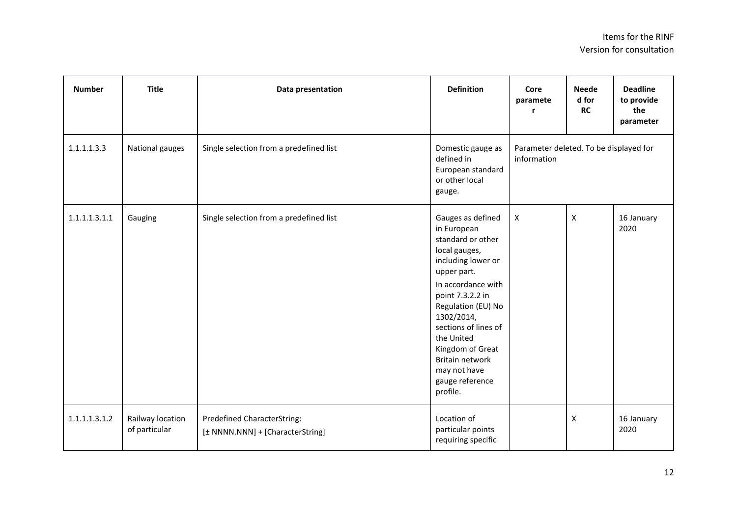| <b>Number</b> | <b>Title</b>                      | Data presentation                                               | <b>Definition</b>                                                                                                                                                                                                                                                                                                     | Core<br>paramete                                      | <b>Neede</b><br>d for<br><b>RC</b> | <b>Deadline</b><br>to provide<br>the<br>parameter |
|---------------|-----------------------------------|-----------------------------------------------------------------|-----------------------------------------------------------------------------------------------------------------------------------------------------------------------------------------------------------------------------------------------------------------------------------------------------------------------|-------------------------------------------------------|------------------------------------|---------------------------------------------------|
| 1.1.1.1.3.3   | National gauges                   | Single selection from a predefined list                         | Domestic gauge as<br>defined in<br>European standard<br>or other local<br>gauge.                                                                                                                                                                                                                                      | Parameter deleted. To be displayed for<br>information |                                    |                                                   |
| 1.1.1.1.3.1.1 | Gauging                           | Single selection from a predefined list                         | Gauges as defined<br>in European<br>standard or other<br>local gauges,<br>including lower or<br>upper part.<br>In accordance with<br>point 7.3.2.2 in<br>Regulation (EU) No<br>1302/2014,<br>sections of lines of<br>the United<br>Kingdom of Great<br>Britain network<br>may not have<br>gauge reference<br>profile. | X                                                     | $\mathsf{x}$                       | 16 January<br>2020                                |
| 1.1.1.1.3.1.2 | Railway location<br>of particular | Predefined CharacterString:<br>[± NNNN.NNN] + [CharacterString] | Location of<br>particular points<br>requiring specific                                                                                                                                                                                                                                                                |                                                       | X                                  | 16 January<br>2020                                |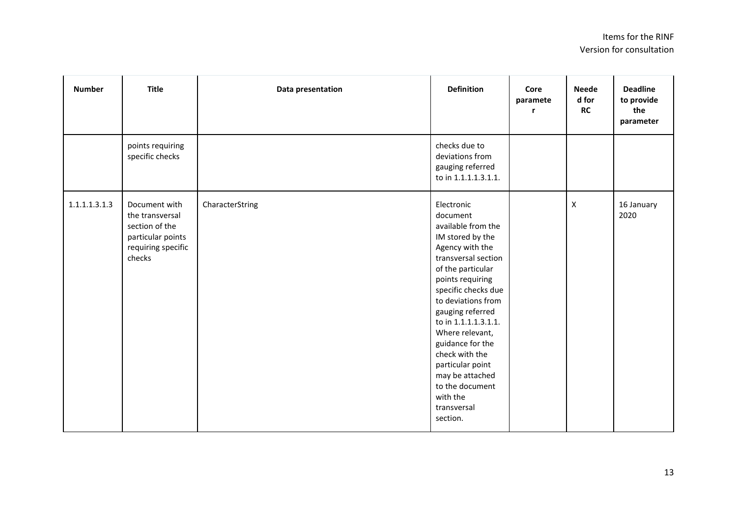| <b>Number</b> | <b>Title</b>                                                                                            | Data presentation | <b>Definition</b>                                                                                                                                                                                                                                                                                                                                                                                      | Core<br>paramete<br>r | <b>Neede</b><br>d for<br>RC | <b>Deadline</b><br>to provide<br>the<br>parameter |
|---------------|---------------------------------------------------------------------------------------------------------|-------------------|--------------------------------------------------------------------------------------------------------------------------------------------------------------------------------------------------------------------------------------------------------------------------------------------------------------------------------------------------------------------------------------------------------|-----------------------|-----------------------------|---------------------------------------------------|
|               | points requiring<br>specific checks                                                                     |                   | checks due to<br>deviations from<br>gauging referred<br>to in 1.1.1.1.3.1.1.                                                                                                                                                                                                                                                                                                                           |                       |                             |                                                   |
| 1.1.1.1.3.1.3 | Document with<br>the transversal<br>section of the<br>particular points<br>requiring specific<br>checks | CharacterString   | Electronic<br>document<br>available from the<br>IM stored by the<br>Agency with the<br>transversal section<br>of the particular<br>points requiring<br>specific checks due<br>to deviations from<br>gauging referred<br>to in 1.1.1.1.3.1.1.<br>Where relevant,<br>guidance for the<br>check with the<br>particular point<br>may be attached<br>to the document<br>with the<br>transversal<br>section. |                       | $\pmb{\mathsf{X}}$          | 16 January<br>2020                                |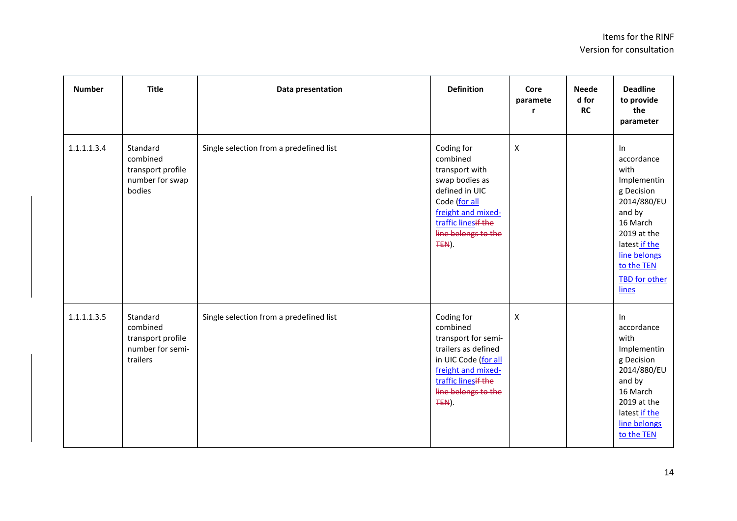| <b>Number</b> | <b>Title</b>                                                              | Data presentation                       | <b>Definition</b>                                                                                                                                                          | Core<br>paramete | <b>Neede</b><br>d for<br><b>RC</b> | <b>Deadline</b><br>to provide<br>the<br>parameter                                                                                                                                  |
|---------------|---------------------------------------------------------------------------|-----------------------------------------|----------------------------------------------------------------------------------------------------------------------------------------------------------------------------|------------------|------------------------------------|------------------------------------------------------------------------------------------------------------------------------------------------------------------------------------|
| 1.1.1.1.3.4   | Standard<br>combined<br>transport profile<br>number for swap<br>bodies    | Single selection from a predefined list | Coding for<br>combined<br>transport with<br>swap bodies as<br>defined in UIC<br>Code (for all<br>freight and mixed-<br>traffic linesif the<br>line belongs to the<br>TEN). | $\pmb{\times}$   |                                    | In<br>accordance<br>with<br>Implementin<br>g Decision<br>2014/880/EU<br>and by<br>16 March<br>2019 at the<br>latest if the<br>line belongs<br>to the TEN<br>TBD for other<br>lines |
| 1.1.1.1.3.5   | Standard<br>combined<br>transport profile<br>number for semi-<br>trailers | Single selection from a predefined list | Coding for<br>combined<br>transport for semi-<br>trailers as defined<br>in UIC Code (for all<br>freight and mixed-<br>traffic linesif the<br>line belongs to the<br>TEN).  | $\pmb{\times}$   |                                    | In<br>accordance<br>with<br>Implementin<br>g Decision<br>2014/880/EU<br>and by<br>16 March<br>2019 at the<br>latest if the<br>line belongs<br>to the TEN                           |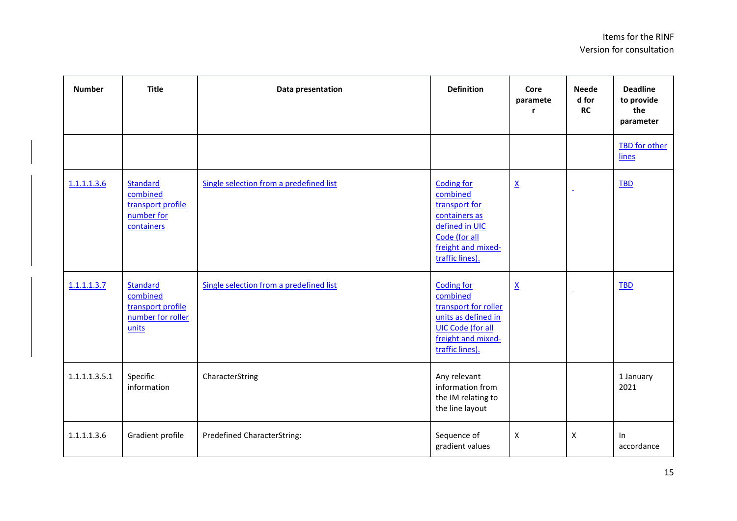| <b>Number</b> | <b>Title</b>                                                            | Data presentation                       | <b>Definition</b>                                                                                                                                 | Core<br>paramete         | <b>Neede</b><br>d for<br><b>RC</b> | <b>Deadline</b><br>to provide<br>the<br>parameter |
|---------------|-------------------------------------------------------------------------|-----------------------------------------|---------------------------------------------------------------------------------------------------------------------------------------------------|--------------------------|------------------------------------|---------------------------------------------------|
|               |                                                                         |                                         |                                                                                                                                                   |                          |                                    | <b>TBD</b> for other<br>lines                     |
| 1.1.1.1.3.6   | Standard<br>combined<br>transport profile<br>number for<br>containers   | Single selection from a predefined list | <b>Coding for</b><br>combined<br>transport for<br>containers as<br>defined in UIC<br>Code (for all<br>freight and mixed-<br>traffic lines).       | $\underline{\mathsf{X}}$ |                                    | <b>TBD</b>                                        |
| 1.1.1.1.3.7   | Standard<br>combined<br>transport profile<br>number for roller<br>units | Single selection from a predefined list | <b>Coding for</b><br>combined<br>transport for roller<br>units as defined in<br><b>UIC Code (for all</b><br>freight and mixed-<br>traffic lines). | $\underline{\mathsf{X}}$ |                                    | <b>TBD</b>                                        |
| 1.1.1.1.3.5.1 | Specific<br>information                                                 | CharacterString                         | Any relevant<br>information from<br>the IM relating to<br>the line layout                                                                         |                          |                                    | 1 January<br>2021                                 |
| 1.1.1.1.3.6   | Gradient profile                                                        | <b>Predefined CharacterString:</b>      | Sequence of<br>gradient values                                                                                                                    | X                        | X                                  | In<br>accordance                                  |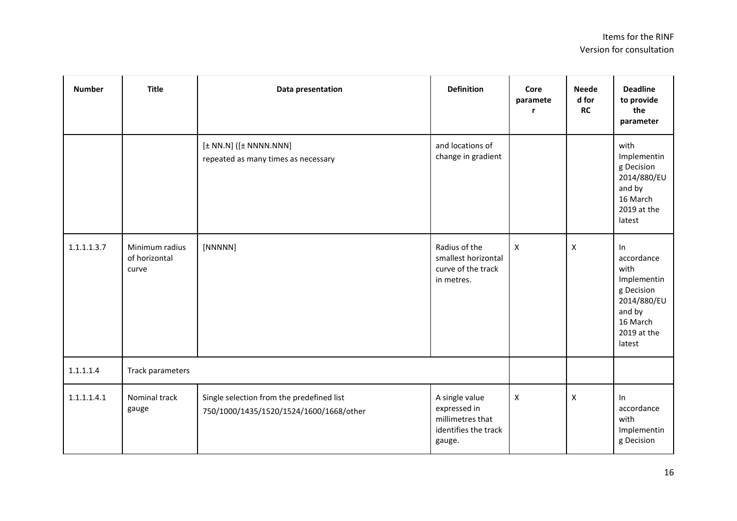| <b>Number</b> | <b>Title</b>                             | Data presentation                                                                    | <b>Definition</b>                                                                    | Core<br>paramete          | <b>Neede</b><br>d for<br><b>RC</b> | <b>Deadline</b><br>to provide<br>the<br>parameter                                                                   |
|---------------|------------------------------------------|--------------------------------------------------------------------------------------|--------------------------------------------------------------------------------------|---------------------------|------------------------------------|---------------------------------------------------------------------------------------------------------------------|
|               |                                          | $[\pm N N.N]$ ( $[\pm N N N N.N N N]$<br>repeated as many times as necessary         | and locations of<br>change in gradient                                               |                           |                                    | with<br>Implementin<br>g Decision<br>2014/880/EU<br>and by<br>16 March<br>2019 at the<br>latest                     |
| 1.1.1.1.3.7   | Minimum radius<br>of horizontal<br>curve | [NNNNN]                                                                              | Radius of the<br>smallest horizontal<br>curve of the track<br>in metres.             | $\boldsymbol{\mathsf{x}}$ | X                                  | In<br>accordance<br>with<br>Implementin<br>g Decision<br>2014/880/EU<br>and by<br>16 March<br>2019 at the<br>latest |
| 1.1.1.1.4     | Track parameters                         |                                                                                      |                                                                                      |                           |                                    |                                                                                                                     |
| 1.1.1.1.4.1   | Nominal track<br>gauge                   | Single selection from the predefined list<br>750/1000/1435/1520/1524/1600/1668/other | A single value<br>expressed in<br>millimetres that<br>identifies the track<br>gauge. | $\pmb{\mathsf{X}}$        | X                                  | In<br>accordance<br>with<br>Implementin<br>g Decision                                                               |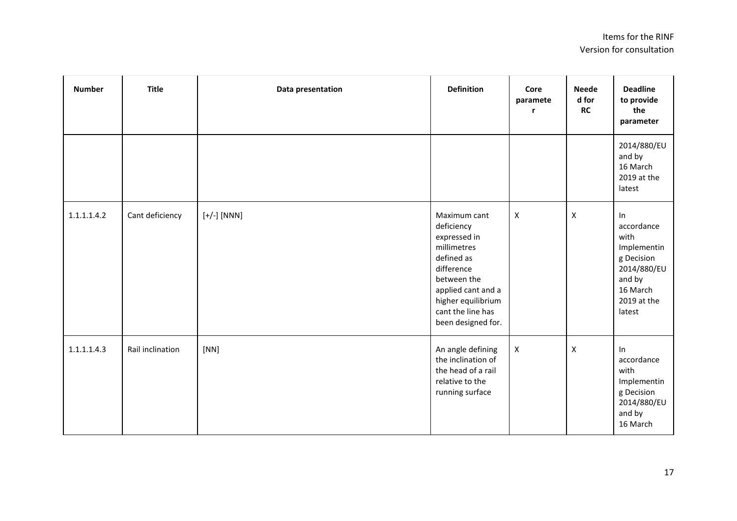| <b>Number</b> | <b>Title</b>     | Data presentation | <b>Definition</b>                                                                                                                                                                           | Core<br>paramete<br>r | <b>Neede</b><br>d for<br><b>RC</b> | <b>Deadline</b><br>to provide<br>the<br>parameter                                                                   |
|---------------|------------------|-------------------|---------------------------------------------------------------------------------------------------------------------------------------------------------------------------------------------|-----------------------|------------------------------------|---------------------------------------------------------------------------------------------------------------------|
|               |                  |                   |                                                                                                                                                                                             |                       |                                    | 2014/880/EU<br>and by<br>16 March<br>2019 at the<br>latest                                                          |
| 1.1.1.1.4.2   | Cant deficiency  | $[+/$ ] $[NNN]$   | Maximum cant<br>deficiency<br>expressed in<br>millimetres<br>defined as<br>difference<br>between the<br>applied cant and a<br>higher equilibrium<br>cant the line has<br>been designed for. | X                     | $\mathsf{x}$                       | In<br>accordance<br>with<br>Implementin<br>g Decision<br>2014/880/EU<br>and by<br>16 March<br>2019 at the<br>latest |
| 1.1.1.1.4.3   | Rail inclination | [NN]              | An angle defining<br>the inclination of<br>the head of a rail<br>relative to the<br>running surface                                                                                         | $\pmb{\times}$        | $\mathsf{x}$                       | In<br>accordance<br>with<br>Implementin<br>g Decision<br>2014/880/EU<br>and by<br>16 March                          |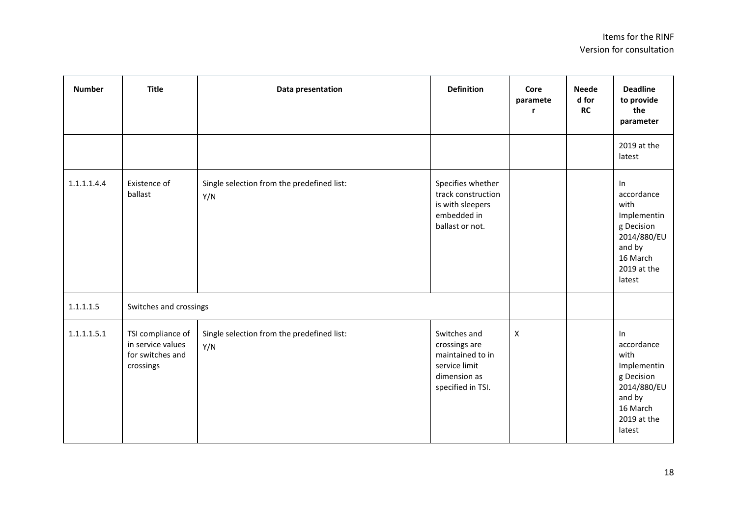| <b>Number</b> | <b>Title</b>                                                            | Data presentation                                 | <b>Definition</b>                                                                                       | Core<br>paramete<br>r | <b>Neede</b><br>d for<br><b>RC</b> | <b>Deadline</b><br>to provide<br>the<br>parameter                                                                      |
|---------------|-------------------------------------------------------------------------|---------------------------------------------------|---------------------------------------------------------------------------------------------------------|-----------------------|------------------------------------|------------------------------------------------------------------------------------------------------------------------|
|               |                                                                         |                                                   |                                                                                                         |                       |                                    | 2019 at the<br>latest                                                                                                  |
| 1.1.1.1.4.4   | Existence of<br>ballast                                                 | Single selection from the predefined list:<br>Y/N | Specifies whether<br>track construction<br>is with sleepers<br>embedded in<br>ballast or not.           |                       |                                    | $\ln$<br>accordance<br>with<br>Implementin<br>g Decision<br>2014/880/EU<br>and by<br>16 March<br>2019 at the<br>latest |
| 1.1.1.1.5     | Switches and crossings                                                  |                                                   |                                                                                                         |                       |                                    |                                                                                                                        |
| 1.1.1.1.5.1   | TSI compliance of<br>in service values<br>for switches and<br>crossings | Single selection from the predefined list:<br>Y/N | Switches and<br>crossings are<br>maintained to in<br>service limit<br>dimension as<br>specified in TSI. | $\pmb{\times}$        |                                    | ln<br>accordance<br>with<br>Implementin<br>g Decision<br>2014/880/EU<br>and by<br>16 March<br>2019 at the<br>latest    |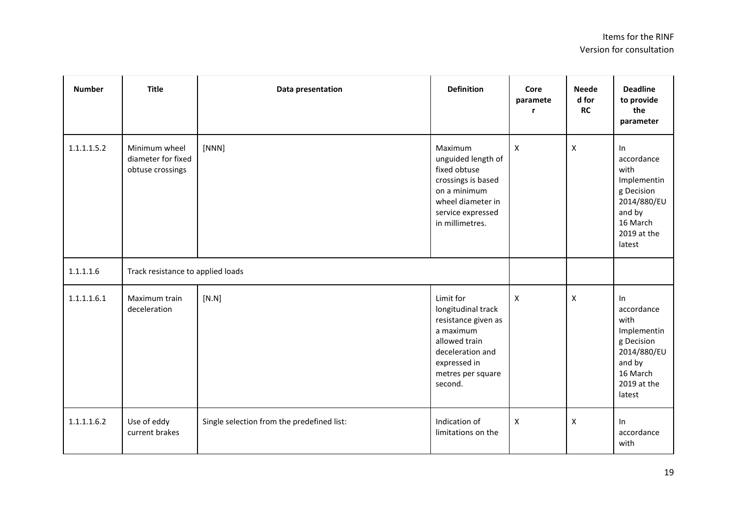| <b>Number</b> | <b>Title</b>                                            | Data presentation                          | <b>Definition</b>                                                                                                                                        | Core<br>paramete          | <b>Neede</b><br>d for<br><b>RC</b> | <b>Deadline</b><br>to provide<br>the<br>parameter                                                                   |
|---------------|---------------------------------------------------------|--------------------------------------------|----------------------------------------------------------------------------------------------------------------------------------------------------------|---------------------------|------------------------------------|---------------------------------------------------------------------------------------------------------------------|
| 1.1.1.1.5.2   | Minimum wheel<br>diameter for fixed<br>obtuse crossings | [NNN]                                      | Maximum<br>unguided length of<br>fixed obtuse<br>crossings is based<br>on a minimum<br>wheel diameter in<br>service expressed<br>in millimetres.         | $\boldsymbol{\mathsf{X}}$ | $\boldsymbol{\mathsf{X}}$          | In<br>accordance<br>with<br>Implementin<br>g Decision<br>2014/880/EU<br>and by<br>16 March<br>2019 at the<br>latest |
| 1.1.1.1.6     | Track resistance to applied loads                       |                                            |                                                                                                                                                          |                           |                                    |                                                                                                                     |
| 1.1.1.1.6.1   | Maximum train<br>deceleration                           | [N.N]                                      | Limit for<br>longitudinal track<br>resistance given as<br>a maximum<br>allowed train<br>deceleration and<br>expressed in<br>metres per square<br>second. | $\pmb{\times}$            | $\pmb{\times}$                     | In<br>accordance<br>with<br>Implementin<br>g Decision<br>2014/880/EU<br>and by<br>16 March<br>2019 at the<br>latest |
| 1.1.1.1.6.2   | Use of eddy<br>current brakes                           | Single selection from the predefined list: | Indication of<br>limitations on the                                                                                                                      | $\boldsymbol{\mathsf{X}}$ | $\boldsymbol{\mathsf{X}}$          | In<br>accordance<br>with                                                                                            |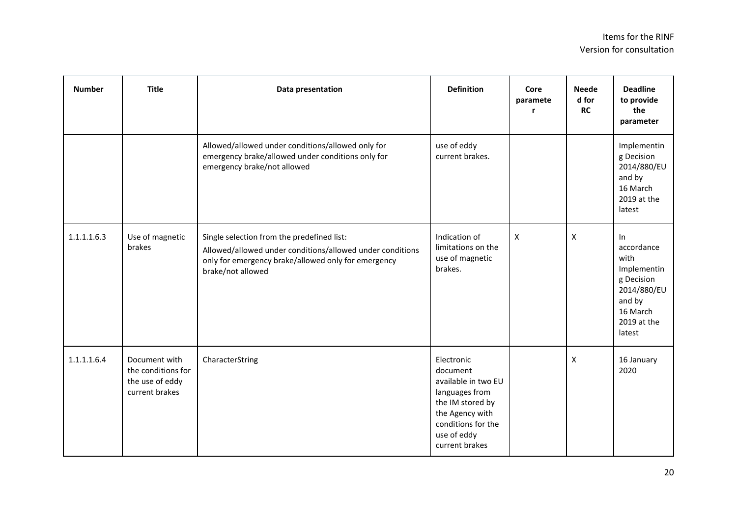| <b>Number</b> | <b>Title</b>                                                             | Data presentation                                                                                                                                                                   | <b>Definition</b>                                                                                                                                             | Core<br>paramete<br>r     | <b>Neede</b><br>d for<br><b>RC</b> | <b>Deadline</b><br>to provide<br>the<br>parameter                                                                   |
|---------------|--------------------------------------------------------------------------|-------------------------------------------------------------------------------------------------------------------------------------------------------------------------------------|---------------------------------------------------------------------------------------------------------------------------------------------------------------|---------------------------|------------------------------------|---------------------------------------------------------------------------------------------------------------------|
|               |                                                                          | Allowed/allowed under conditions/allowed only for<br>emergency brake/allowed under conditions only for<br>emergency brake/not allowed                                               | use of eddy<br>current brakes.                                                                                                                                |                           |                                    | Implementin<br>g Decision<br>2014/880/EU<br>and by<br>16 March<br>2019 at the<br>latest                             |
| 1.1.1.1.6.3   | Use of magnetic<br>brakes                                                | Single selection from the predefined list:<br>Allowed/allowed under conditions/allowed under conditions<br>only for emergency brake/allowed only for emergency<br>brake/not allowed | Indication of<br>limitations on the<br>use of magnetic<br>brakes.                                                                                             | $\boldsymbol{\mathsf{X}}$ | $\boldsymbol{X}$                   | In<br>accordance<br>with<br>Implementin<br>g Decision<br>2014/880/EU<br>and by<br>16 March<br>2019 at the<br>latest |
| 1.1.1.1.6.4   | Document with<br>the conditions for<br>the use of eddy<br>current brakes | CharacterString                                                                                                                                                                     | Electronic<br>document<br>available in two EU<br>languages from<br>the IM stored by<br>the Agency with<br>conditions for the<br>use of eddy<br>current brakes |                           | $\boldsymbol{X}$                   | 16 January<br>2020                                                                                                  |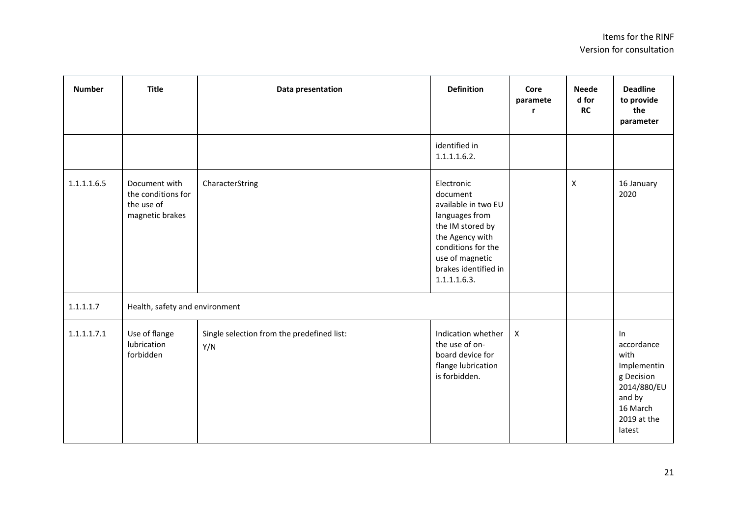| <b>Number</b> | <b>Title</b>                                                         | Data presentation                                 | <b>Definition</b>                                                                                                                                                                       | Core<br>paramete<br>r | <b>Neede</b><br>d for<br><b>RC</b> | <b>Deadline</b><br>to provide<br>the<br>parameter                                                                   |
|---------------|----------------------------------------------------------------------|---------------------------------------------------|-----------------------------------------------------------------------------------------------------------------------------------------------------------------------------------------|-----------------------|------------------------------------|---------------------------------------------------------------------------------------------------------------------|
|               |                                                                      |                                                   | identified in<br>1.1.1.1.6.2.                                                                                                                                                           |                       |                                    |                                                                                                                     |
| 1.1.1.1.6.5   | Document with<br>the conditions for<br>the use of<br>magnetic brakes | CharacterString                                   | Electronic<br>document<br>available in two EU<br>languages from<br>the IM stored by<br>the Agency with<br>conditions for the<br>use of magnetic<br>brakes identified in<br>1.1.1.1.6.3. |                       | $\pmb{\mathsf{X}}$                 | 16 January<br>2020                                                                                                  |
| 1.1.1.1.7     | Health, safety and environment                                       |                                                   |                                                                                                                                                                                         |                       |                                    |                                                                                                                     |
| 1.1.1.1.7.1   | Use of flange<br>lubrication<br>forbidden                            | Single selection from the predefined list:<br>Y/N | Indication whether<br>the use of on-<br>board device for<br>flange lubrication<br>is forbidden.                                                                                         | $\pmb{\times}$        |                                    | In<br>accordance<br>with<br>Implementin<br>g Decision<br>2014/880/EU<br>and by<br>16 March<br>2019 at the<br>latest |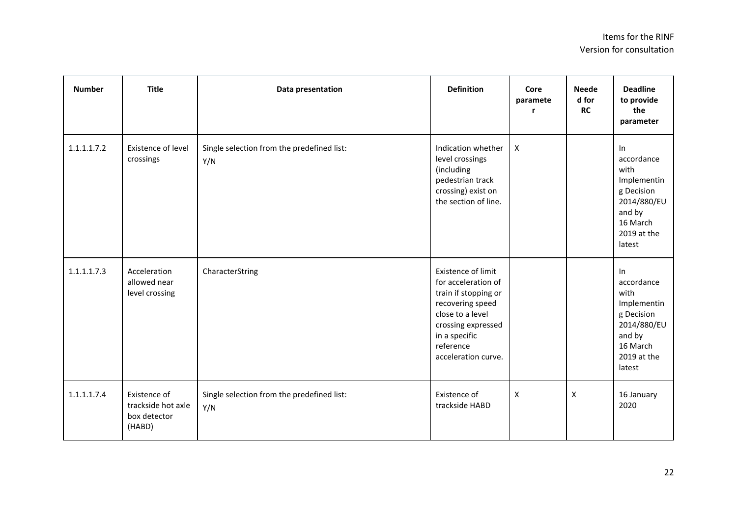| <b>Number</b> | <b>Title</b>                                                 | Data presentation                                 | <b>Definition</b>                                                                                                                                                                    | Core<br>paramete<br>r | <b>Neede</b><br>d for<br><b>RC</b> | <b>Deadline</b><br>to provide<br>the<br>parameter                                                                   |
|---------------|--------------------------------------------------------------|---------------------------------------------------|--------------------------------------------------------------------------------------------------------------------------------------------------------------------------------------|-----------------------|------------------------------------|---------------------------------------------------------------------------------------------------------------------|
| 1.1.1.1.7.2   | Existence of level<br>crossings                              | Single selection from the predefined list:<br>Y/N | Indication whether<br>level crossings<br>(including<br>pedestrian track<br>crossing) exist on<br>the section of line.                                                                | $\boldsymbol{X}$      |                                    | In<br>accordance<br>with<br>Implementin<br>g Decision<br>2014/880/EU<br>and by<br>16 March<br>2019 at the<br>latest |
| 1.1.1.1.7.3   | Acceleration<br>allowed near<br>level crossing               | CharacterString                                   | Existence of limit<br>for acceleration of<br>train if stopping or<br>recovering speed<br>close to a level<br>crossing expressed<br>in a specific<br>reference<br>acceleration curve. |                       |                                    | In<br>accordance<br>with<br>Implementin<br>g Decision<br>2014/880/EU<br>and by<br>16 March<br>2019 at the<br>latest |
| 1.1.1.1.7.4   | Existence of<br>trackside hot axle<br>box detector<br>(HABD) | Single selection from the predefined list:<br>Y/N | Existence of<br>trackside HABD                                                                                                                                                       | $\pmb{\times}$        | X                                  | 16 January<br>2020                                                                                                  |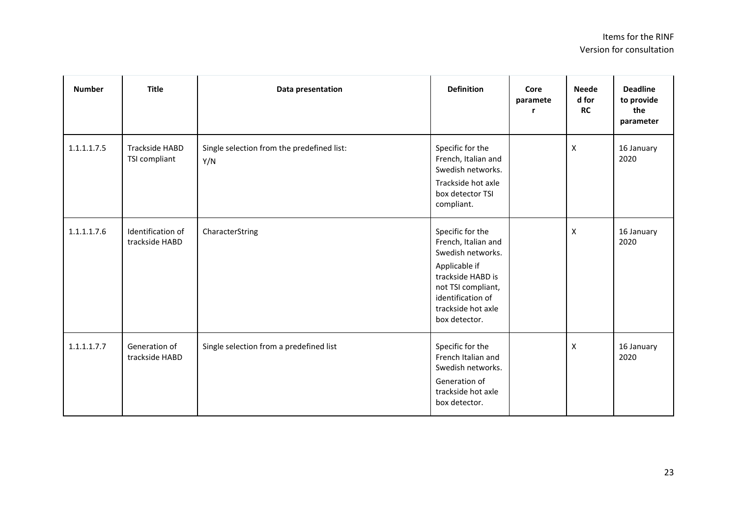| <b>Number</b> | <b>Title</b>                           | Data presentation                                 | <b>Definition</b>                                                                                                                                                                    | Core<br>paramete<br>r | <b>Neede</b><br>d for<br><b>RC</b> | <b>Deadline</b><br>to provide<br>the<br>parameter |
|---------------|----------------------------------------|---------------------------------------------------|--------------------------------------------------------------------------------------------------------------------------------------------------------------------------------------|-----------------------|------------------------------------|---------------------------------------------------|
| 1.1.1.1.7.5   | <b>Trackside HABD</b><br>TSI compliant | Single selection from the predefined list:<br>Y/N | Specific for the<br>French, Italian and<br>Swedish networks.<br>Trackside hot axle<br>box detector TSI<br>compliant.                                                                 |                       | $\mathsf{x}$                       | 16 January<br>2020                                |
| 1.1.1.1.7.6   | Identification of<br>trackside HABD    | CharacterString                                   | Specific for the<br>French, Italian and<br>Swedish networks.<br>Applicable if<br>trackside HABD is<br>not TSI compliant,<br>identification of<br>trackside hot axle<br>box detector. |                       | $\pmb{\mathsf{X}}$                 | 16 January<br>2020                                |
| 1.1.1.1.7.7   | Generation of<br>trackside HABD        | Single selection from a predefined list           | Specific for the<br>French Italian and<br>Swedish networks.<br>Generation of<br>trackside hot axle<br>box detector.                                                                  |                       | $\pmb{\mathsf{X}}$                 | 16 January<br>2020                                |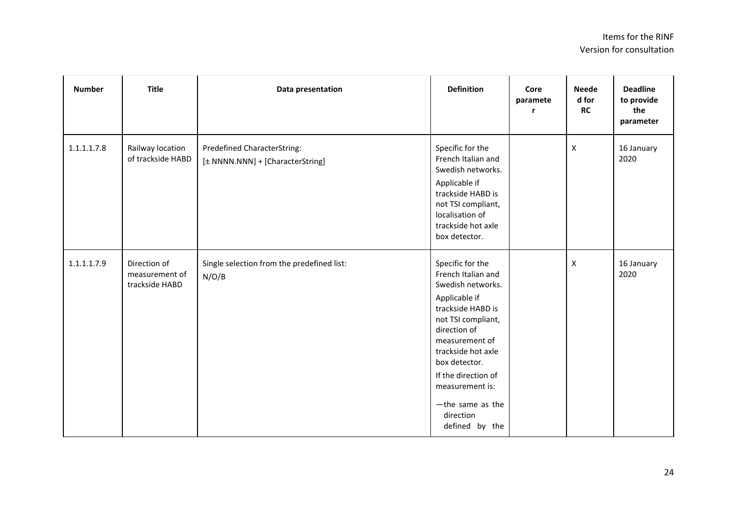| <b>Number</b> | <b>Title</b>                                     | Data presentation                                               | <b>Definition</b>                                                                                                                                                                                                                                                                                | Core<br>paramete<br>r | <b>Neede</b><br>d for<br><b>RC</b> | <b>Deadline</b><br>to provide<br>the<br>parameter |
|---------------|--------------------------------------------------|-----------------------------------------------------------------|--------------------------------------------------------------------------------------------------------------------------------------------------------------------------------------------------------------------------------------------------------------------------------------------------|-----------------------|------------------------------------|---------------------------------------------------|
| 1.1.1.1.7.8   | Railway location<br>of trackside HABD            | Predefined CharacterString:<br>[± NNNN.NNN] + [CharacterString] | Specific for the<br>French Italian and<br>Swedish networks.<br>Applicable if<br>trackside HABD is<br>not TSI compliant,<br>localisation of<br>trackside hot axle<br>box detector.                                                                                                                |                       | $\boldsymbol{\mathsf{X}}$          | 16 January<br>2020                                |
| 1.1.1.1.7.9   | Direction of<br>measurement of<br>trackside HABD | Single selection from the predefined list:<br>N/O/B             | Specific for the<br>French Italian and<br>Swedish networks.<br>Applicable if<br>trackside HABD is<br>not TSI compliant,<br>direction of<br>measurement of<br>trackside hot axle<br>box detector.<br>If the direction of<br>measurement is:<br>$-th$ e same as the<br>direction<br>defined by the |                       | $\boldsymbol{\mathsf{X}}$          | 16 January<br>2020                                |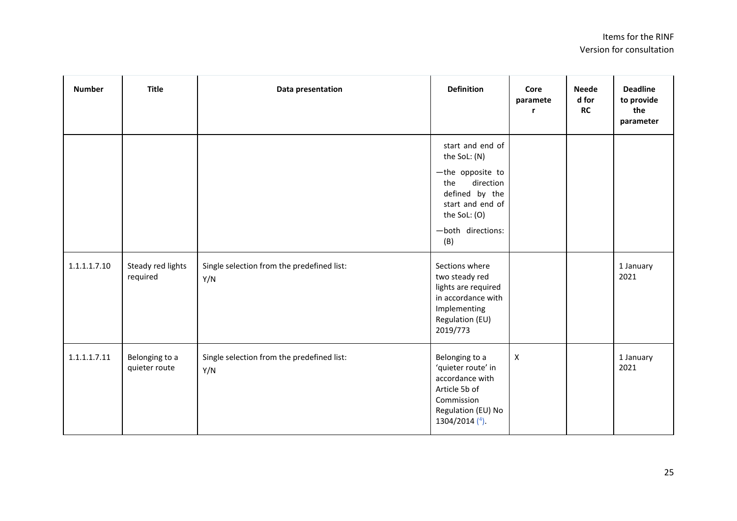| <b>Number</b> | <b>Title</b>                    | Data presentation                                 | <b>Definition</b>                                                                                                                                          | Core<br>paramete<br>r | <b>Neede</b><br>d for<br><b>RC</b> | <b>Deadline</b><br>to provide<br>the<br>parameter |
|---------------|---------------------------------|---------------------------------------------------|------------------------------------------------------------------------------------------------------------------------------------------------------------|-----------------------|------------------------------------|---------------------------------------------------|
|               |                                 |                                                   | start and end of<br>the SoL: (N)<br>-the opposite to<br>direction<br>the<br>defined by the<br>start and end of<br>the SoL: (O)<br>-both directions:<br>(B) |                       |                                    |                                                   |
| 1.1.1.1.7.10  | Steady red lights<br>required   | Single selection from the predefined list:<br>Y/N | Sections where<br>two steady red<br>lights are required<br>in accordance with<br>Implementing<br>Regulation (EU)<br>2019/773                               |                       |                                    | 1 January<br>2021                                 |
| 1.1.1.1.7.11  | Belonging to a<br>quieter route | Single selection from the predefined list:<br>Y/N | Belonging to a<br>'quieter route' in<br>accordance with<br>Article 5b of<br>Commission<br>Regulation (EU) No<br>1304/2014 $(4)$ .                          | $\pmb{\times}$        |                                    | 1 January<br>2021                                 |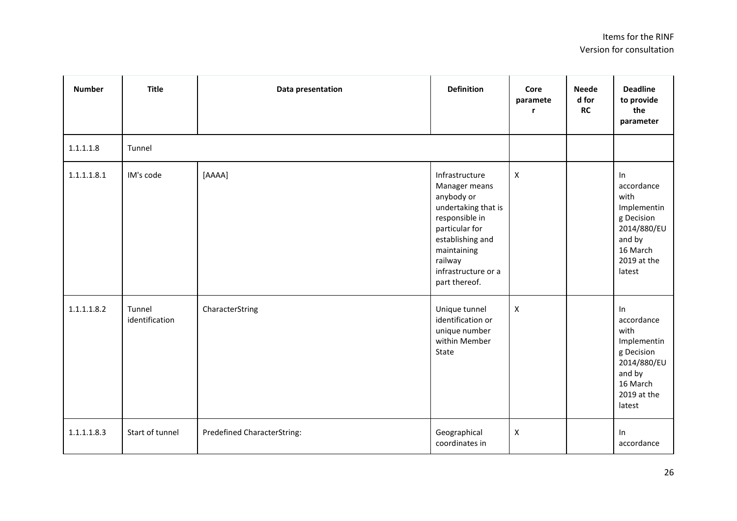| <b>Number</b> | <b>Title</b>             | Data presentation           | <b>Definition</b>                                                                                                                                                                              | Core<br>paramete<br>r. | <b>Neede</b><br>d for<br><b>RC</b> | <b>Deadline</b><br>to provide<br>the<br>parameter                                                                   |
|---------------|--------------------------|-----------------------------|------------------------------------------------------------------------------------------------------------------------------------------------------------------------------------------------|------------------------|------------------------------------|---------------------------------------------------------------------------------------------------------------------|
| 1.1.1.1.8     | Tunnel                   |                             |                                                                                                                                                                                                |                        |                                    |                                                                                                                     |
| 1.1.1.1.8.1   | IM's code                | [AAAA]                      | Infrastructure<br>Manager means<br>anybody or<br>undertaking that is<br>responsible in<br>particular for<br>establishing and<br>maintaining<br>railway<br>infrastructure or a<br>part thereof. | $\mathsf{X}$           |                                    | In<br>accordance<br>with<br>Implementin<br>g Decision<br>2014/880/EU<br>and by<br>16 March<br>2019 at the<br>latest |
| 1.1.1.1.8.2   | Tunnel<br>identification | CharacterString             | Unique tunnel<br>identification or<br>unique number<br>within Member<br>State                                                                                                                  | $\pmb{\times}$         |                                    | In<br>accordance<br>with<br>Implementin<br>g Decision<br>2014/880/EU<br>and by<br>16 March<br>2019 at the<br>latest |
| 1.1.1.1.8.3   | Start of tunnel          | Predefined CharacterString: | Geographical<br>coordinates in                                                                                                                                                                 | $\pmb{\mathsf{X}}$     |                                    | In<br>accordance                                                                                                    |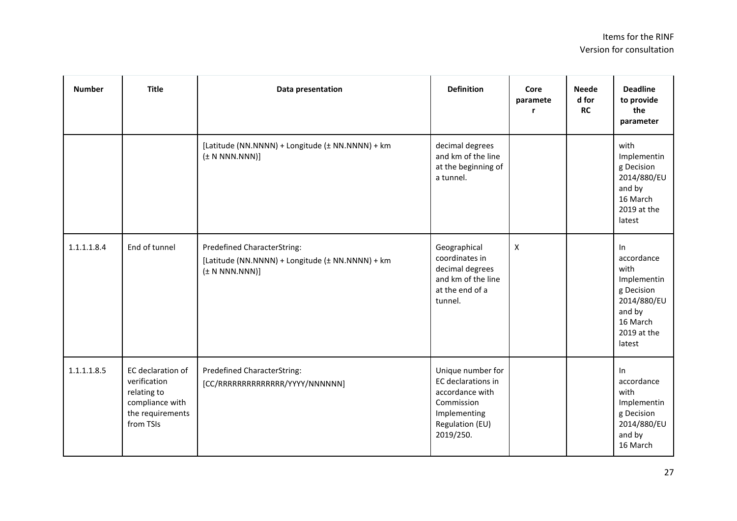| <b>Number</b> | <b>Title</b>                                                                                         | Data presentation                                                                                     | <b>Definition</b>                                                                                                        | Core<br>paramete   | <b>Neede</b><br>d for<br><b>RC</b> | <b>Deadline</b><br>to provide<br>the<br>parameter                                                                   |
|---------------|------------------------------------------------------------------------------------------------------|-------------------------------------------------------------------------------------------------------|--------------------------------------------------------------------------------------------------------------------------|--------------------|------------------------------------|---------------------------------------------------------------------------------------------------------------------|
|               |                                                                                                      | [Latitude (NN.NNNN) + Longitude (± NN.NNNN) + km<br>$(\pm N NNN.NNN)]$                                | decimal degrees<br>and km of the line<br>at the beginning of<br>a tunnel.                                                |                    |                                    | with<br>Implementin<br>g Decision<br>2014/880/EU<br>and by<br>16 March<br>2019 at the<br>latest                     |
| 1.1.1.1.8.4   | End of tunnel                                                                                        | Predefined CharacterString:<br>[Latitude (NN.NNNN) + Longitude (± NN.NNNN) + km<br>$(\pm N NNN.NNN)]$ | Geographical<br>coordinates in<br>decimal degrees<br>and km of the line<br>at the end of a<br>tunnel.                    | $\pmb{\mathsf{X}}$ |                                    | In<br>accordance<br>with<br>Implementin<br>g Decision<br>2014/880/EU<br>and by<br>16 March<br>2019 at the<br>latest |
| 1.1.1.1.8.5   | EC declaration of<br>verification<br>relating to<br>compliance with<br>the requirements<br>from TSIs | <b>Predefined CharacterString:</b><br>[CC/RRRRRRRRRRRRRR/YYYY/NNNNNN]                                 | Unique number for<br>EC declarations in<br>accordance with<br>Commission<br>Implementing<br>Regulation (EU)<br>2019/250. |                    |                                    | In<br>accordance<br>with<br>Implementin<br>g Decision<br>2014/880/EU<br>and by<br>16 March                          |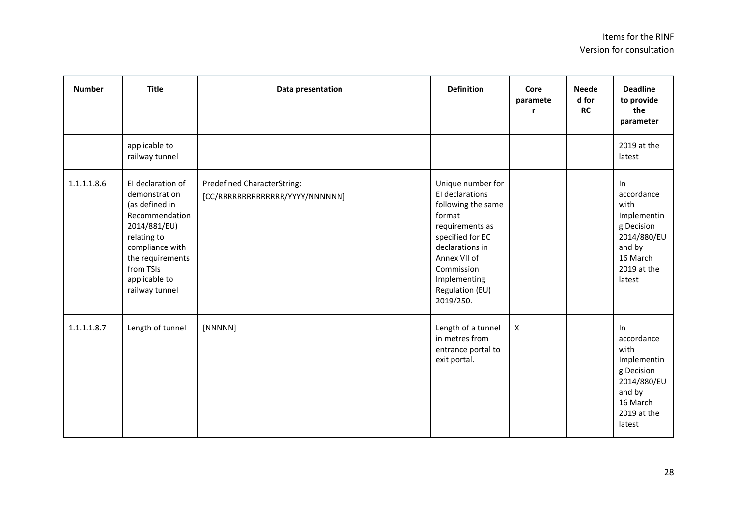| <b>Number</b> | <b>Title</b>                                                                                                                                                                                 | Data presentation                                              | <b>Definition</b>                                                                                                                                                                                            | Core<br>paramete<br>r | <b>Neede</b><br>d for<br><b>RC</b> | <b>Deadline</b><br>to provide<br>the<br>parameter                                                                   |
|---------------|----------------------------------------------------------------------------------------------------------------------------------------------------------------------------------------------|----------------------------------------------------------------|--------------------------------------------------------------------------------------------------------------------------------------------------------------------------------------------------------------|-----------------------|------------------------------------|---------------------------------------------------------------------------------------------------------------------|
|               | applicable to<br>railway tunnel                                                                                                                                                              |                                                                |                                                                                                                                                                                                              |                       |                                    | 2019 at the<br>latest                                                                                               |
| 1.1.1.1.8.6   | El declaration of<br>demonstration<br>(as defined in<br>Recommendation<br>2014/881/EU)<br>relating to<br>compliance with<br>the requirements<br>from TSIs<br>applicable to<br>railway tunnel | Predefined CharacterString:<br>[CC/RRRRRRRRRRRRRR/YYYY/NNNNNN] | Unique number for<br>El declarations<br>following the same<br>format<br>requirements as<br>specified for EC<br>declarations in<br>Annex VII of<br>Commission<br>Implementing<br>Regulation (EU)<br>2019/250. |                       |                                    | In<br>accordance<br>with<br>Implementin<br>g Decision<br>2014/880/EU<br>and by<br>16 March<br>2019 at the<br>latest |
| 1.1.1.1.8.7   | Length of tunnel                                                                                                                                                                             | [NNNNN]                                                        | Length of a tunnel<br>in metres from<br>entrance portal to<br>exit portal.                                                                                                                                   | $\mathsf X$           |                                    | In<br>accordance<br>with<br>Implementin<br>g Decision<br>2014/880/EU<br>and by<br>16 March<br>2019 at the<br>latest |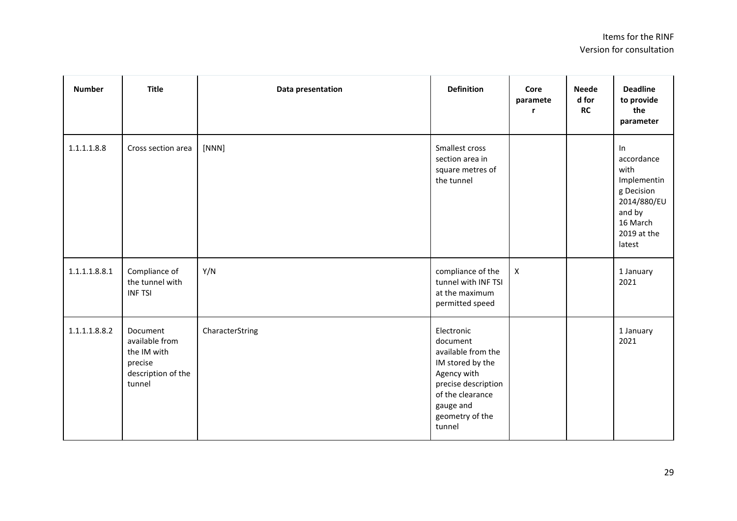| <b>Number</b> | <b>Title</b>                                                                         | Data presentation | <b>Definition</b>                                                                                                                                                    | Core<br>paramete<br>r | <b>Neede</b><br>d for<br><b>RC</b> | <b>Deadline</b><br>to provide<br>the<br>parameter                                                                   |
|---------------|--------------------------------------------------------------------------------------|-------------------|----------------------------------------------------------------------------------------------------------------------------------------------------------------------|-----------------------|------------------------------------|---------------------------------------------------------------------------------------------------------------------|
| 1.1.1.1.8.8   | Cross section area                                                                   | [NNN]             | Smallest cross<br>section area in<br>square metres of<br>the tunnel                                                                                                  |                       |                                    | In<br>accordance<br>with<br>Implementin<br>g Decision<br>2014/880/EU<br>and by<br>16 March<br>2019 at the<br>latest |
| 1.1.1.1.8.8.1 | Compliance of<br>the tunnel with<br><b>INF TSI</b>                                   | Y/N               | compliance of the<br>tunnel with INF TSI<br>at the maximum<br>permitted speed                                                                                        | $\pmb{\times}$        |                                    | 1 January<br>2021                                                                                                   |
| 1.1.1.1.8.8.2 | Document<br>available from<br>the IM with<br>precise<br>description of the<br>tunnel | CharacterString   | Electronic<br>document<br>available from the<br>IM stored by the<br>Agency with<br>precise description<br>of the clearance<br>gauge and<br>geometry of the<br>tunnel |                       |                                    | 1 January<br>2021                                                                                                   |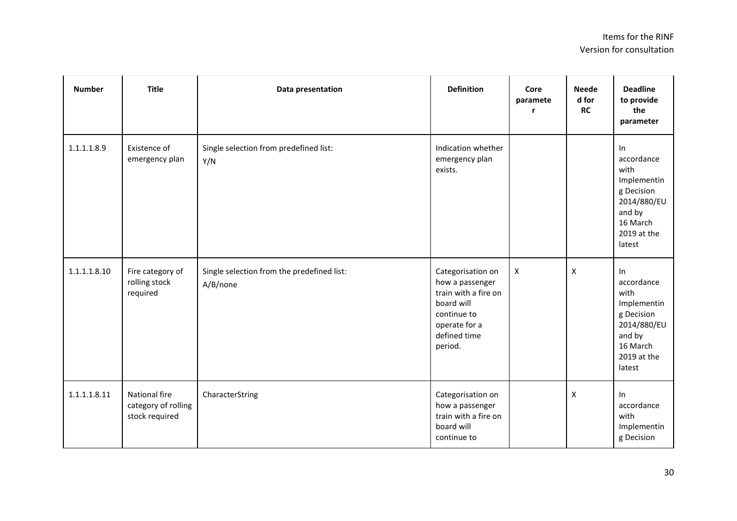| <b>Number</b> | <b>Title</b>                                           | Data presentation                                      | <b>Definition</b>                                                                                                                     | Core<br>paramete<br>r | <b>Neede</b><br>d for<br><b>RC</b> | <b>Deadline</b><br>to provide<br>the<br>parameter                                                                   |
|---------------|--------------------------------------------------------|--------------------------------------------------------|---------------------------------------------------------------------------------------------------------------------------------------|-----------------------|------------------------------------|---------------------------------------------------------------------------------------------------------------------|
| 1.1.1.1.8.9   | Existence of<br>emergency plan                         | Single selection from predefined list:<br>Y/N          | Indication whether<br>emergency plan<br>exists.                                                                                       |                       |                                    | In<br>accordance<br>with<br>Implementin<br>g Decision<br>2014/880/EU<br>and by<br>16 March<br>2019 at the<br>latest |
| 1.1.1.1.8.10  | Fire category of<br>rolling stock<br>required          | Single selection from the predefined list:<br>A/B/none | Categorisation on<br>how a passenger<br>train with a fire on<br>board will<br>continue to<br>operate for a<br>defined time<br>period. | $\mathsf{X}$          | X                                  | In<br>accordance<br>with<br>Implementin<br>g Decision<br>2014/880/EU<br>and by<br>16 March<br>2019 at the<br>latest |
| 1.1.1.1.8.11  | National fire<br>category of rolling<br>stock required | CharacterString                                        | Categorisation on<br>how a passenger<br>train with a fire on<br>board will<br>continue to                                             |                       | $\mathsf{X}$                       | In<br>accordance<br>with<br>Implementin<br>g Decision                                                               |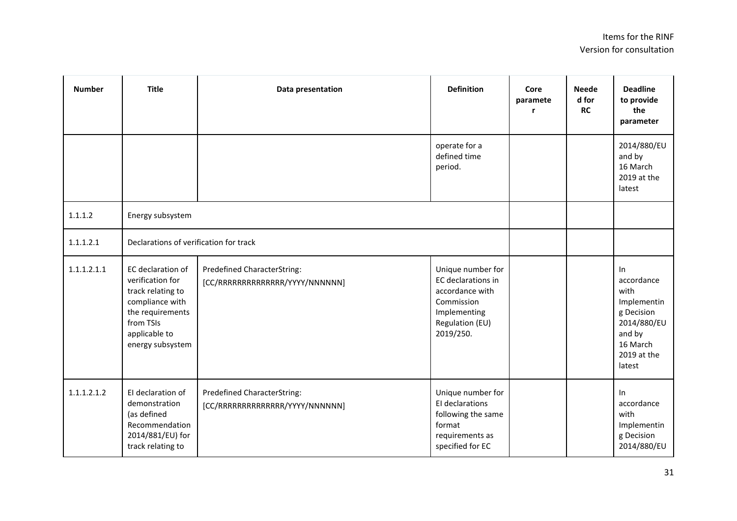| <b>Number</b> | <b>Title</b>                                                                                                                                        | Data presentation                                                     | <b>Definition</b>                                                                                                        | Core<br>paramete<br>r | <b>Neede</b><br>d for<br><b>RC</b> | <b>Deadline</b><br>to provide<br>the<br>parameter                                                                   |
|---------------|-----------------------------------------------------------------------------------------------------------------------------------------------------|-----------------------------------------------------------------------|--------------------------------------------------------------------------------------------------------------------------|-----------------------|------------------------------------|---------------------------------------------------------------------------------------------------------------------|
|               |                                                                                                                                                     |                                                                       | operate for a<br>defined time<br>period.                                                                                 |                       |                                    | 2014/880/EU<br>and by<br>16 March<br>2019 at the<br>latest                                                          |
| 1.1.1.2       | Energy subsystem                                                                                                                                    |                                                                       |                                                                                                                          |                       |                                    |                                                                                                                     |
| 1.1.1.2.1     | Declarations of verification for track                                                                                                              |                                                                       |                                                                                                                          |                       |                                    |                                                                                                                     |
| 1.1.1.2.1.1   | EC declaration of<br>verification for<br>track relating to<br>compliance with<br>the requirements<br>from TSIs<br>applicable to<br>energy subsystem | <b>Predefined CharacterString:</b><br>[CC/RRRRRRRRRRRRRR/YYYY/NNNNNN] | Unique number for<br>EC declarations in<br>accordance with<br>Commission<br>Implementing<br>Regulation (EU)<br>2019/250. |                       |                                    | In<br>accordance<br>with<br>Implementin<br>g Decision<br>2014/880/EU<br>and by<br>16 March<br>2019 at the<br>latest |
| 1.1.1.2.1.2   | El declaration of<br>demonstration<br>(as defined<br>Recommendation<br>2014/881/EU) for<br>track relating to                                        | Predefined CharacterString:<br>[CC/RRRRRRRRRRRRRR/YYYY/NNNNNN]        | Unique number for<br>El declarations<br>following the same<br>format<br>requirements as<br>specified for EC              |                       |                                    | In<br>accordance<br>with<br>Implementin<br>g Decision<br>2014/880/EU                                                |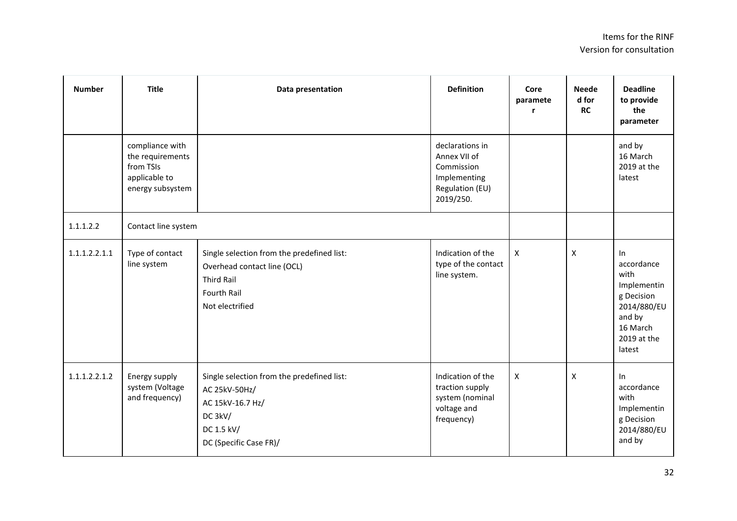| <b>Number</b> | <b>Title</b>                                                                          | Data presentation                                                                                                                       | <b>Definition</b>                                                                             | Core<br>paramete          | <b>Neede</b><br>d for<br>RC | <b>Deadline</b><br>to provide<br>the<br>parameter                                                                   |
|---------------|---------------------------------------------------------------------------------------|-----------------------------------------------------------------------------------------------------------------------------------------|-----------------------------------------------------------------------------------------------|---------------------------|-----------------------------|---------------------------------------------------------------------------------------------------------------------|
|               | compliance with<br>the requirements<br>from TSIs<br>applicable to<br>energy subsystem |                                                                                                                                         | declarations in<br>Annex VII of<br>Commission<br>Implementing<br>Regulation (EU)<br>2019/250. |                           |                             | and by<br>16 March<br>2019 at the<br>latest                                                                         |
| 1.1.1.2.2     | Contact line system                                                                   |                                                                                                                                         |                                                                                               |                           |                             |                                                                                                                     |
| 1.1.1.2.2.1.1 | Type of contact<br>line system                                                        | Single selection from the predefined list:<br>Overhead contact line (OCL)<br><b>Third Rail</b><br><b>Fourth Rail</b><br>Not electrified | Indication of the<br>type of the contact<br>line system.                                      | $\boldsymbol{\mathsf{x}}$ | $\pmb{\mathsf{X}}$          | In<br>accordance<br>with<br>Implementin<br>g Decision<br>2014/880/EU<br>and by<br>16 March<br>2019 at the<br>latest |
| 1.1.1.2.2.1.2 | Energy supply<br>system (Voltage<br>and frequency)                                    | Single selection from the predefined list:<br>AC 25kV-50Hz/<br>AC 15kV-16.7 Hz/<br>DC 3kV/<br>DC 1.5 kV/<br>DC (Specific Case FR)/      | Indication of the<br>traction supply<br>system (nominal<br>voltage and<br>frequency)          | X                         | X                           | In<br>accordance<br>with<br>Implementin<br>g Decision<br>2014/880/EU<br>and by                                      |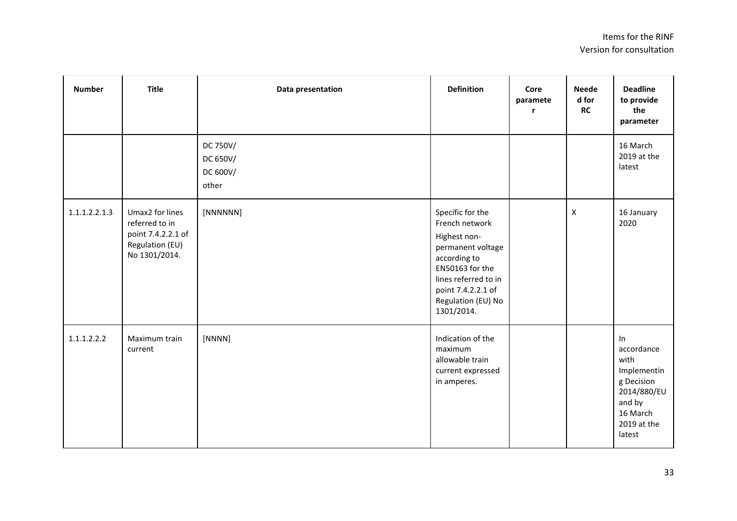| <b>Number</b> | <b>Title</b>                                                                                | Data presentation                         | <b>Definition</b>                                                                                                                                                                            | Core<br>paramete<br>r | <b>Neede</b><br>d for<br>RC | <b>Deadline</b><br>to provide<br>the<br>parameter                                                                   |
|---------------|---------------------------------------------------------------------------------------------|-------------------------------------------|----------------------------------------------------------------------------------------------------------------------------------------------------------------------------------------------|-----------------------|-----------------------------|---------------------------------------------------------------------------------------------------------------------|
|               |                                                                                             | DC 750V/<br>DC 650V/<br>DC 600V/<br>other |                                                                                                                                                                                              |                       |                             | 16 March<br>2019 at the<br>latest                                                                                   |
| 1.1.1.2.2.1.3 | Umax2 for lines<br>referred to in<br>point 7.4.2.2.1 of<br>Regulation (EU)<br>No 1301/2014. | [NNNNNN]                                  | Specific for the<br>French network<br>Highest non-<br>permanent voltage<br>according to<br>EN50163 for the<br>lines referred to in<br>point 7.4.2.2.1 of<br>Regulation (EU) No<br>1301/2014. |                       | $\mathsf{x}$                | 16 January<br>2020                                                                                                  |
| 1.1.1.2.2.2   | Maximum train<br>current                                                                    | [NNNN]                                    | Indication of the<br>maximum<br>allowable train<br>current expressed<br>in amperes.                                                                                                          |                       |                             | In<br>accordance<br>with<br>Implementin<br>g Decision<br>2014/880/EU<br>and by<br>16 March<br>2019 at the<br>latest |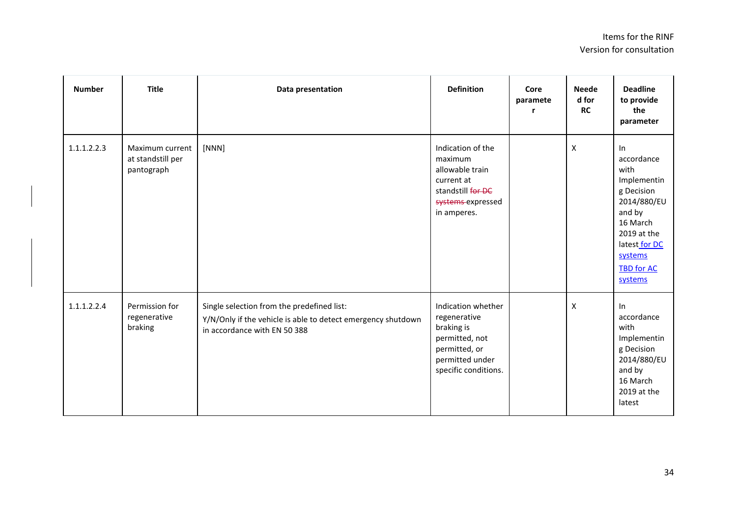| <b>Number</b> | <b>Title</b>                                       | Data presentation                                                                                                                          | <b>Definition</b>                                                                                                              | Core<br>paramete<br>r | <b>Neede</b><br>d for<br><b>RC</b> | <b>Deadline</b><br>to provide<br>the<br>parameter                                                                                                                        |
|---------------|----------------------------------------------------|--------------------------------------------------------------------------------------------------------------------------------------------|--------------------------------------------------------------------------------------------------------------------------------|-----------------------|------------------------------------|--------------------------------------------------------------------------------------------------------------------------------------------------------------------------|
| 1.1.1.2.2.3   | Maximum current<br>at standstill per<br>pantograph | [NNN]                                                                                                                                      | Indication of the<br>maximum<br>allowable train<br>current at<br>standstill for DC<br>systems expressed<br>in amperes.         |                       | $\pmb{\times}$                     | $\ln$<br>accordance<br>with<br>Implementin<br>g Decision<br>2014/880/EU<br>and by<br>16 March<br>2019 at the<br>latest for DC<br>systems<br><b>TBD for AC</b><br>systems |
| 1.1.1.2.2.4   | Permission for<br>regenerative<br>braking          | Single selection from the predefined list:<br>Y/N/Only if the vehicle is able to detect emergency shutdown<br>in accordance with EN 50 388 | Indication whether<br>regenerative<br>braking is<br>permitted, not<br>permitted, or<br>permitted under<br>specific conditions. |                       | X                                  | $\ln$<br>accordance<br>with<br>Implementin<br>g Decision<br>2014/880/EU<br>and by<br>16 March<br>2019 at the<br>latest                                                   |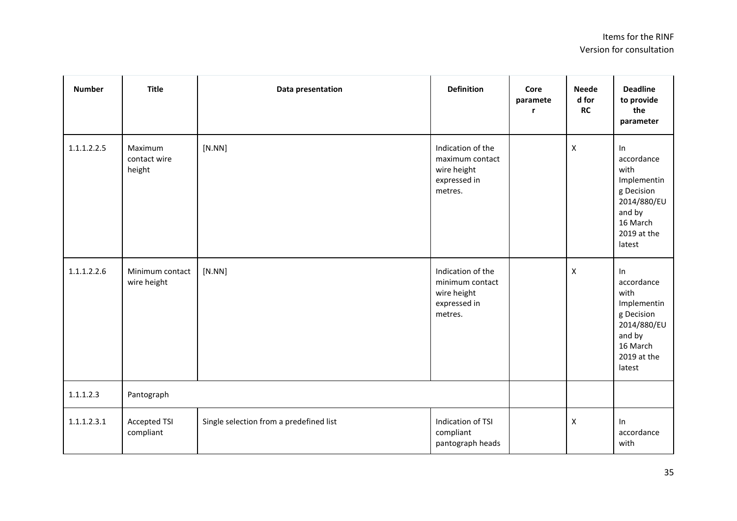| <b>Number</b> | <b>Title</b>                      | Data presentation                       | <b>Definition</b>                                                              | Core<br>paramete<br>r | <b>Neede</b><br>d for<br><b>RC</b> | <b>Deadline</b><br>to provide<br>the<br>parameter                                                                   |
|---------------|-----------------------------------|-----------------------------------------|--------------------------------------------------------------------------------|-----------------------|------------------------------------|---------------------------------------------------------------------------------------------------------------------|
| 1.1.1.2.2.5   | Maximum<br>contact wire<br>height | [N.NN]                                  | Indication of the<br>maximum contact<br>wire height<br>expressed in<br>metres. |                       | $\boldsymbol{X}$                   | In<br>accordance<br>with<br>Implementin<br>g Decision<br>2014/880/EU<br>and by<br>16 March<br>2019 at the<br>latest |
| 1.1.1.2.2.6   | Minimum contact<br>wire height    | [N.NN]                                  | Indication of the<br>minimum contact<br>wire height<br>expressed in<br>metres. |                       | $\pmb{\times}$                     | In<br>accordance<br>with<br>Implementin<br>g Decision<br>2014/880/EU<br>and by<br>16 March<br>2019 at the<br>latest |
| 1.1.1.2.3     | Pantograph                        |                                         |                                                                                |                       |                                    |                                                                                                                     |
| 1.1.1.2.3.1   | Accepted TSI<br>compliant         | Single selection from a predefined list | Indication of TSI<br>compliant<br>pantograph heads                             |                       | $\pmb{\times}$                     | In<br>accordance<br>with                                                                                            |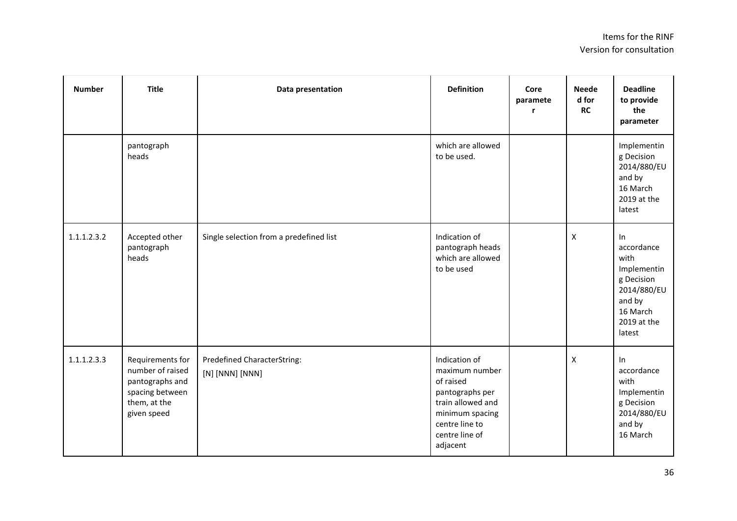| <b>Number</b> | <b>Title</b>                                                                                              | Data presentation                              | <b>Definition</b>                                                                                                                                       | Core<br>paramete | <b>Neede</b><br>d for<br><b>RC</b> | <b>Deadline</b><br>to provide<br>the<br>parameter                                                                   |
|---------------|-----------------------------------------------------------------------------------------------------------|------------------------------------------------|---------------------------------------------------------------------------------------------------------------------------------------------------------|------------------|------------------------------------|---------------------------------------------------------------------------------------------------------------------|
|               | pantograph<br>heads                                                                                       |                                                | which are allowed<br>to be used.                                                                                                                        |                  |                                    | Implementin<br>g Decision<br>2014/880/EU<br>and by<br>16 March<br>2019 at the<br>latest                             |
| 1.1.1.2.3.2   | Accepted other<br>pantograph<br>heads                                                                     | Single selection from a predefined list        | Indication of<br>pantograph heads<br>which are allowed<br>to be used                                                                                    |                  | X                                  | In<br>accordance<br>with<br>Implementin<br>g Decision<br>2014/880/EU<br>and by<br>16 March<br>2019 at the<br>latest |
| 1.1.1.2.3.3   | Requirements for<br>number of raised<br>pantographs and<br>spacing between<br>them, at the<br>given speed | Predefined CharacterString:<br>[N] [NNN] [NNN] | Indication of<br>maximum number<br>of raised<br>pantographs per<br>train allowed and<br>minimum spacing<br>centre line to<br>centre line of<br>adjacent |                  | $\mathsf{x}$                       | In<br>accordance<br>with<br>Implementin<br>g Decision<br>2014/880/EU<br>and by<br>16 March                          |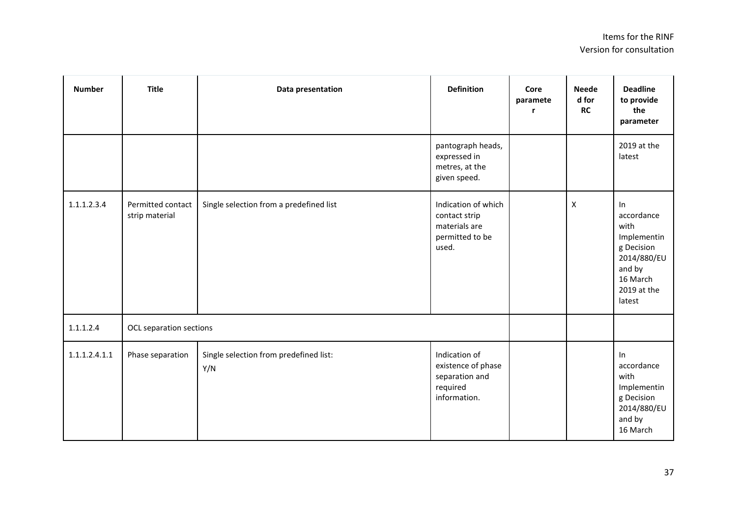| <b>Number</b> | <b>Title</b>                        | Data presentation                             | <b>Definition</b>                                                                 | Core<br>paramete<br>r | <b>Neede</b><br>d for<br><b>RC</b> | <b>Deadline</b><br>to provide<br>the<br>parameter                                                                   |
|---------------|-------------------------------------|-----------------------------------------------|-----------------------------------------------------------------------------------|-----------------------|------------------------------------|---------------------------------------------------------------------------------------------------------------------|
|               |                                     |                                               | pantograph heads,<br>expressed in<br>metres, at the<br>given speed.               |                       |                                    | 2019 at the<br>latest                                                                                               |
| 1.1.1.2.3.4   | Permitted contact<br>strip material | Single selection from a predefined list       | Indication of which<br>contact strip<br>materials are<br>permitted to be<br>used. |                       | $\mathsf{x}$                       | In<br>accordance<br>with<br>Implementin<br>g Decision<br>2014/880/EU<br>and by<br>16 March<br>2019 at the<br>latest |
| 1.1.1.2.4     | OCL separation sections             |                                               |                                                                                   |                       |                                    |                                                                                                                     |
| 1.1.1.2.4.1.1 | Phase separation                    | Single selection from predefined list:<br>Y/N | Indication of<br>existence of phase<br>separation and<br>required<br>information. |                       |                                    | In<br>accordance<br>with<br>Implementin<br>g Decision<br>2014/880/EU<br>and by<br>16 March                          |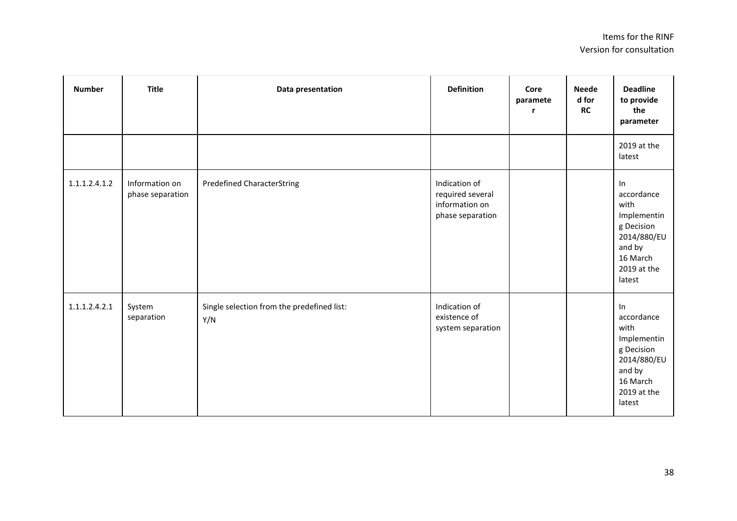| <b>Number</b> | <b>Title</b>                       | Data presentation                                 | <b>Definition</b>                                                       | Core<br>paramete<br>r | <b>Neede</b><br>d for<br>RC | <b>Deadline</b><br>to provide<br>the<br>parameter                                                                   |
|---------------|------------------------------------|---------------------------------------------------|-------------------------------------------------------------------------|-----------------------|-----------------------------|---------------------------------------------------------------------------------------------------------------------|
|               |                                    |                                                   |                                                                         |                       |                             | 2019 at the<br>latest                                                                                               |
| 1.1.1.2.4.1.2 | Information on<br>phase separation | <b>Predefined CharacterString</b>                 | Indication of<br>required several<br>information on<br>phase separation |                       |                             | In<br>accordance<br>with<br>Implementin<br>g Decision<br>2014/880/EU<br>and by<br>16 March<br>2019 at the<br>latest |
| 1.1.1.2.4.2.1 | System<br>separation               | Single selection from the predefined list:<br>Y/N | Indication of<br>existence of<br>system separation                      |                       |                             | In<br>accordance<br>with<br>Implementin<br>g Decision<br>2014/880/EU<br>and by<br>16 March<br>2019 at the<br>latest |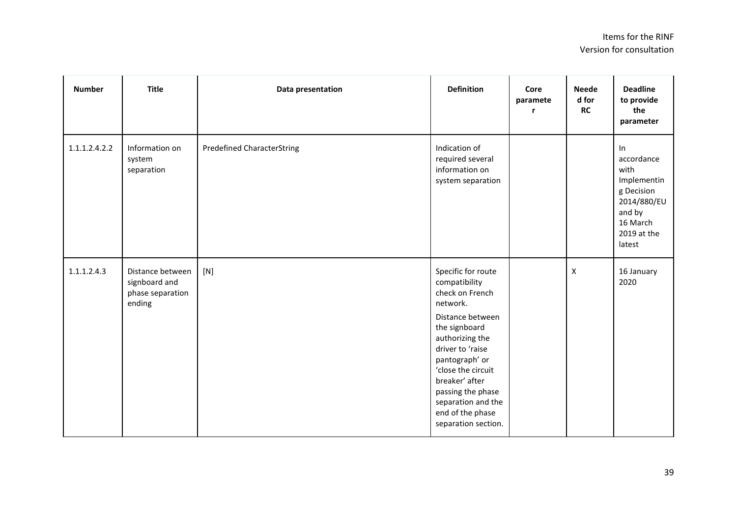| <b>Number</b> | <b>Title</b>                                                    | Data presentation                 | <b>Definition</b>                                                                                                                                                                                                                                                                              | Core<br>paramete<br>r | <b>Neede</b><br>d for<br><b>RC</b> | <b>Deadline</b><br>to provide<br>the<br>parameter                                                                   |
|---------------|-----------------------------------------------------------------|-----------------------------------|------------------------------------------------------------------------------------------------------------------------------------------------------------------------------------------------------------------------------------------------------------------------------------------------|-----------------------|------------------------------------|---------------------------------------------------------------------------------------------------------------------|
| 1.1.1.2.4.2.2 | Information on<br>system<br>separation                          | <b>Predefined CharacterString</b> | Indication of<br>required several<br>information on<br>system separation                                                                                                                                                                                                                       |                       |                                    | In<br>accordance<br>with<br>Implementin<br>g Decision<br>2014/880/EU<br>and by<br>16 March<br>2019 at the<br>latest |
| 1.1.1.2.4.3   | Distance between<br>signboard and<br>phase separation<br>ending | [N]                               | Specific for route<br>compatibility<br>check on French<br>network.<br>Distance between<br>the signboard<br>authorizing the<br>driver to 'raise<br>pantograph' or<br>'close the circuit<br>breaker' after<br>passing the phase<br>separation and the<br>end of the phase<br>separation section. |                       | $\boldsymbol{X}$                   | 16 January<br>2020                                                                                                  |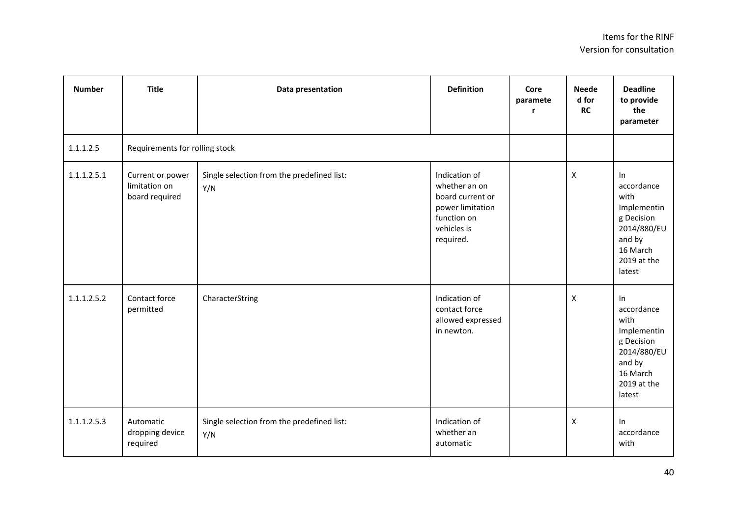| <b>Number</b> | <b>Title</b>                                        | Data presentation                                 | <b>Definition</b>                                                                                                 | Core<br>paramete<br>r | <b>Neede</b><br>d for<br><b>RC</b> | <b>Deadline</b><br>to provide<br>the<br>parameter                                                                   |
|---------------|-----------------------------------------------------|---------------------------------------------------|-------------------------------------------------------------------------------------------------------------------|-----------------------|------------------------------------|---------------------------------------------------------------------------------------------------------------------|
| 1.1.1.2.5     |                                                     | Requirements for rolling stock                    |                                                                                                                   |                       |                                    |                                                                                                                     |
| 1.1.1.2.5.1   | Current or power<br>limitation on<br>board required | Single selection from the predefined list:<br>Y/N | Indication of<br>whether an on<br>board current or<br>power limitation<br>function on<br>vehicles is<br>required. |                       | X                                  | In<br>accordance<br>with<br>Implementin<br>g Decision<br>2014/880/EU<br>and by<br>16 March<br>2019 at the<br>latest |
| 1.1.1.2.5.2   | Contact force<br>permitted                          | CharacterString                                   | Indication of<br>contact force<br>allowed expressed<br>in newton.                                                 |                       | $\pmb{\times}$                     | In<br>accordance<br>with<br>Implementin<br>g Decision<br>2014/880/EU<br>and by<br>16 March<br>2019 at the<br>latest |
| 1.1.1.2.5.3   | Automatic<br>dropping device<br>required            | Single selection from the predefined list:<br>Y/N | Indication of<br>whether an<br>automatic                                                                          |                       | $\pmb{\mathsf{X}}$                 | In<br>accordance<br>with                                                                                            |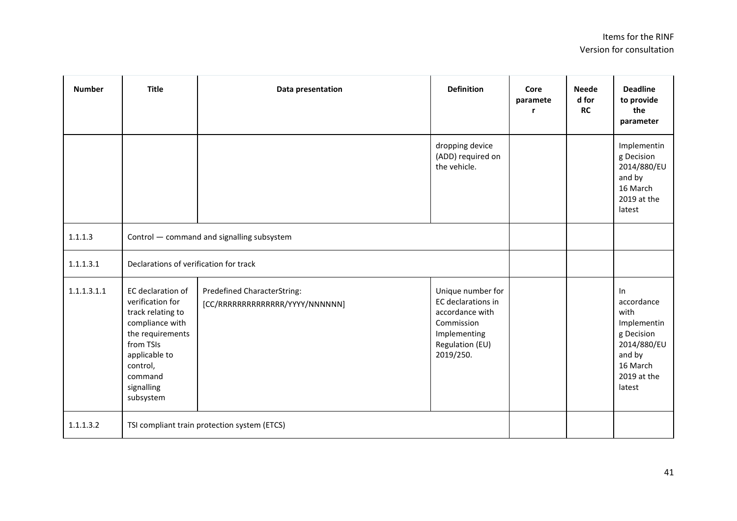| <b>Number</b> | <b>Title</b>                                                                                                                                                                      | Data presentation                                              | <b>Definition</b>                                                                                                        | Core<br>paramete | <b>Neede</b><br>d for<br><b>RC</b> | <b>Deadline</b><br>to provide<br>the<br>parameter                                                                      |
|---------------|-----------------------------------------------------------------------------------------------------------------------------------------------------------------------------------|----------------------------------------------------------------|--------------------------------------------------------------------------------------------------------------------------|------------------|------------------------------------|------------------------------------------------------------------------------------------------------------------------|
|               |                                                                                                                                                                                   |                                                                | dropping device<br>(ADD) required on<br>the vehicle.                                                                     |                  |                                    | Implementin<br>g Decision<br>2014/880/EU<br>and by<br>16 March<br>2019 at the<br>latest                                |
| 1.1.1.3       | Control - command and signalling subsystem                                                                                                                                        |                                                                |                                                                                                                          |                  |                                    |                                                                                                                        |
| 1.1.1.3.1     | Declarations of verification for track                                                                                                                                            |                                                                |                                                                                                                          |                  |                                    |                                                                                                                        |
| 1.1.1.3.1.1   | EC declaration of<br>verification for<br>track relating to<br>compliance with<br>the requirements<br>from TSIs<br>applicable to<br>control,<br>command<br>signalling<br>subsystem | Predefined CharacterString:<br>[CC/RRRRRRRRRRRRRR/YYYY/NNNNNN] | Unique number for<br>EC declarations in<br>accordance with<br>Commission<br>Implementing<br>Regulation (EU)<br>2019/250. |                  |                                    | $\ln$<br>accordance<br>with<br>Implementin<br>g Decision<br>2014/880/EU<br>and by<br>16 March<br>2019 at the<br>latest |
| 1.1.1.3.2     |                                                                                                                                                                                   | TSI compliant train protection system (ETCS)                   |                                                                                                                          |                  |                                    |                                                                                                                        |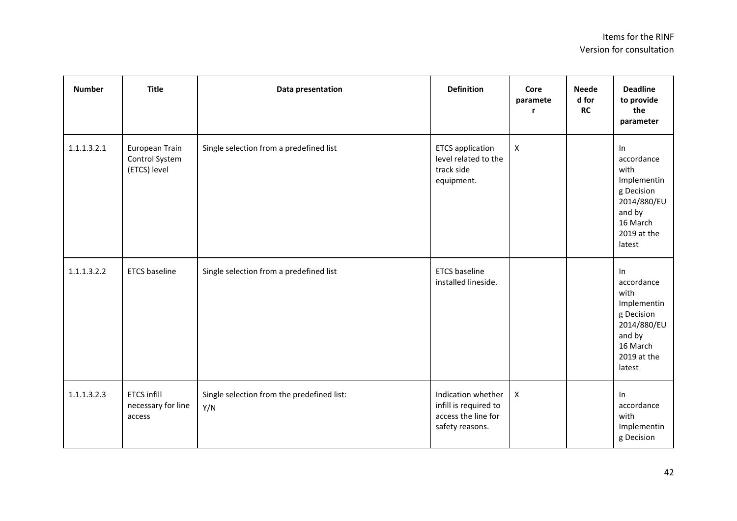| <b>Number</b> | <b>Title</b>                                       | Data presentation                                 | <b>Definition</b>                                                                     | Core<br>paramete<br>r | <b>Neede</b><br>d for<br><b>RC</b> | <b>Deadline</b><br>to provide<br>the<br>parameter                                                                   |
|---------------|----------------------------------------------------|---------------------------------------------------|---------------------------------------------------------------------------------------|-----------------------|------------------------------------|---------------------------------------------------------------------------------------------------------------------|
| 1.1.1.3.2.1   | European Train<br>Control System<br>(ETCS) level   | Single selection from a predefined list           | <b>ETCS</b> application<br>level related to the<br>track side<br>equipment.           | $\mathsf{X}$          |                                    | In<br>accordance<br>with<br>Implementin<br>g Decision<br>2014/880/EU<br>and by<br>16 March<br>2019 at the<br>latest |
| 1.1.1.3.2.2   | <b>ETCS</b> baseline                               | Single selection from a predefined list           | <b>ETCS</b> baseline<br>installed lineside.                                           |                       |                                    | In<br>accordance<br>with<br>Implementin<br>g Decision<br>2014/880/EU<br>and by<br>16 March<br>2019 at the<br>latest |
| 1.1.1.3.2.3   | <b>ETCS infill</b><br>necessary for line<br>access | Single selection from the predefined list:<br>Y/N | Indication whether<br>infill is required to<br>access the line for<br>safety reasons. | $\pmb{\times}$        |                                    | In<br>accordance<br>with<br>Implementin<br>g Decision                                                               |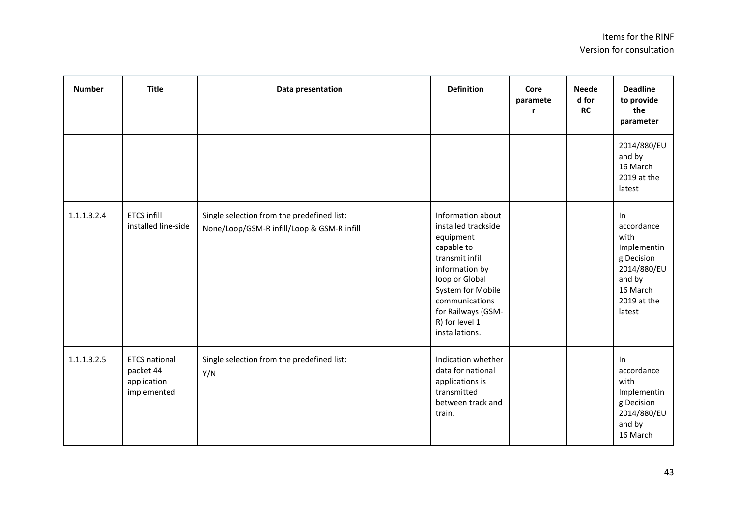| <b>Number</b> | <b>Title</b>                                                    | Data presentation                                                                        | <b>Definition</b>                                                                                                                                                                                                           | Core<br>paramete<br>r | <b>Neede</b><br>d for<br><b>RC</b> | <b>Deadline</b><br>to provide<br>the<br>parameter                                                                   |
|---------------|-----------------------------------------------------------------|------------------------------------------------------------------------------------------|-----------------------------------------------------------------------------------------------------------------------------------------------------------------------------------------------------------------------------|-----------------------|------------------------------------|---------------------------------------------------------------------------------------------------------------------|
|               |                                                                 |                                                                                          |                                                                                                                                                                                                                             |                       |                                    | 2014/880/EU<br>and by<br>16 March<br>2019 at the<br>latest                                                          |
| 1.1.1.3.2.4   | <b>ETCS infill</b><br>installed line-side                       | Single selection from the predefined list:<br>None/Loop/GSM-R infill/Loop & GSM-R infill | Information about<br>installed trackside<br>equipment<br>capable to<br>transmit infill<br>information by<br>loop or Global<br>System for Mobile<br>communications<br>for Railways (GSM-<br>R) for level 1<br>installations. |                       |                                    | In<br>accordance<br>with<br>Implementin<br>g Decision<br>2014/880/EU<br>and by<br>16 March<br>2019 at the<br>latest |
| 1.1.1.3.2.5   | <b>ETCS national</b><br>packet 44<br>application<br>implemented | Single selection from the predefined list:<br>Y/N                                        | Indication whether<br>data for national<br>applications is<br>transmitted<br>between track and<br>train.                                                                                                                    |                       |                                    | In<br>accordance<br>with<br>Implementin<br>g Decision<br>2014/880/EU<br>and by<br>16 March                          |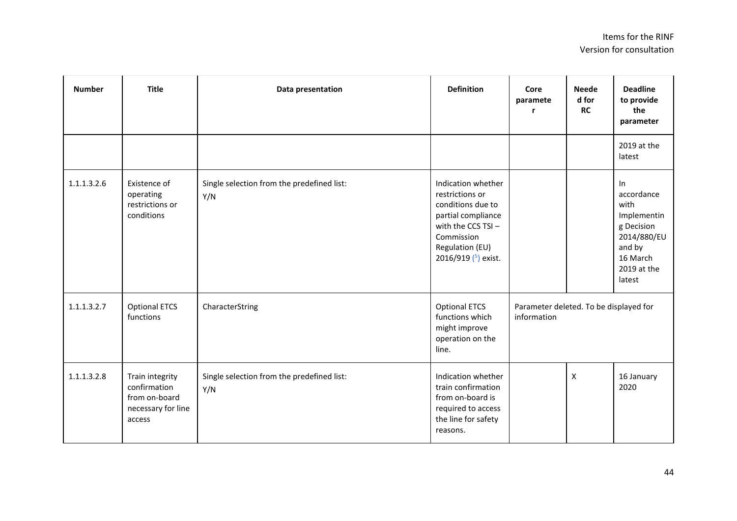| <b>Number</b> | <b>Title</b>                                                                     | Data presentation                                 | <b>Definition</b>                                                                                                                                                  | Core<br>paramete<br>r                                 | <b>Neede</b><br>d for<br><b>RC</b> | <b>Deadline</b><br>to provide<br>the<br>parameter                                                                   |
|---------------|----------------------------------------------------------------------------------|---------------------------------------------------|--------------------------------------------------------------------------------------------------------------------------------------------------------------------|-------------------------------------------------------|------------------------------------|---------------------------------------------------------------------------------------------------------------------|
|               |                                                                                  |                                                   |                                                                                                                                                                    |                                                       |                                    | 2019 at the<br>latest                                                                                               |
| 1.1.1.3.2.6   | Existence of<br>operating<br>restrictions or<br>conditions                       | Single selection from the predefined list:<br>Y/N | Indication whether<br>restrictions or<br>conditions due to<br>partial compliance<br>with the CCS $TSI -$<br>Commission<br>Regulation (EU)<br>2016/919 $(5)$ exist. |                                                       |                                    | In<br>accordance<br>with<br>Implementin<br>g Decision<br>2014/880/EU<br>and by<br>16 March<br>2019 at the<br>latest |
| 1.1.1.3.2.7   | <b>Optional ETCS</b><br>functions                                                | CharacterString                                   | <b>Optional ETCS</b><br>functions which<br>might improve<br>operation on the<br>line.                                                                              | Parameter deleted. To be displayed for<br>information |                                    |                                                                                                                     |
| 1.1.1.3.2.8   | Train integrity<br>confirmation<br>from on-board<br>necessary for line<br>access | Single selection from the predefined list:<br>Y/N | Indication whether<br>train confirmation<br>from on-board is<br>required to access<br>the line for safety<br>reasons.                                              |                                                       | $\pmb{\mathsf{X}}$                 | 16 January<br>2020                                                                                                  |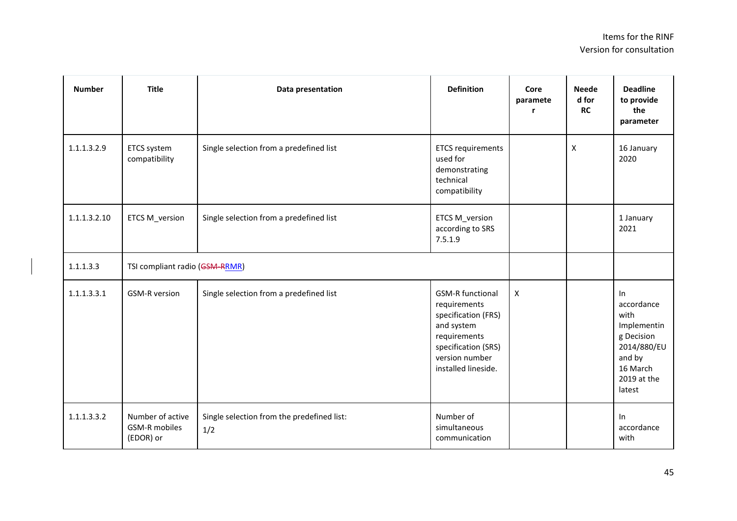| <b>Number</b> | <b>Title</b>                                          | Data presentation                                 | <b>Definition</b>                                                                                                                                            | Core<br>paramete   | <b>Neede</b><br>d for<br><b>RC</b> | <b>Deadline</b><br>to provide<br>the<br>parameter                                                                   |
|---------------|-------------------------------------------------------|---------------------------------------------------|--------------------------------------------------------------------------------------------------------------------------------------------------------------|--------------------|------------------------------------|---------------------------------------------------------------------------------------------------------------------|
| 1.1.1.3.2.9   | ETCS system<br>compatibility                          | Single selection from a predefined list           | <b>ETCS requirements</b><br>used for<br>demonstrating<br>technical<br>compatibility                                                                          |                    | $\pmb{\mathsf{X}}$                 | 16 January<br>2020                                                                                                  |
| 1.1.1.3.2.10  | ETCS M_version                                        | Single selection from a predefined list           | <b>ETCS M_version</b><br>according to SRS<br>7.5.1.9                                                                                                         |                    |                                    | 1 January<br>2021                                                                                                   |
| 1.1.1.3.3     | TSI compliant radio (GSM-RRMR)                        |                                                   |                                                                                                                                                              |                    |                                    |                                                                                                                     |
| 1.1.1.3.3.1   | <b>GSM-R version</b>                                  | Single selection from a predefined list           | <b>GSM-R functional</b><br>requirements<br>specification (FRS)<br>and system<br>requirements<br>specification (SRS)<br>version number<br>installed lineside. | $\pmb{\mathsf{X}}$ |                                    | In<br>accordance<br>with<br>Implementin<br>g Decision<br>2014/880/EU<br>and by<br>16 March<br>2019 at the<br>latest |
| 1.1.1.3.3.2   | Number of active<br><b>GSM-R</b> mobiles<br>(EDOR) or | Single selection from the predefined list:<br>1/2 | Number of<br>simultaneous<br>communication                                                                                                                   |                    |                                    | ln<br>accordance<br>with                                                                                            |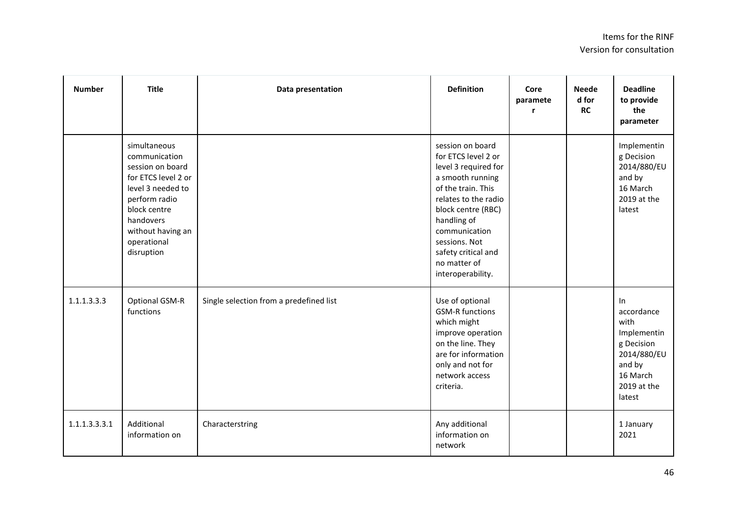| <b>Number</b> | <b>Title</b>                                                                                                                                                                                  | Data presentation                       | <b>Definition</b>                                                                                                                                                                                                                                                    | Core<br>paramete | <b>Neede</b><br>d for<br>RC | <b>Deadline</b><br>to provide<br>the<br>parameter                                                                   |
|---------------|-----------------------------------------------------------------------------------------------------------------------------------------------------------------------------------------------|-----------------------------------------|----------------------------------------------------------------------------------------------------------------------------------------------------------------------------------------------------------------------------------------------------------------------|------------------|-----------------------------|---------------------------------------------------------------------------------------------------------------------|
|               | simultaneous<br>communication<br>session on board<br>for ETCS level 2 or<br>level 3 needed to<br>perform radio<br>block centre<br>handovers<br>without having an<br>operational<br>disruption |                                         | session on board<br>for ETCS level 2 or<br>level 3 required for<br>a smooth running<br>of the train. This<br>relates to the radio<br>block centre (RBC)<br>handling of<br>communication<br>sessions. Not<br>safety critical and<br>no matter of<br>interoperability. |                  |                             | Implementin<br>g Decision<br>2014/880/EU<br>and by<br>16 March<br>2019 at the<br>latest                             |
| 1.1.1.3.3.3   | Optional GSM-R<br>functions                                                                                                                                                                   | Single selection from a predefined list | Use of optional<br><b>GSM-R functions</b><br>which might<br>improve operation<br>on the line. They<br>are for information<br>only and not for<br>network access<br>criteria.                                                                                         |                  |                             | In<br>accordance<br>with<br>Implementin<br>g Decision<br>2014/880/EU<br>and by<br>16 March<br>2019 at the<br>latest |
| 1.1.1.3.3.3.1 | Additional<br>information on                                                                                                                                                                  | Characterstring                         | Any additional<br>information on<br>network                                                                                                                                                                                                                          |                  |                             | 1 January<br>2021                                                                                                   |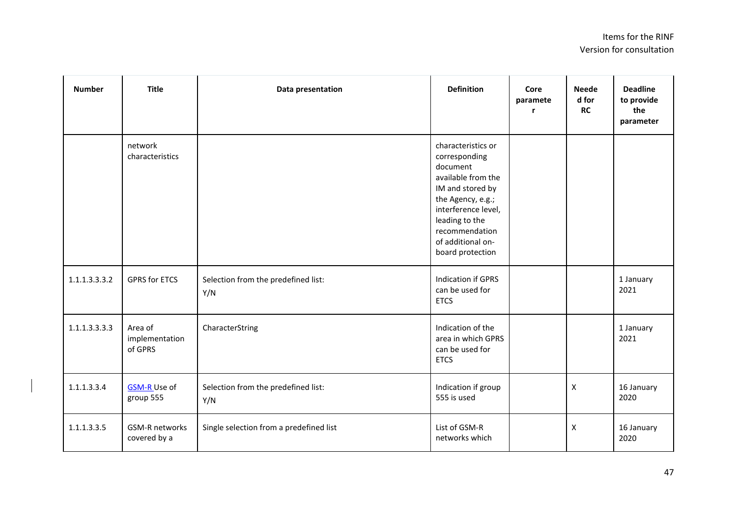| <b>Number</b> | <b>Title</b>                          | Data presentation                          | <b>Definition</b>                                                                                                                                                                                                  | Core<br>paramete<br>r | <b>Neede</b><br>d for<br><b>RC</b> | <b>Deadline</b><br>to provide<br>the<br>parameter |
|---------------|---------------------------------------|--------------------------------------------|--------------------------------------------------------------------------------------------------------------------------------------------------------------------------------------------------------------------|-----------------------|------------------------------------|---------------------------------------------------|
|               | network<br>characteristics            |                                            | characteristics or<br>corresponding<br>document<br>available from the<br>IM and stored by<br>the Agency, e.g.;<br>interference level,<br>leading to the<br>recommendation<br>of additional on-<br>board protection |                       |                                    |                                                   |
| 1.1.1.3.3.3.2 | <b>GPRS for ETCS</b>                  | Selection from the predefined list:<br>Y/N | <b>Indication if GPRS</b><br>can be used for<br><b>ETCS</b>                                                                                                                                                        |                       |                                    | 1 January<br>2021                                 |
| 1.1.1.3.3.3.3 | Area of<br>implementation<br>of GPRS  | CharacterString                            | Indication of the<br>area in which GPRS<br>can be used for<br><b>ETCS</b>                                                                                                                                          |                       |                                    | 1 January<br>2021                                 |
| 1.1.1.3.3.4   | <b>GSM-R Use of</b><br>group 555      | Selection from the predefined list:<br>Y/N | Indication if group<br>555 is used                                                                                                                                                                                 |                       | $\mathsf{X}$                       | 16 January<br>2020                                |
| 1.1.1.3.3.5   | <b>GSM-R networks</b><br>covered by a | Single selection from a predefined list    | List of GSM-R<br>networks which                                                                                                                                                                                    |                       | $\mathsf{X}$                       | 16 January<br>2020                                |

 $\begin{array}{c} \hline \end{array}$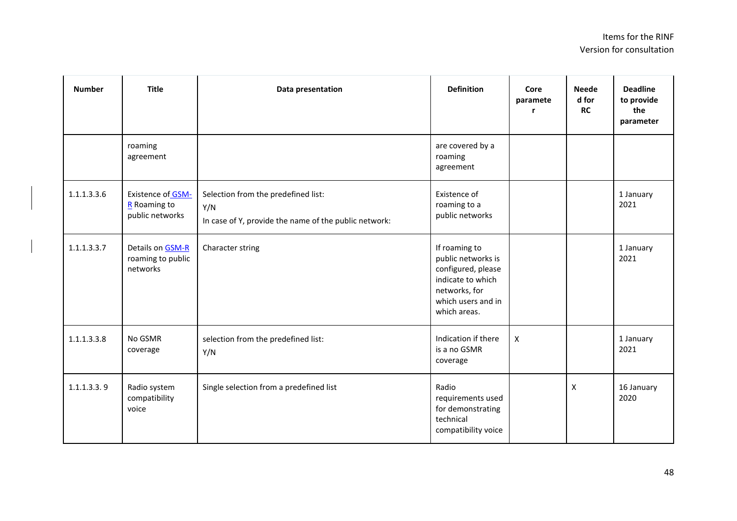| <b>Number</b> | <b>Title</b>                                                  | Data presentation                                                                                   | <b>Definition</b>                                                                                                                     | Core<br>paramete | <b>Neede</b><br>d for<br><b>RC</b> | <b>Deadline</b><br>to provide<br>the<br>parameter |
|---------------|---------------------------------------------------------------|-----------------------------------------------------------------------------------------------------|---------------------------------------------------------------------------------------------------------------------------------------|------------------|------------------------------------|---------------------------------------------------|
|               | roaming<br>agreement                                          |                                                                                                     | are covered by a<br>roaming<br>agreement                                                                                              |                  |                                    |                                                   |
| 1.1.1.3.3.6   | <b>Existence of GSM-</b><br>$R$ Roaming to<br>public networks | Selection from the predefined list:<br>Y/N<br>In case of Y, provide the name of the public network: | Existence of<br>roaming to a<br>public networks                                                                                       |                  |                                    | 1 January<br>2021                                 |
| 1.1.1.3.3.7   | Details on GSM-R<br>roaming to public<br>networks             | Character string                                                                                    | If roaming to<br>public networks is<br>configured, please<br>indicate to which<br>networks, for<br>which users and in<br>which areas. |                  |                                    | 1 January<br>2021                                 |
| 1.1.1.3.3.8   | No GSMR<br>coverage                                           | selection from the predefined list:<br>Y/N                                                          | Indication if there<br>is a no GSMR<br>coverage                                                                                       | $\pmb{\times}$   |                                    | 1 January<br>2021                                 |
| 1.1.1.3.3.9   | Radio system<br>compatibility<br>voice                        | Single selection from a predefined list                                                             | Radio<br>requirements used<br>for demonstrating<br>technical<br>compatibility voice                                                   |                  | X                                  | 16 January<br>2020                                |

 $\begin{array}{c} \hline \end{array}$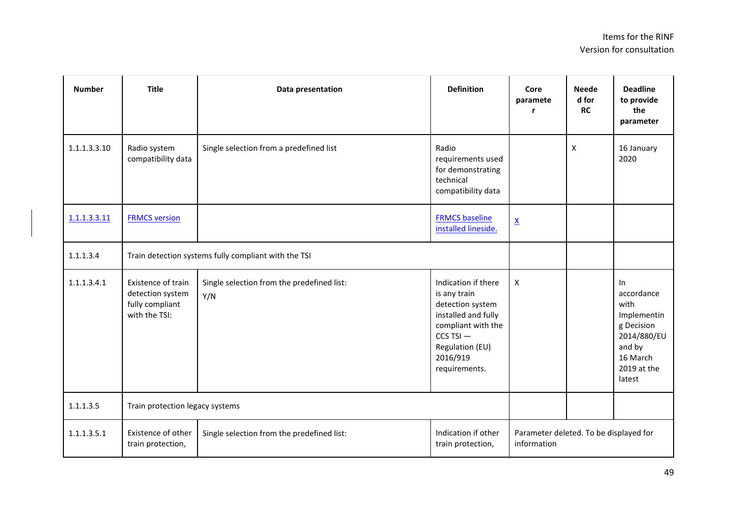| <b>Number</b> | <b>Title</b>                                                               | Data presentation                                 | <b>Definition</b>                                                                                                                                                     | Core<br>paramete                                      | <b>Neede</b><br>d for<br><b>RC</b> | <b>Deadline</b><br>to provide<br>the<br>parameter                                                                   |
|---------------|----------------------------------------------------------------------------|---------------------------------------------------|-----------------------------------------------------------------------------------------------------------------------------------------------------------------------|-------------------------------------------------------|------------------------------------|---------------------------------------------------------------------------------------------------------------------|
| 1.1.1.3.3.10  | Radio system<br>compatibility data                                         | Single selection from a predefined list           | Radio<br>requirements used<br>for demonstrating<br>technical<br>compatibility data                                                                                    |                                                       | X                                  | 16 January<br>2020                                                                                                  |
| 1.1.1.3.3.11  | <b>FRMCS version</b>                                                       |                                                   | <b>FRMCS baseline</b><br>installed lineside.                                                                                                                          | $\underline{\mathsf{X}}$                              |                                    |                                                                                                                     |
| 1.1.1.3.4     | Train detection systems fully compliant with the TSI                       |                                                   |                                                                                                                                                                       |                                                       |                                    |                                                                                                                     |
| 1.1.1.3.4.1   | Existence of train<br>detection system<br>fully compliant<br>with the TSI: | Single selection from the predefined list:<br>Y/N | Indication if there<br>is any train<br>detection system<br>installed and fully<br>compliant with the<br>$CCS$ TSI $-$<br>Regulation (EU)<br>2016/919<br>requirements. | X                                                     |                                    | In<br>accordance<br>with<br>Implementin<br>g Decision<br>2014/880/EU<br>and by<br>16 March<br>2019 at the<br>latest |
| 1.1.1.3.5     | Train protection legacy systems                                            |                                                   |                                                                                                                                                                       |                                                       |                                    |                                                                                                                     |
| 1.1.1.3.5.1   | Existence of other<br>train protection,                                    | Single selection from the predefined list:        | Indication if other<br>train protection,                                                                                                                              | Parameter deleted. To be displayed for<br>information |                                    |                                                                                                                     |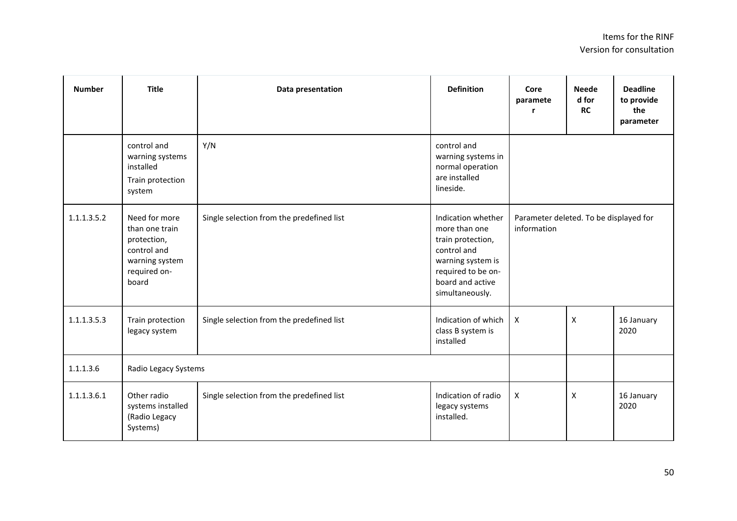| <b>Number</b> | <b>Title</b>                                                                                             | Data presentation                         | <b>Definition</b>                                                                                                                                         | Core<br>paramete<br>r                                 | <b>Neede</b><br>d for<br><b>RC</b> | <b>Deadline</b><br>to provide<br>the<br>parameter |
|---------------|----------------------------------------------------------------------------------------------------------|-------------------------------------------|-----------------------------------------------------------------------------------------------------------------------------------------------------------|-------------------------------------------------------|------------------------------------|---------------------------------------------------|
|               | control and<br>warning systems<br>installed<br>Train protection<br>system                                | Y/N                                       | control and<br>warning systems in<br>normal operation<br>are installed<br>lineside.                                                                       |                                                       |                                    |                                                   |
| 1.1.1.3.5.2   | Need for more<br>than one train<br>protection,<br>control and<br>warning system<br>required on-<br>board | Single selection from the predefined list | Indication whether<br>more than one<br>train protection,<br>control and<br>warning system is<br>required to be on-<br>board and active<br>simultaneously. | Parameter deleted. To be displayed for<br>information |                                    |                                                   |
| 1.1.1.3.5.3   | Train protection<br>legacy system                                                                        | Single selection from the predefined list | Indication of which<br>class B system is<br>installed                                                                                                     | $\boldsymbol{\mathsf{X}}$                             | $\pmb{\times}$                     | 16 January<br>2020                                |
| 1.1.1.3.6     | Radio Legacy Systems                                                                                     |                                           |                                                                                                                                                           |                                                       |                                    |                                                   |
| 1.1.1.3.6.1   | Other radio<br>systems installed<br>(Radio Legacy<br>Systems)                                            | Single selection from the predefined list | Indication of radio<br>legacy systems<br>installed.                                                                                                       | $\pmb{\mathsf{X}}$                                    | $\pmb{\mathsf{X}}$                 | 16 January<br>2020                                |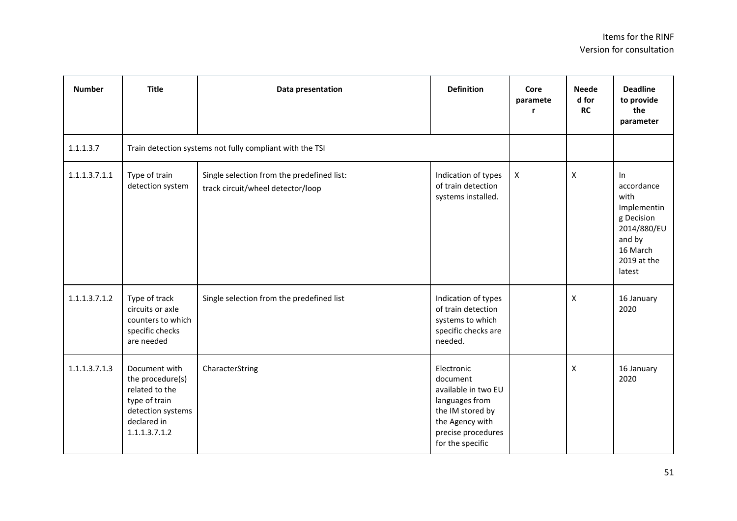| <b>Number</b> | <b>Title</b>                                                                                                              | Data presentation                                                               | <b>Definition</b>                                                                                                                                | Core<br>paramete<br>r | <b>Neede</b><br>d for<br><b>RC</b> | <b>Deadline</b><br>to provide<br>the<br>parameter                                                                   |
|---------------|---------------------------------------------------------------------------------------------------------------------------|---------------------------------------------------------------------------------|--------------------------------------------------------------------------------------------------------------------------------------------------|-----------------------|------------------------------------|---------------------------------------------------------------------------------------------------------------------|
| 1.1.1.3.7     |                                                                                                                           | Train detection systems not fully compliant with the TSI                        |                                                                                                                                                  |                       |                                    |                                                                                                                     |
| 1.1.1.3.7.1.1 | Type of train<br>detection system                                                                                         | Single selection from the predefined list:<br>track circuit/wheel detector/loop | Indication of types<br>of train detection<br>systems installed.                                                                                  | X                     | X                                  | In<br>accordance<br>with<br>Implementin<br>g Decision<br>2014/880/EU<br>and by<br>16 March<br>2019 at the<br>latest |
| 1.1.1.3.7.1.2 | Type of track<br>circuits or axle<br>counters to which<br>specific checks<br>are needed                                   | Single selection from the predefined list                                       | Indication of types<br>of train detection<br>systems to which<br>specific checks are<br>needed.                                                  |                       | $\mathsf{x}$                       | 16 January<br>2020                                                                                                  |
| 1.1.1.3.7.1.3 | Document with<br>the procedure(s)<br>related to the<br>type of train<br>detection systems<br>declared in<br>1.1.1.3.7.1.2 | CharacterString                                                                 | Electronic<br>document<br>available in two EU<br>languages from<br>the IM stored by<br>the Agency with<br>precise procedures<br>for the specific |                       | $\mathsf{x}$                       | 16 January<br>2020                                                                                                  |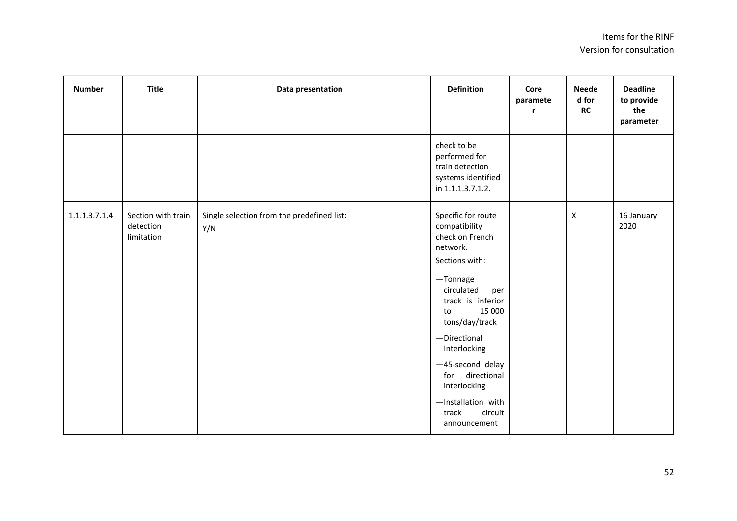| <b>Number</b> | <b>Title</b>                                  | Data presentation                                 | <b>Definition</b>                                                                                                                                                                                                                                                                                                             | Core<br>paramete<br>r | <b>Neede</b><br>d for<br><b>RC</b> | <b>Deadline</b><br>to provide<br>the<br>parameter |
|---------------|-----------------------------------------------|---------------------------------------------------|-------------------------------------------------------------------------------------------------------------------------------------------------------------------------------------------------------------------------------------------------------------------------------------------------------------------------------|-----------------------|------------------------------------|---------------------------------------------------|
|               |                                               |                                                   | check to be<br>performed for<br>train detection<br>systems identified<br>in 1.1.1.3.7.1.2.                                                                                                                                                                                                                                    |                       |                                    |                                                   |
| 1.1.1.3.7.1.4 | Section with train<br>detection<br>limitation | Single selection from the predefined list:<br>Y/N | Specific for route<br>compatibility<br>check on French<br>network.<br>Sections with:<br>-Tonnage<br>circulated<br>per<br>track is inferior<br>15 000<br>to<br>tons/day/track<br>-Directional<br>Interlocking<br>-45-second delay<br>for directional<br>interlocking<br>-Installation with<br>track<br>circuit<br>announcement |                       | X                                  | 16 January<br>2020                                |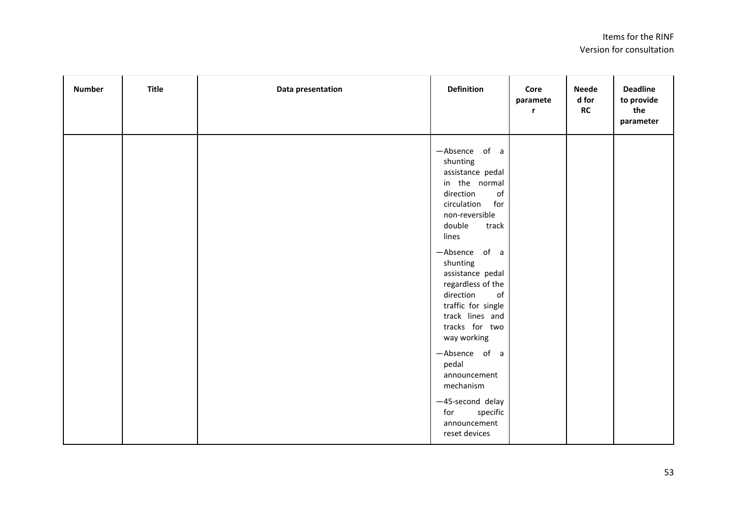## Items for the RINF Version for consultation

| <b>Number</b> | <b>Title</b> | Data presentation | <b>Definition</b>                                                                                                                                                                                                                                                                                                                                                        | Core<br>paramete<br>r | <b>Neede</b><br>d for<br>RC | <b>Deadline</b><br>to provide<br>the<br>parameter |
|---------------|--------------|-------------------|--------------------------------------------------------------------------------------------------------------------------------------------------------------------------------------------------------------------------------------------------------------------------------------------------------------------------------------------------------------------------|-----------------------|-----------------------------|---------------------------------------------------|
|               |              |                   | -Absence of a<br>shunting<br>assistance pedal<br>in the normal<br>$\mathsf{of}$<br>direction<br>circulation<br>for<br>non-reversible<br>double<br>track<br>lines<br>-Absence of a<br>shunting<br>assistance pedal<br>regardless of the<br>$\mathsf{of}$<br>direction<br>traffic for single<br>track lines and<br>tracks for two<br>way working<br>-Absence of a<br>pedal |                       |                             |                                                   |
|               |              |                   | announcement<br>mechanism<br>-45-second delay<br>for<br>specific<br>announcement<br>reset devices                                                                                                                                                                                                                                                                        |                       |                             |                                                   |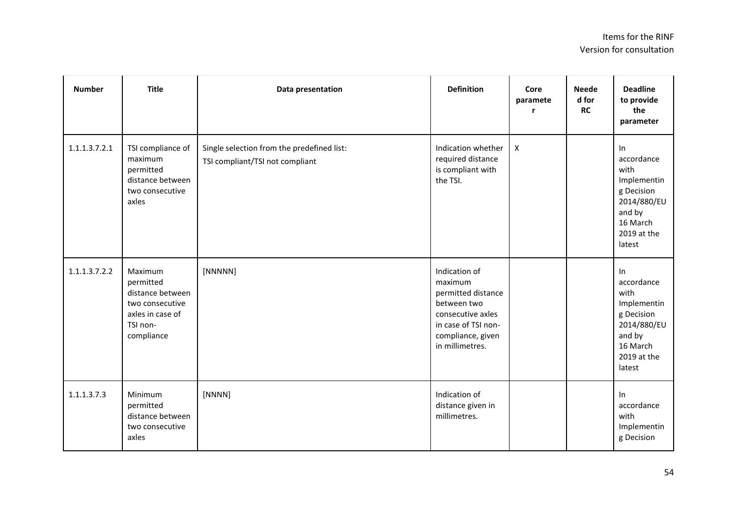| <b>Number</b> | <b>Title</b>                                                                                              | Data presentation                                                             | <b>Definition</b>                                                                                                                                 | Core<br>paramete<br>r     | <b>Neede</b><br>d for<br><b>RC</b> | <b>Deadline</b><br>to provide<br>the<br>parameter                                                                   |
|---------------|-----------------------------------------------------------------------------------------------------------|-------------------------------------------------------------------------------|---------------------------------------------------------------------------------------------------------------------------------------------------|---------------------------|------------------------------------|---------------------------------------------------------------------------------------------------------------------|
| 1.1.1.3.7.2.1 | TSI compliance of<br>maximum<br>permitted<br>distance between<br>two consecutive<br>axles                 | Single selection from the predefined list:<br>TSI compliant/TSI not compliant | Indication whether<br>required distance<br>is compliant with<br>the TSI.                                                                          | $\boldsymbol{\mathsf{X}}$ |                                    | In<br>accordance<br>with<br>Implementin<br>g Decision<br>2014/880/EU<br>and by<br>16 March<br>2019 at the<br>latest |
| 1.1.1.3.7.2.2 | Maximum<br>permitted<br>distance between<br>two consecutive<br>axles in case of<br>TSI non-<br>compliance | [NNNNN]                                                                       | Indication of<br>maximum<br>permitted distance<br>between two<br>consecutive axles<br>in case of TSI non-<br>compliance, given<br>in millimetres. |                           |                                    | In<br>accordance<br>with<br>Implementin<br>g Decision<br>2014/880/EU<br>and by<br>16 March<br>2019 at the<br>latest |
| 1.1.1.3.7.3   | Minimum<br>permitted<br>distance between<br>two consecutive<br>axles                                      | [NNNN]                                                                        | Indication of<br>distance given in<br>millimetres.                                                                                                |                           |                                    | In<br>accordance<br>with<br>Implementin<br>g Decision                                                               |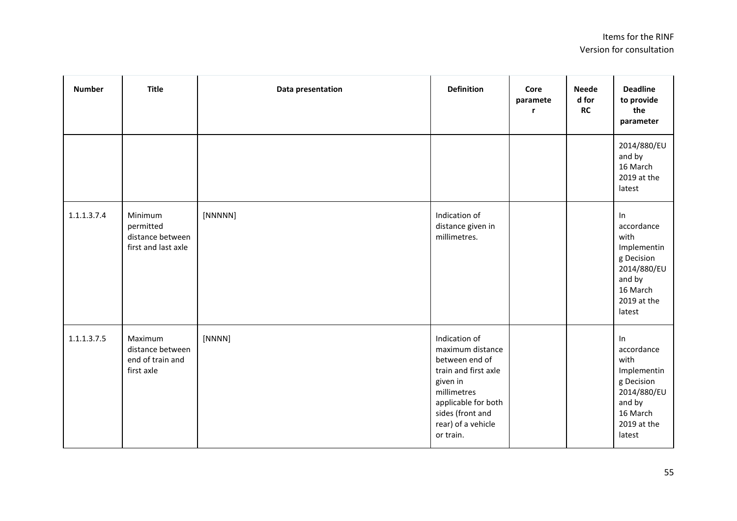| <b>Number</b> | <b>Title</b>                                                    | Data presentation | <b>Definition</b>                                                                                                                                                                    | Core<br>paramete<br>r | <b>Neede</b><br>d for<br><b>RC</b> | <b>Deadline</b><br>to provide<br>the<br>parameter                                                                   |
|---------------|-----------------------------------------------------------------|-------------------|--------------------------------------------------------------------------------------------------------------------------------------------------------------------------------------|-----------------------|------------------------------------|---------------------------------------------------------------------------------------------------------------------|
|               |                                                                 |                   |                                                                                                                                                                                      |                       |                                    | 2014/880/EU<br>and by<br>16 March<br>2019 at the<br>latest                                                          |
| 1.1.1.3.7.4   | Minimum<br>permitted<br>distance between<br>first and last axle | [NNNNN]           | Indication of<br>distance given in<br>millimetres.                                                                                                                                   |                       |                                    | In<br>accordance<br>with<br>Implementin<br>g Decision<br>2014/880/EU<br>and by<br>16 March<br>2019 at the<br>latest |
| 1.1.1.3.7.5   | Maximum<br>distance between<br>end of train and<br>first axle   | [NNNN]            | Indication of<br>maximum distance<br>between end of<br>train and first axle<br>given in<br>millimetres<br>applicable for both<br>sides (front and<br>rear) of a vehicle<br>or train. |                       |                                    | In<br>accordance<br>with<br>Implementin<br>g Decision<br>2014/880/EU<br>and by<br>16 March<br>2019 at the<br>latest |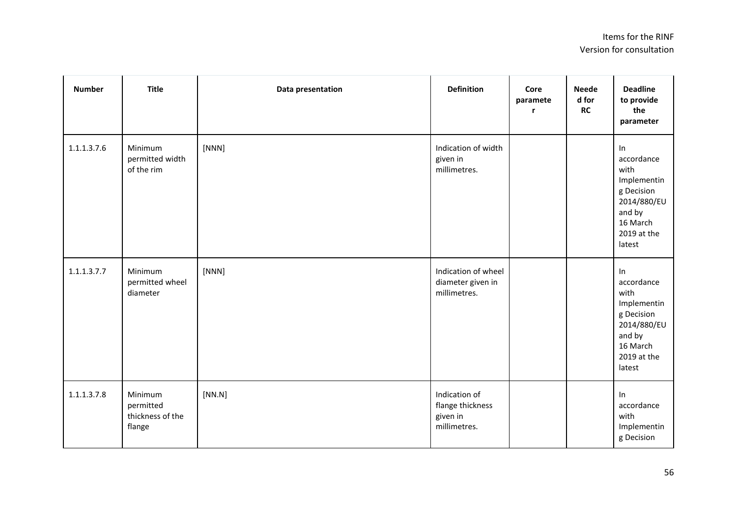| <b>Number</b> | <b>Title</b>                                       | Data presentation | <b>Definition</b>                                             | Core<br>paramete<br>$\mathbf{r}$ | <b>Neede</b><br>d for<br>RC | <b>Deadline</b><br>to provide<br>the<br>parameter                                                                   |
|---------------|----------------------------------------------------|-------------------|---------------------------------------------------------------|----------------------------------|-----------------------------|---------------------------------------------------------------------------------------------------------------------|
| 1.1.1.3.7.6   | Minimum<br>permitted width<br>of the rim           | [NNN]             | Indication of width<br>given in<br>millimetres.               |                                  |                             | In<br>accordance<br>with<br>Implementin<br>g Decision<br>2014/880/EU<br>and by<br>16 March<br>2019 at the<br>latest |
| 1.1.1.3.7.7   | Minimum<br>permitted wheel<br>diameter             | [NNN]             | Indication of wheel<br>diameter given in<br>millimetres.      |                                  |                             | In<br>accordance<br>with<br>Implementin<br>g Decision<br>2014/880/EU<br>and by<br>16 March<br>2019 at the<br>latest |
| 1.1.1.3.7.8   | Minimum<br>permitted<br>thickness of the<br>flange | [NN.N]            | Indication of<br>flange thickness<br>given in<br>millimetres. |                                  |                             | In<br>accordance<br>with<br>Implementin<br>g Decision                                                               |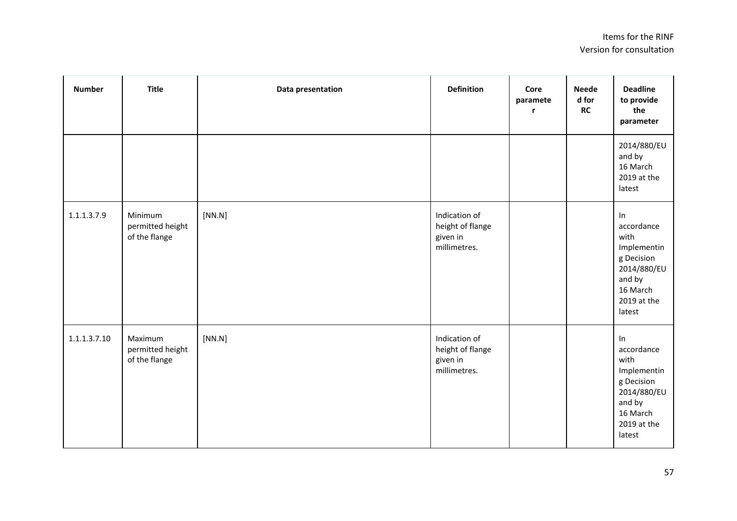| <b>Number</b> | <b>Title</b>                                 | Data presentation | <b>Definition</b>                                             | Core<br>paramete<br>r | <b>Neede</b><br>d for<br>RC | <b>Deadline</b><br>to provide<br>the<br>parameter                                                                   |
|---------------|----------------------------------------------|-------------------|---------------------------------------------------------------|-----------------------|-----------------------------|---------------------------------------------------------------------------------------------------------------------|
|               |                                              |                   |                                                               |                       |                             | 2014/880/EU<br>and by<br>16 March<br>2019 at the<br>latest                                                          |
| 1.1.1.3.7.9   | Minimum<br>permitted height<br>of the flange | [NN.N]            | Indication of<br>height of flange<br>given in<br>millimetres. |                       |                             | In<br>accordance<br>with<br>Implementin<br>g Decision<br>2014/880/EU<br>and by<br>16 March<br>2019 at the<br>latest |
| 1.1.1.3.7.10  | Maximum<br>permitted height<br>of the flange | [NN.N]            | Indication of<br>height of flange<br>given in<br>millimetres. |                       |                             | In<br>accordance<br>with<br>Implementin<br>g Decision<br>2014/880/EU<br>and by<br>16 March<br>2019 at the<br>latest |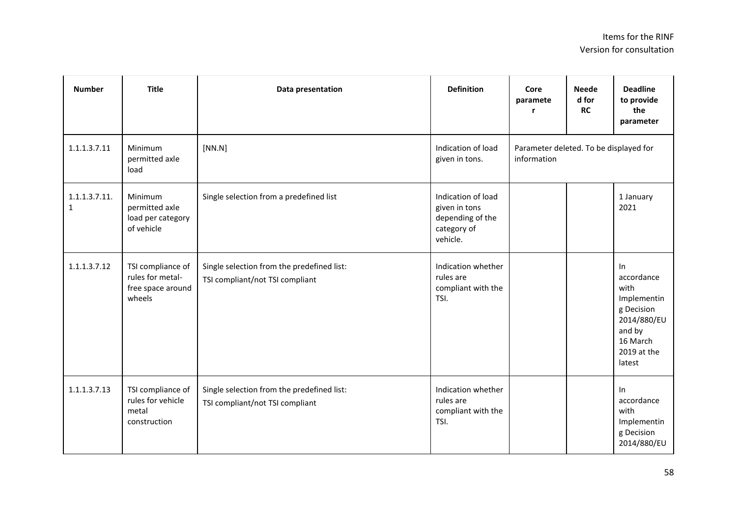| <b>Number</b>                 | <b>Title</b>                                                         | Data presentation                                                             | <b>Definition</b>                                                                  | Core<br>paramete<br>r | <b>Neede</b><br>d for<br><b>RC</b>     | <b>Deadline</b><br>to provide<br>the<br>parameter                                                                   |  |
|-------------------------------|----------------------------------------------------------------------|-------------------------------------------------------------------------------|------------------------------------------------------------------------------------|-----------------------|----------------------------------------|---------------------------------------------------------------------------------------------------------------------|--|
| 1.1.1.3.7.11                  | Minimum<br>permitted axle<br>load                                    | [NN.N]                                                                        | Indication of load<br>given in tons.                                               | information           | Parameter deleted. To be displayed for |                                                                                                                     |  |
| 1.1.1.3.7.11.<br>$\mathbf{1}$ | Minimum<br>permitted axle<br>load per category<br>of vehicle         | Single selection from a predefined list                                       | Indication of load<br>given in tons<br>depending of the<br>category of<br>vehicle. |                       |                                        | 1 January<br>2021                                                                                                   |  |
| 1.1.1.3.7.12                  | TSI compliance of<br>rules for metal-<br>free space around<br>wheels | Single selection from the predefined list:<br>TSI compliant/not TSI compliant | Indication whether<br>rules are<br>compliant with the<br>TSI.                      |                       |                                        | In<br>accordance<br>with<br>Implementin<br>g Decision<br>2014/880/EU<br>and by<br>16 March<br>2019 at the<br>latest |  |
| 1.1.1.3.7.13                  | TSI compliance of<br>rules for vehicle<br>metal<br>construction      | Single selection from the predefined list:<br>TSI compliant/not TSI compliant | Indication whether<br>rules are<br>compliant with the<br>TSI.                      |                       |                                        | In<br>accordance<br>with<br>Implementin<br>g Decision<br>2014/880/EU                                                |  |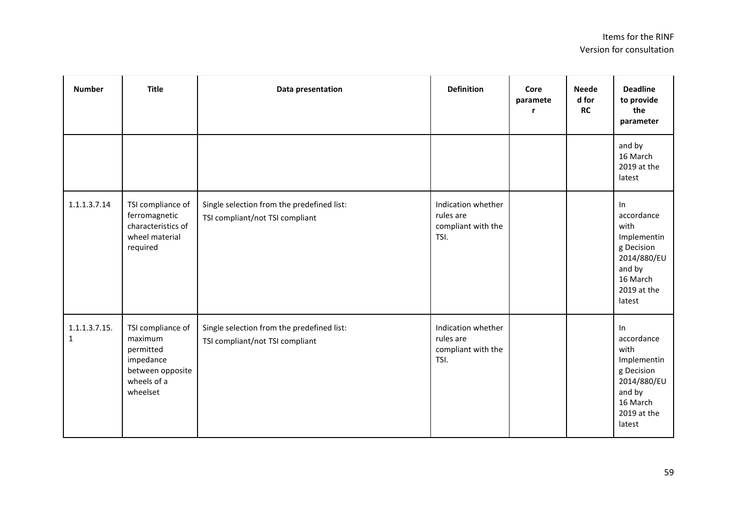| <b>Number</b>                 | <b>Title</b>                                                                                          | Data presentation                                                             | <b>Definition</b>                                             | Core<br>paramete<br>r | <b>Neede</b><br>d for<br><b>RC</b> | <b>Deadline</b><br>to provide<br>the<br>parameter                                                                   |
|-------------------------------|-------------------------------------------------------------------------------------------------------|-------------------------------------------------------------------------------|---------------------------------------------------------------|-----------------------|------------------------------------|---------------------------------------------------------------------------------------------------------------------|
|                               |                                                                                                       |                                                                               |                                                               |                       |                                    | and by<br>16 March<br>2019 at the<br>latest                                                                         |
| 1.1.1.3.7.14                  | TSI compliance of<br>ferromagnetic<br>characteristics of<br>wheel material<br>required                | Single selection from the predefined list:<br>TSI compliant/not TSI compliant | Indication whether<br>rules are<br>compliant with the<br>TSI. |                       |                                    | ln<br>accordance<br>with<br>Implementin<br>g Decision<br>2014/880/EU<br>and by<br>16 March<br>2019 at the<br>latest |
| 1.1.1.3.7.15.<br>$\mathbf{1}$ | TSI compliance of<br>maximum<br>permitted<br>impedance<br>between opposite<br>wheels of a<br>wheelset | Single selection from the predefined list:<br>TSI compliant/not TSI compliant | Indication whether<br>rules are<br>compliant with the<br>TSI. |                       |                                    | In<br>accordance<br>with<br>Implementin<br>g Decision<br>2014/880/EU<br>and by<br>16 March<br>2019 at the<br>latest |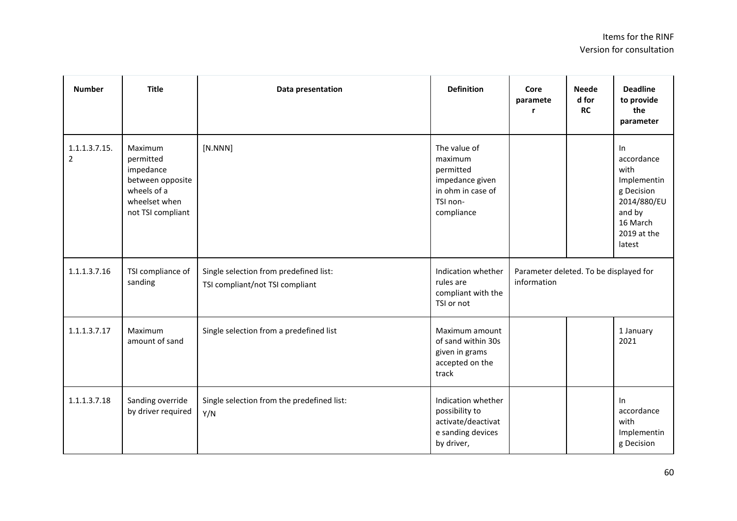| <b>Number</b>                   | <b>Title</b>                                                                                               | Data presentation                                                         | <b>Definition</b>                                                                                      | Core<br>paramete<br>r                                 | <b>Neede</b><br>d for<br><b>RC</b> | <b>Deadline</b><br>to provide<br>the<br>parameter                                                                   |
|---------------------------------|------------------------------------------------------------------------------------------------------------|---------------------------------------------------------------------------|--------------------------------------------------------------------------------------------------------|-------------------------------------------------------|------------------------------------|---------------------------------------------------------------------------------------------------------------------|
| 1.1.1.3.7.15.<br>$\overline{2}$ | Maximum<br>permitted<br>impedance<br>between opposite<br>wheels of a<br>wheelset when<br>not TSI compliant | [N. NNN]                                                                  | The value of<br>maximum<br>permitted<br>impedance given<br>in ohm in case of<br>TSI non-<br>compliance |                                                       |                                    | In<br>accordance<br>with<br>Implementin<br>g Decision<br>2014/880/EU<br>and by<br>16 March<br>2019 at the<br>latest |
| 1.1.1.3.7.16                    | TSI compliance of<br>sanding                                                                               | Single selection from predefined list:<br>TSI compliant/not TSI compliant | Indication whether<br>rules are<br>compliant with the<br>TSI or not                                    | Parameter deleted. To be displayed for<br>information |                                    |                                                                                                                     |
| 1.1.1.3.7.17                    | Maximum<br>amount of sand                                                                                  | Single selection from a predefined list                                   | Maximum amount<br>of sand within 30s<br>given in grams<br>accepted on the<br>track                     |                                                       |                                    | 1 January<br>2021                                                                                                   |
| 1.1.1.3.7.18                    | Sanding override<br>by driver required                                                                     | Single selection from the predefined list:<br>Y/N                         | Indication whether<br>possibility to<br>activate/deactivat<br>e sanding devices<br>by driver,          |                                                       |                                    | $\ln$<br>accordance<br>with<br>Implementin<br>g Decision                                                            |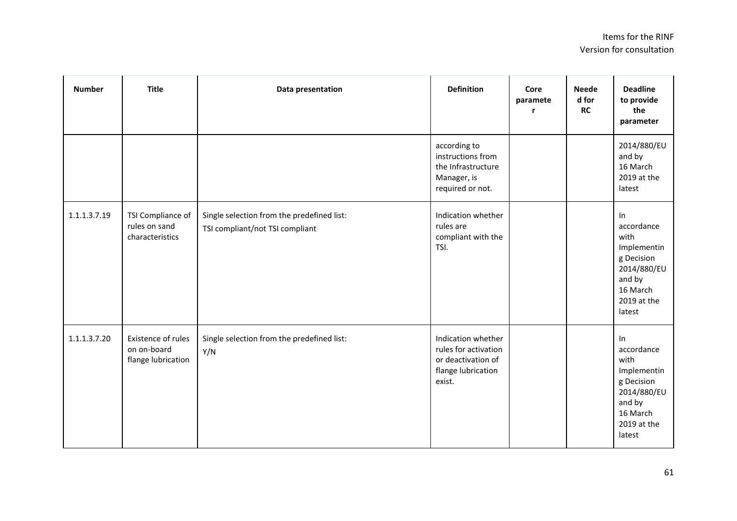| <b>Number</b> | <b>Title</b>                                            | Data presentation                                                             | <b>Definition</b>                                                                                | Core<br>paramete | <b>Neede</b><br>d for<br>RC | <b>Deadline</b><br>to provide<br>the<br>parameter                                                                   |
|---------------|---------------------------------------------------------|-------------------------------------------------------------------------------|--------------------------------------------------------------------------------------------------|------------------|-----------------------------|---------------------------------------------------------------------------------------------------------------------|
|               |                                                         |                                                                               | according to<br>instructions from<br>the Infrastructure<br>Manager, is<br>required or not.       |                  |                             | 2014/880/EU<br>and by<br>16 March<br>2019 at the<br>latest                                                          |
| 1.1.1.3.7.19  | TSI Compliance of<br>rules on sand<br>characteristics   | Single selection from the predefined list:<br>TSI compliant/not TSI compliant | Indication whether<br>rules are<br>compliant with the<br>TSI.                                    |                  |                             | In<br>accordance<br>with<br>Implementin<br>g Decision<br>2014/880/EU<br>and by<br>16 March<br>2019 at the<br>latest |
| 1.1.1.3.7.20  | Existence of rules<br>on on-board<br>flange lubrication | Single selection from the predefined list:<br>Y/N                             | Indication whether<br>rules for activation<br>or deactivation of<br>flange lubrication<br>exist. |                  |                             | In<br>accordance<br>with<br>Implementin<br>g Decision<br>2014/880/EU<br>and by<br>16 March<br>2019 at the<br>latest |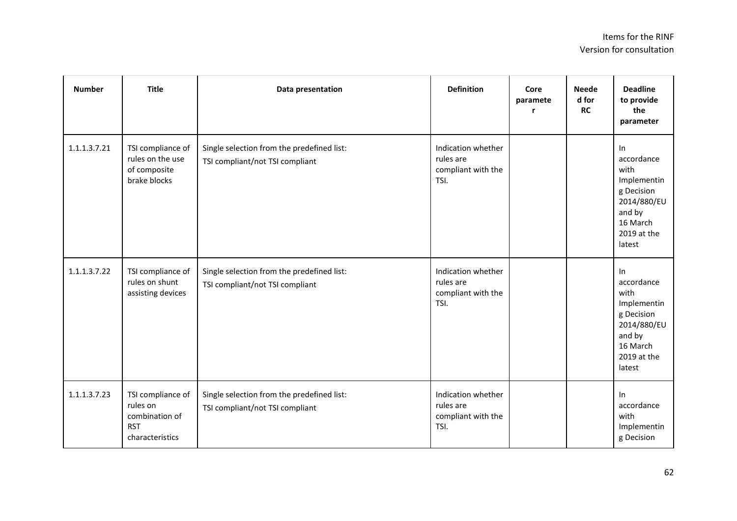| <b>Number</b> | <b>Title</b>                                                                     | Data presentation                                                             | <b>Definition</b>                                             | Core<br>paramete<br>r | <b>Neede</b><br>d for<br><b>RC</b> | <b>Deadline</b><br>to provide<br>the<br>parameter                                                                   |
|---------------|----------------------------------------------------------------------------------|-------------------------------------------------------------------------------|---------------------------------------------------------------|-----------------------|------------------------------------|---------------------------------------------------------------------------------------------------------------------|
| 1.1.1.3.7.21  | TSI compliance of<br>rules on the use<br>of composite<br>brake blocks            | Single selection from the predefined list:<br>TSI compliant/not TSI compliant | Indication whether<br>rules are<br>compliant with the<br>TSI. |                       |                                    | ln<br>accordance<br>with<br>Implementin<br>g Decision<br>2014/880/EU<br>and by<br>16 March<br>2019 at the<br>latest |
| 1.1.1.3.7.22  | TSI compliance of<br>rules on shunt<br>assisting devices                         | Single selection from the predefined list:<br>TSI compliant/not TSI compliant | Indication whether<br>rules are<br>compliant with the<br>TSI. |                       |                                    | In<br>accordance<br>with<br>Implementin<br>g Decision<br>2014/880/EU<br>and by<br>16 March<br>2019 at the<br>latest |
| 1.1.1.3.7.23  | TSI compliance of<br>rules on<br>combination of<br><b>RST</b><br>characteristics | Single selection from the predefined list:<br>TSI compliant/not TSI compliant | Indication whether<br>rules are<br>compliant with the<br>TSI. |                       |                                    | $\ln$<br>accordance<br>with<br>Implementin<br>g Decision                                                            |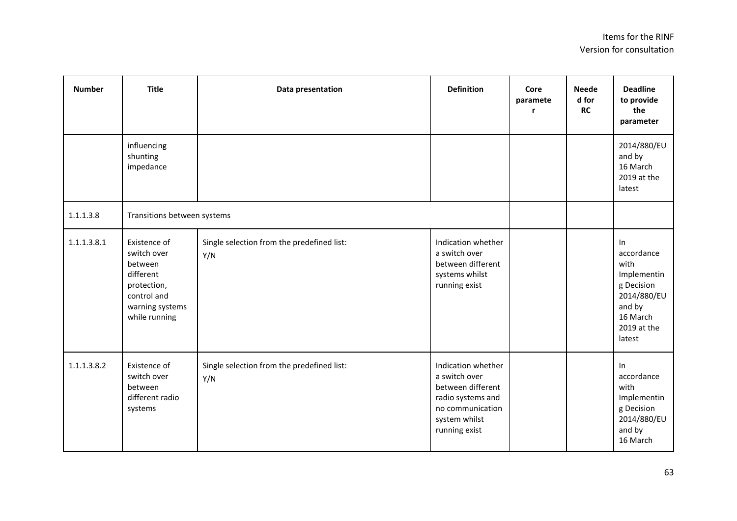| <b>Number</b> | <b>Title</b>                                                                                                          | Data presentation                                 | <b>Definition</b>                                                                                                                   | Core<br>paramete<br>r | <b>Neede</b><br>d for<br><b>RC</b> | <b>Deadline</b><br>to provide<br>the<br>parameter                                                                   |
|---------------|-----------------------------------------------------------------------------------------------------------------------|---------------------------------------------------|-------------------------------------------------------------------------------------------------------------------------------------|-----------------------|------------------------------------|---------------------------------------------------------------------------------------------------------------------|
|               | influencing<br>shunting<br>impedance                                                                                  |                                                   |                                                                                                                                     |                       |                                    | 2014/880/EU<br>and by<br>16 March<br>2019 at the<br>latest                                                          |
| 1.1.1.3.8     | Transitions between systems                                                                                           |                                                   |                                                                                                                                     |                       |                                    |                                                                                                                     |
| 1.1.1.3.8.1   | Existence of<br>switch over<br>between<br>different<br>protection,<br>control and<br>warning systems<br>while running | Single selection from the predefined list:<br>Y/N | Indication whether<br>a switch over<br>between different<br>systems whilst<br>running exist                                         |                       |                                    | In<br>accordance<br>with<br>Implementin<br>g Decision<br>2014/880/EU<br>and by<br>16 March<br>2019 at the<br>latest |
| 1.1.1.3.8.2   | Existence of<br>switch over<br>between<br>different radio<br>systems                                                  | Single selection from the predefined list:<br>Y/N | Indication whether<br>a switch over<br>between different<br>radio systems and<br>no communication<br>system whilst<br>running exist |                       |                                    | In<br>accordance<br>with<br>Implementin<br>g Decision<br>2014/880/EU<br>and by<br>16 March                          |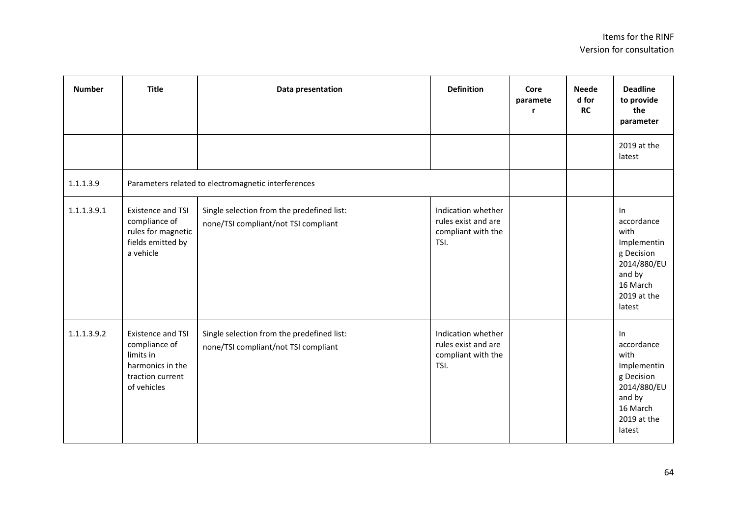| <b>Number</b> | <b>Title</b>                                                                                                  | Data presentation                                                                  | <b>Definition</b>                                                       | Core<br>paramete<br>r | <b>Neede</b><br>d for<br><b>RC</b> | <b>Deadline</b><br>to provide<br>the<br>parameter                                                                   |
|---------------|---------------------------------------------------------------------------------------------------------------|------------------------------------------------------------------------------------|-------------------------------------------------------------------------|-----------------------|------------------------------------|---------------------------------------------------------------------------------------------------------------------|
|               |                                                                                                               |                                                                                    |                                                                         |                       |                                    | 2019 at the<br>latest                                                                                               |
| 1.1.1.3.9     | Parameters related to electromagnetic interferences                                                           |                                                                                    |                                                                         |                       |                                    |                                                                                                                     |
| 1.1.1.3.9.1   | Existence and TSI<br>compliance of<br>rules for magnetic<br>fields emitted by<br>a vehicle                    | Single selection from the predefined list:<br>none/TSI compliant/not TSI compliant | Indication whether<br>rules exist and are<br>compliant with the<br>TSI. |                       |                                    | In<br>accordance<br>with<br>Implementin<br>g Decision<br>2014/880/EU<br>and by<br>16 March<br>2019 at the<br>latest |
| 1.1.1.3.9.2   | <b>Existence and TSI</b><br>compliance of<br>limits in<br>harmonics in the<br>traction current<br>of vehicles | Single selection from the predefined list:<br>none/TSI compliant/not TSI compliant | Indication whether<br>rules exist and are<br>compliant with the<br>TSI. |                       |                                    | In<br>accordance<br>with<br>Implementin<br>g Decision<br>2014/880/EU<br>and by<br>16 March<br>2019 at the<br>latest |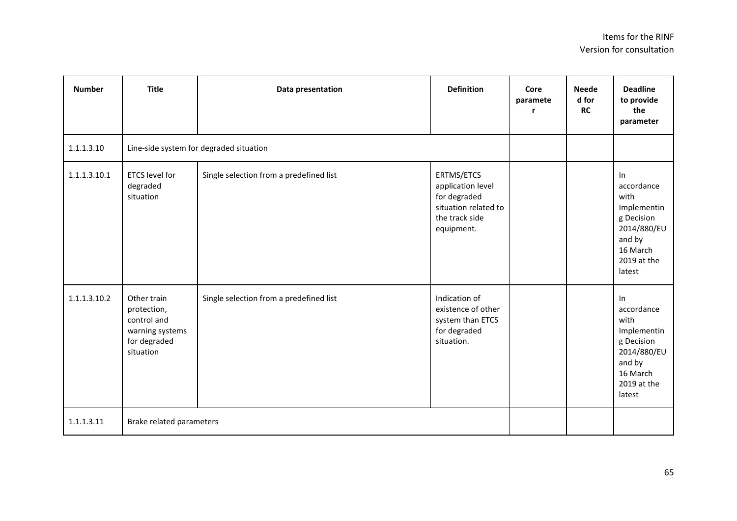| <b>Number</b> | <b>Title</b>                                                                              | Data presentation                       | <b>Definition</b>                                                                                       | Core<br>paramete<br>r | <b>Neede</b><br>d for<br><b>RC</b> | <b>Deadline</b><br>to provide<br>the<br>parameter                                                                   |
|---------------|-------------------------------------------------------------------------------------------|-----------------------------------------|---------------------------------------------------------------------------------------------------------|-----------------------|------------------------------------|---------------------------------------------------------------------------------------------------------------------|
| 1.1.1.3.10    | Line-side system for degraded situation                                                   |                                         |                                                                                                         |                       |                                    |                                                                                                                     |
| 1.1.1.3.10.1  | <b>ETCS level for</b><br>degraded<br>situation                                            | Single selection from a predefined list | ERTMS/ETCS<br>application level<br>for degraded<br>situation related to<br>the track side<br>equipment. |                       |                                    | In<br>accordance<br>with<br>Implementin<br>g Decision<br>2014/880/EU<br>and by<br>16 March<br>2019 at the<br>latest |
| 1.1.1.3.10.2  | Other train<br>protection,<br>control and<br>warning systems<br>for degraded<br>situation | Single selection from a predefined list | Indication of<br>existence of other<br>system than ETCS<br>for degraded<br>situation.                   |                       |                                    | In<br>accordance<br>with<br>Implementin<br>g Decision<br>2014/880/EU<br>and by<br>16 March<br>2019 at the<br>latest |
| 1.1.1.3.11    | Brake related parameters                                                                  |                                         |                                                                                                         |                       |                                    |                                                                                                                     |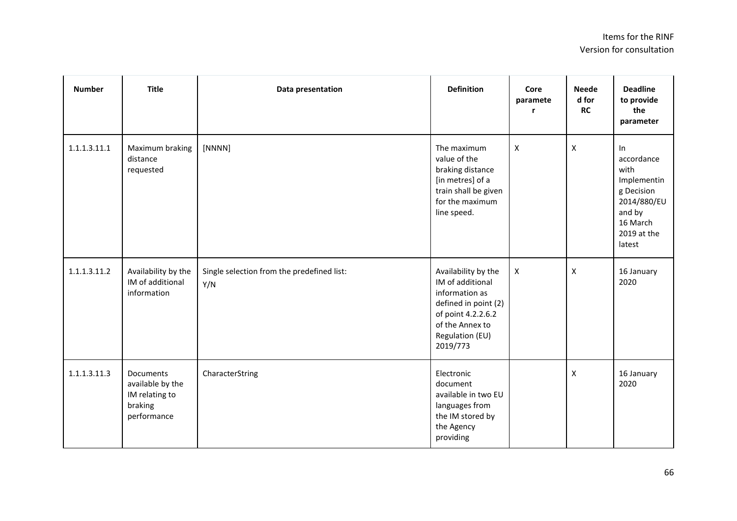| <b>Number</b> | <b>Title</b>                                                              | Data presentation                                 | <b>Definition</b>                                                                                                                                         | Core<br>paramete   | <b>Neede</b><br>d for<br><b>RC</b> | <b>Deadline</b><br>to provide<br>the<br>parameter                                                                   |
|---------------|---------------------------------------------------------------------------|---------------------------------------------------|-----------------------------------------------------------------------------------------------------------------------------------------------------------|--------------------|------------------------------------|---------------------------------------------------------------------------------------------------------------------|
| 1.1.1.3.11.1  | Maximum braking<br>distance<br>requested                                  | [NNNN]                                            | The maximum<br>value of the<br>braking distance<br>[in metres] of a<br>train shall be given<br>for the maximum<br>line speed.                             | $\pmb{\mathsf{X}}$ | $\mathsf{x}$                       | In<br>accordance<br>with<br>Implementin<br>g Decision<br>2014/880/EU<br>and by<br>16 March<br>2019 at the<br>latest |
| 1.1.1.3.11.2  | Availability by the<br>IM of additional<br>information                    | Single selection from the predefined list:<br>Y/N | Availability by the<br>IM of additional<br>information as<br>defined in point (2)<br>of point 4.2.2.6.2<br>of the Annex to<br>Regulation (EU)<br>2019/773 | $\pmb{\times}$     | X                                  | 16 January<br>2020                                                                                                  |
| 1.1.1.3.11.3  | Documents<br>available by the<br>IM relating to<br>braking<br>performance | CharacterString                                   | Electronic<br>document<br>available in two EU<br>languages from<br>the IM stored by<br>the Agency<br>providing                                            |                    | $\pmb{\mathsf{X}}$                 | 16 January<br>2020                                                                                                  |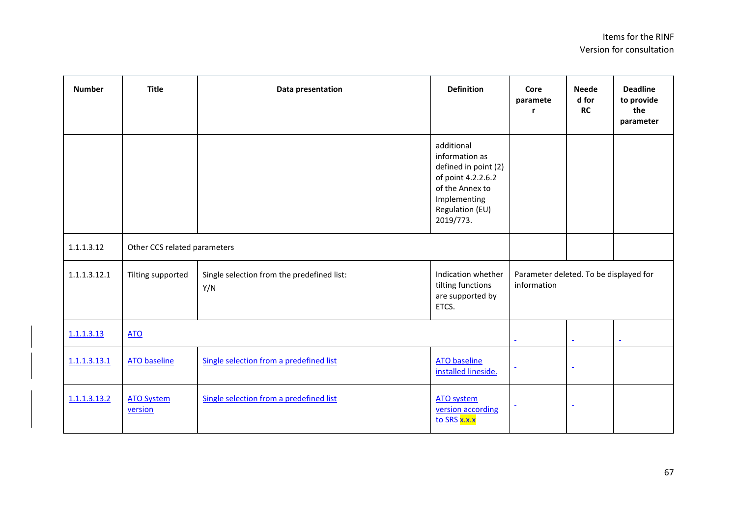| <b>Number</b> | <b>Title</b>                 | Data presentation                                 | <b>Definition</b>                                                                                                                             | Core<br>paramete<br>r | <b>Neede</b><br>d for<br><b>RC</b>     | <b>Deadline</b><br>to provide<br>the<br>parameter |  |
|---------------|------------------------------|---------------------------------------------------|-----------------------------------------------------------------------------------------------------------------------------------------------|-----------------------|----------------------------------------|---------------------------------------------------|--|
|               |                              |                                                   | additional<br>information as<br>defined in point (2)<br>of point 4.2.2.6.2<br>of the Annex to<br>Implementing<br>Regulation (EU)<br>2019/773. |                       |                                        |                                                   |  |
| 1.1.1.3.12    | Other CCS related parameters |                                                   |                                                                                                                                               |                       |                                        |                                                   |  |
| 1.1.1.3.12.1  | Tilting supported            | Single selection from the predefined list:<br>Y/N | Indication whether<br>tilting functions<br>are supported by<br>ETCS.                                                                          | information           | Parameter deleted. To be displayed for |                                                   |  |
| 1.1.1.3.13    | <b>ATO</b>                   |                                                   |                                                                                                                                               | $\blacksquare$        | $\omega$                               | $\bar{\phantom{a}}$                               |  |
| 1.1.1.3.13.1  | <b>ATO baseline</b>          | Single selection from a predefined list           | <b>ATO baseline</b><br>installed lineside.                                                                                                    | $\bar{\phantom{a}}$   | $\blacksquare$                         |                                                   |  |
| 1.1.1.3.13.2  | <b>ATO System</b><br>version | Single selection from a predefined list           | <b>ATO system</b><br>version according<br>to SRS x.x.x                                                                                        | $\blacksquare$        | $\blacksquare$                         |                                                   |  |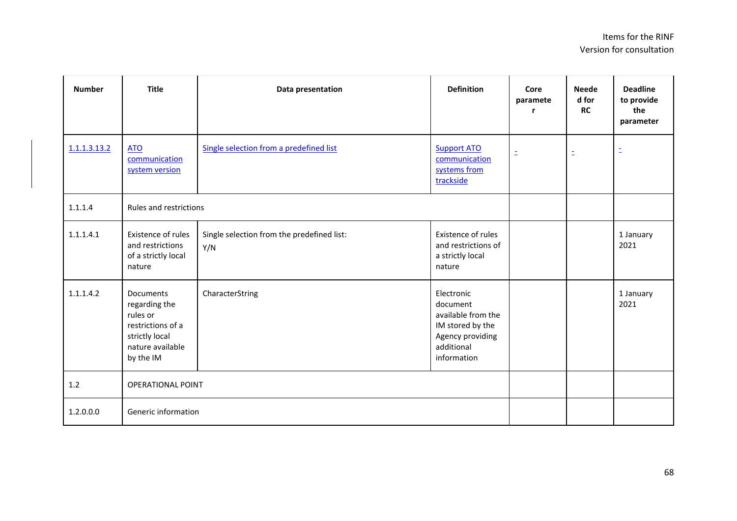| <b>Number</b> | <b>Title</b>                                                                                                   | Data presentation                                 | <b>Definition</b>                                                                                                 | Core<br>paramete<br>r | <b>Neede</b><br>d for<br><b>RC</b> | <b>Deadline</b><br>to provide<br>the<br>parameter |
|---------------|----------------------------------------------------------------------------------------------------------------|---------------------------------------------------|-------------------------------------------------------------------------------------------------------------------|-----------------------|------------------------------------|---------------------------------------------------|
| 1.1.1.3.13.2  | <b>ATO</b><br>communication<br>system version                                                                  | Single selection from a predefined list           | <b>Support ATO</b><br>communication<br>systems from<br>trackside                                                  | Ξ                     | Ξ                                  | Ξ                                                 |
| 1.1.1.4       | Rules and restrictions                                                                                         |                                                   |                                                                                                                   |                       |                                    |                                                   |
| 1.1.1.4.1     | <b>Existence of rules</b><br>and restrictions<br>of a strictly local<br>nature                                 | Single selection from the predefined list:<br>Y/N | Existence of rules<br>and restrictions of<br>a strictly local<br>nature                                           |                       |                                    | 1 January<br>2021                                 |
| 1.1.1.4.2     | Documents<br>regarding the<br>rules or<br>restrictions of a<br>strictly local<br>nature available<br>by the IM | CharacterString                                   | Electronic<br>document<br>available from the<br>IM stored by the<br>Agency providing<br>additional<br>information |                       |                                    | 1 January<br>2021                                 |
| 1.2           | <b>OPERATIONAL POINT</b>                                                                                       |                                                   |                                                                                                                   |                       |                                    |                                                   |
| 1.2.0.0.0     | Generic information                                                                                            |                                                   |                                                                                                                   |                       |                                    |                                                   |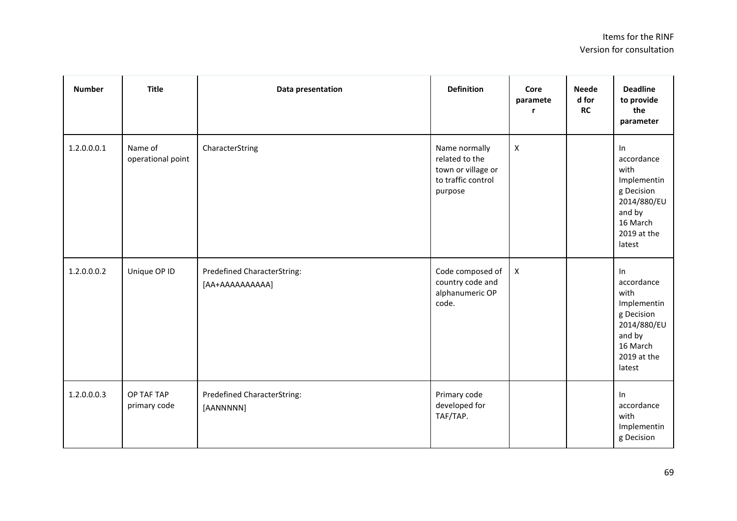| <b>Number</b> | <b>Title</b>                 | Data presentation                              | <b>Definition</b>                                                                      | Core<br>paramete<br>r | <b>Neede</b><br>d for<br><b>RC</b> | <b>Deadline</b><br>to provide<br>the<br>parameter                                                                   |
|---------------|------------------------------|------------------------------------------------|----------------------------------------------------------------------------------------|-----------------------|------------------------------------|---------------------------------------------------------------------------------------------------------------------|
| 1.2.0.0.0.1   | Name of<br>operational point | CharacterString                                | Name normally<br>related to the<br>town or village or<br>to traffic control<br>purpose | $\pmb{\times}$        |                                    | In<br>accordance<br>with<br>Implementin<br>g Decision<br>2014/880/EU<br>and by<br>16 March<br>2019 at the<br>latest |
| 1.2.0.0.0.2   | Unique OP ID                 | Predefined CharacterString:<br>[AA+AAAAAAAAAA] | Code composed of<br>country code and<br>alphanumeric OP<br>code.                       | $\pmb{\times}$        |                                    | In<br>accordance<br>with<br>Implementin<br>g Decision<br>2014/880/EU<br>and by<br>16 March<br>2019 at the<br>latest |
| 1.2.0.0.0.3   | OP TAF TAP<br>primary code   | Predefined CharacterString:<br>[AANNNNN]       | Primary code<br>developed for<br>TAF/TAP.                                              |                       |                                    | In<br>accordance<br>with<br>Implementin<br>g Decision                                                               |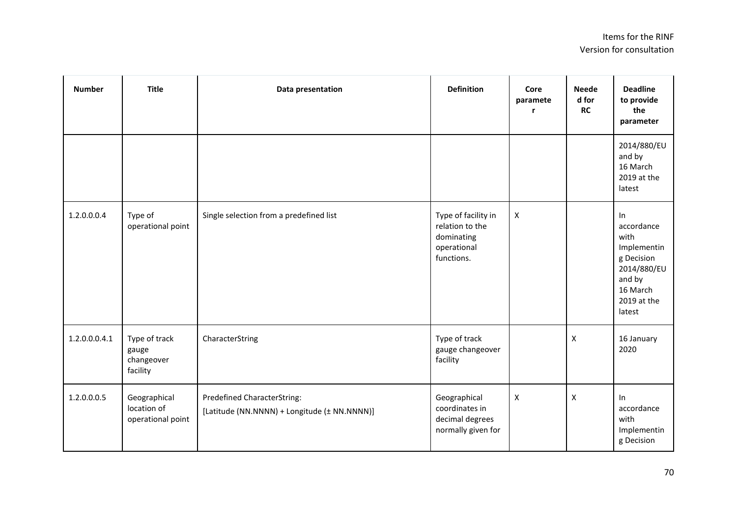| <b>Number</b> | <b>Title</b>                                     | Data presentation                                                           | <b>Definition</b>                                                                 | Core<br>paramete<br>r | <b>Neede</b><br>d for<br><b>RC</b> | <b>Deadline</b><br>to provide<br>the<br>parameter                                                                      |
|---------------|--------------------------------------------------|-----------------------------------------------------------------------------|-----------------------------------------------------------------------------------|-----------------------|------------------------------------|------------------------------------------------------------------------------------------------------------------------|
|               |                                                  |                                                                             |                                                                                   |                       |                                    | 2014/880/EU<br>and by<br>16 March<br>2019 at the<br>latest                                                             |
| 1.2.0.0.0.4   | Type of<br>operational point                     | Single selection from a predefined list                                     | Type of facility in<br>relation to the<br>dominating<br>operational<br>functions. | $\pmb{\mathsf{X}}$    |                                    | $\ln$<br>accordance<br>with<br>Implementin<br>g Decision<br>2014/880/EU<br>and by<br>16 March<br>2019 at the<br>latest |
| 1.2.0.0.0.4.1 | Type of track<br>gauge<br>changeover<br>facility | CharacterString                                                             | Type of track<br>gauge changeover<br>facility                                     |                       | $\pmb{\mathsf{X}}$                 | 16 January<br>2020                                                                                                     |
| 1.2.0.0.0.5   | Geographical<br>location of<br>operational point | Predefined CharacterString:<br>[Latitude (NN.NNNN) + Longitude (± NN.NNNN)] | Geographical<br>coordinates in<br>decimal degrees<br>normally given for           | $\mathsf X$           | $\pmb{\mathsf{X}}$                 | In<br>accordance<br>with<br>Implementin<br>g Decision                                                                  |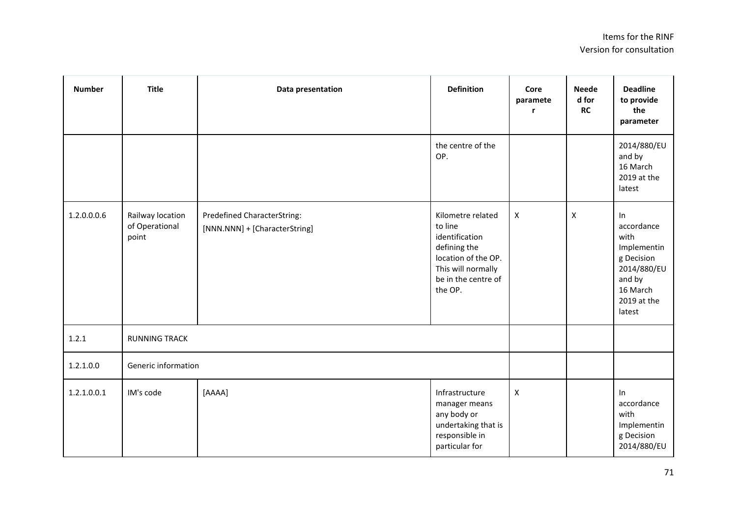| <b>Number</b> | <b>Title</b>                                | Data presentation                                            | <b>Definition</b>                                                                                                                             | Core<br>paramete | <b>Neede</b><br>d for<br>RC | <b>Deadline</b><br>to provide<br>the<br>parameter                                                                   |
|---------------|---------------------------------------------|--------------------------------------------------------------|-----------------------------------------------------------------------------------------------------------------------------------------------|------------------|-----------------------------|---------------------------------------------------------------------------------------------------------------------|
|               |                                             |                                                              | the centre of the<br>OP.                                                                                                                      |                  |                             | 2014/880/EU<br>and by<br>16 March<br>2019 at the<br>latest                                                          |
| 1.2.0.0.0.6   | Railway location<br>of Operational<br>point | Predefined CharacterString:<br>[NNN.NNN] + [CharacterString] | Kilometre related<br>to line<br>identification<br>defining the<br>location of the OP.<br>This will normally<br>be in the centre of<br>the OP. | $\mathsf X$      | X                           | In<br>accordance<br>with<br>Implementin<br>g Decision<br>2014/880/EU<br>and by<br>16 March<br>2019 at the<br>latest |
| 1.2.1         | <b>RUNNING TRACK</b>                        |                                                              |                                                                                                                                               |                  |                             |                                                                                                                     |
| 1.2.1.0.0     | Generic information                         |                                                              |                                                                                                                                               |                  |                             |                                                                                                                     |
| 1.2.1.0.0.1   | IM's code                                   | [AAAA]                                                       | Infrastructure<br>manager means<br>any body or<br>undertaking that is<br>responsible in<br>particular for                                     | $\mathsf X$      |                             | In<br>accordance<br>with<br>Implementin<br>g Decision<br>2014/880/EU                                                |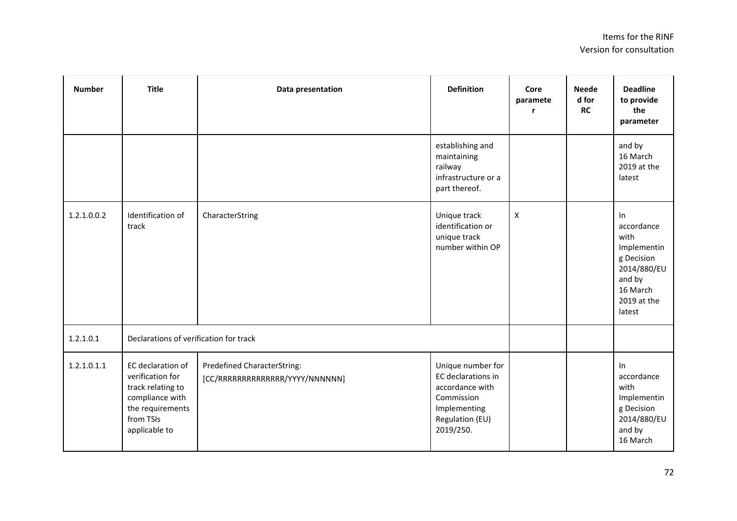| <b>Number</b> | <b>Title</b>                                                                                                                    | Data presentation                                                     | <b>Definition</b>                                                                                                        | Core<br>paramete          | <b>Neede</b><br>d for<br><b>RC</b> | <b>Deadline</b><br>to provide<br>the<br>parameter                                                                   |
|---------------|---------------------------------------------------------------------------------------------------------------------------------|-----------------------------------------------------------------------|--------------------------------------------------------------------------------------------------------------------------|---------------------------|------------------------------------|---------------------------------------------------------------------------------------------------------------------|
|               |                                                                                                                                 |                                                                       | establishing and<br>maintaining<br>railway<br>infrastructure or a<br>part thereof.                                       |                           |                                    | and by<br>16 March<br>2019 at the<br>latest                                                                         |
| 1.2.1.0.0.2   | Identification of<br>track                                                                                                      | CharacterString                                                       | Unique track<br>identification or<br>unique track<br>number within OP                                                    | $\boldsymbol{\mathsf{X}}$ |                                    | In<br>accordance<br>with<br>Implementin<br>g Decision<br>2014/880/EU<br>and by<br>16 March<br>2019 at the<br>latest |
| 1.2.1.0.1     | Declarations of verification for track                                                                                          |                                                                       |                                                                                                                          |                           |                                    |                                                                                                                     |
| 1.2.1.0.1.1   | EC declaration of<br>verification for<br>track relating to<br>compliance with<br>the requirements<br>from TSIs<br>applicable to | <b>Predefined CharacterString:</b><br>[CC/RRRRRRRRRRRRRR/YYYY/NNNNNN] | Unique number for<br>EC declarations in<br>accordance with<br>Commission<br>Implementing<br>Regulation (EU)<br>2019/250. |                           |                                    | In<br>accordance<br>with<br>Implementin<br>g Decision<br>2014/880/EU<br>and by<br>16 March                          |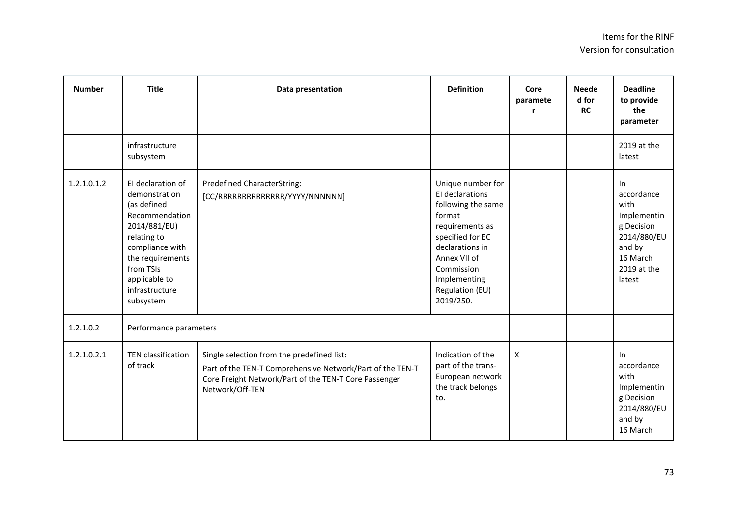| <b>Number</b> | <b>Title</b>                                                                                                                                                                                           | Data presentation                                                                                                                                                                   | <b>Definition</b>                                                                                                                                                                                            | Core<br>paramete<br>r | <b>Neede</b><br>d for<br><b>RC</b> | <b>Deadline</b><br>to provide<br>the<br>parameter                                                                      |
|---------------|--------------------------------------------------------------------------------------------------------------------------------------------------------------------------------------------------------|-------------------------------------------------------------------------------------------------------------------------------------------------------------------------------------|--------------------------------------------------------------------------------------------------------------------------------------------------------------------------------------------------------------|-----------------------|------------------------------------|------------------------------------------------------------------------------------------------------------------------|
|               | infrastructure<br>subsystem                                                                                                                                                                            |                                                                                                                                                                                     |                                                                                                                                                                                                              |                       |                                    | 2019 at the<br>latest                                                                                                  |
| 1.2.1.0.1.2   | El declaration of<br>demonstration<br>(as defined<br>Recommendation<br>2014/881/EU)<br>relating to<br>compliance with<br>the requirements<br>from TSIs<br>applicable to<br>infrastructure<br>subsystem | <b>Predefined CharacterString:</b><br>[CC/RRRRRRRRRRRRRR/YYYY/NNNNNN]                                                                                                               | Unique number for<br>El declarations<br>following the same<br>format<br>requirements as<br>specified for EC<br>declarations in<br>Annex VII of<br>Commission<br>Implementing<br>Regulation (EU)<br>2019/250. |                       |                                    | $\ln$<br>accordance<br>with<br>Implementin<br>g Decision<br>2014/880/EU<br>and by<br>16 March<br>2019 at the<br>latest |
| 1.2.1.0.2     | Performance parameters                                                                                                                                                                                 |                                                                                                                                                                                     |                                                                                                                                                                                                              |                       |                                    |                                                                                                                        |
| 1.2.1.0.2.1   | <b>TEN classification</b><br>of track                                                                                                                                                                  | Single selection from the predefined list:<br>Part of the TEN-T Comprehensive Network/Part of the TEN-T<br>Core Freight Network/Part of the TEN-T Core Passenger<br>Network/Off-TEN | Indication of the<br>part of the trans-<br>European network<br>the track belongs<br>to.                                                                                                                      | $\pmb{\mathsf{X}}$    |                                    | In<br>accordance<br>with<br>Implementin<br>g Decision<br>2014/880/EU<br>and by<br>16 March                             |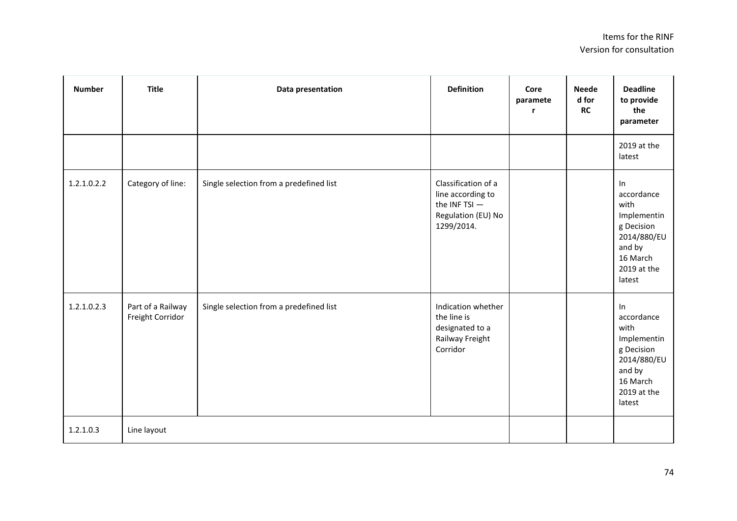| <b>Number</b> | <b>Title</b>                          | Data presentation                       | <b>Definition</b>                                                                               | Core<br>paramete<br>r | <b>Neede</b><br>d for<br>RC | <b>Deadline</b><br>to provide<br>the<br>parameter                                                                   |
|---------------|---------------------------------------|-----------------------------------------|-------------------------------------------------------------------------------------------------|-----------------------|-----------------------------|---------------------------------------------------------------------------------------------------------------------|
|               |                                       |                                         |                                                                                                 |                       |                             | 2019 at the<br>latest                                                                                               |
| 1.2.1.0.2.2   | Category of line:                     | Single selection from a predefined list | Classification of a<br>line according to<br>the INF TSI $-$<br>Regulation (EU) No<br>1299/2014. |                       |                             | In<br>accordance<br>with<br>Implementin<br>g Decision<br>2014/880/EU<br>and by<br>16 March<br>2019 at the<br>latest |
| 1.2.1.0.2.3   | Part of a Railway<br>Freight Corridor | Single selection from a predefined list | Indication whether<br>the line is<br>designated to a<br>Railway Freight<br>Corridor             |                       |                             | In<br>accordance<br>with<br>Implementin<br>g Decision<br>2014/880/EU<br>and by<br>16 March<br>2019 at the<br>latest |
| 1.2.1.0.3     | Line layout                           |                                         |                                                                                                 |                       |                             |                                                                                                                     |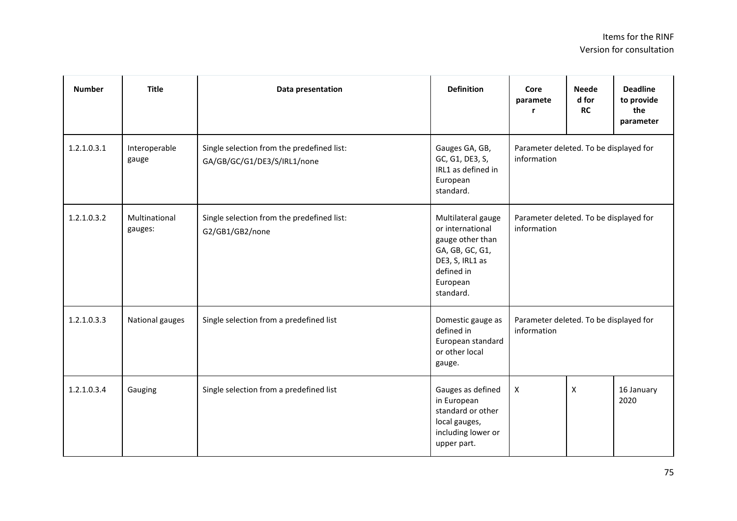| <b>Number</b> | <b>Title</b>             | Data presentation                                                         | <b>Definition</b>                                                                                                                       | Core<br>paramete<br>r                                 | <b>Neede</b><br>d for<br><b>RC</b> | <b>Deadline</b><br>to provide<br>the<br>parameter |
|---------------|--------------------------|---------------------------------------------------------------------------|-----------------------------------------------------------------------------------------------------------------------------------------|-------------------------------------------------------|------------------------------------|---------------------------------------------------|
| 1.2.1.0.3.1   | Interoperable<br>gauge   | Single selection from the predefined list:<br>GA/GB/GC/G1/DE3/S/IRL1/none | Gauges GA, GB,<br>GC, G1, DE3, S,<br>IRL1 as defined in<br>European<br>standard.                                                        | Parameter deleted. To be displayed for<br>information |                                    |                                                   |
| 1.2.1.0.3.2   | Multinational<br>gauges: | Single selection from the predefined list:<br>G2/GB1/GB2/none             | Multilateral gauge<br>or international<br>gauge other than<br>GA, GB, GC, G1,<br>DE3, S, IRL1 as<br>defined in<br>European<br>standard. | Parameter deleted. To be displayed for<br>information |                                    |                                                   |
| 1.2.1.0.3.3   | National gauges          | Single selection from a predefined list                                   | Domestic gauge as<br>defined in<br>European standard<br>or other local<br>gauge.                                                        | Parameter deleted. To be displayed for<br>information |                                    |                                                   |
| 1.2.1.0.3.4   | Gauging                  | Single selection from a predefined list                                   | Gauges as defined<br>in European<br>standard or other<br>local gauges,<br>including lower or<br>upper part.                             | X                                                     | X                                  | 16 January<br>2020                                |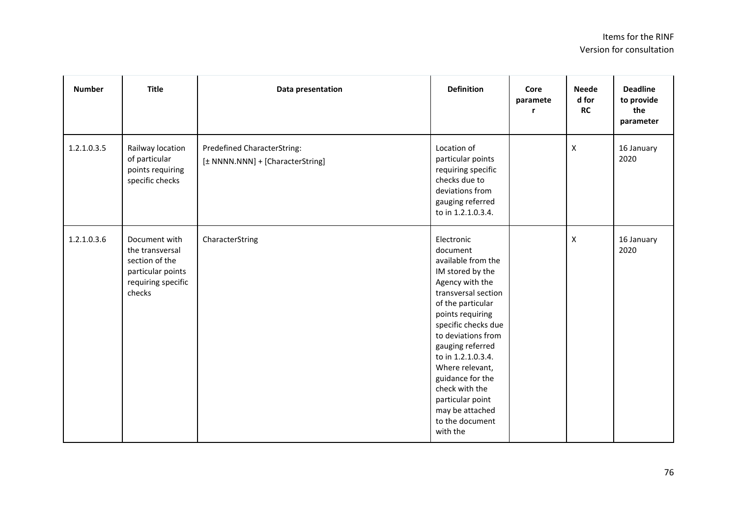| <b>Number</b> | <b>Title</b>                                                                                            | Data presentation                                               | <b>Definition</b>                                                                                                                                                                                                                                                                                                                                                         | Core<br>paramete | <b>Neede</b><br>d for<br><b>RC</b> | <b>Deadline</b><br>to provide<br>the<br>parameter |
|---------------|---------------------------------------------------------------------------------------------------------|-----------------------------------------------------------------|---------------------------------------------------------------------------------------------------------------------------------------------------------------------------------------------------------------------------------------------------------------------------------------------------------------------------------------------------------------------------|------------------|------------------------------------|---------------------------------------------------|
| 1.2.1.0.3.5   | Railway location<br>of particular<br>points requiring<br>specific checks                                | Predefined CharacterString:<br>[± NNNN.NNN] + [CharacterString] | Location of<br>particular points<br>requiring specific<br>checks due to<br>deviations from<br>gauging referred<br>to in 1.2.1.0.3.4.                                                                                                                                                                                                                                      |                  | $\mathsf{x}$                       | 16 January<br>2020                                |
| 1.2.1.0.3.6   | Document with<br>the transversal<br>section of the<br>particular points<br>requiring specific<br>checks | CharacterString                                                 | Electronic<br>document<br>available from the<br>IM stored by the<br>Agency with the<br>transversal section<br>of the particular<br>points requiring<br>specific checks due<br>to deviations from<br>gauging referred<br>to in 1.2.1.0.3.4.<br>Where relevant,<br>guidance for the<br>check with the<br>particular point<br>may be attached<br>to the document<br>with the |                  | $\mathsf{x}$                       | 16 January<br>2020                                |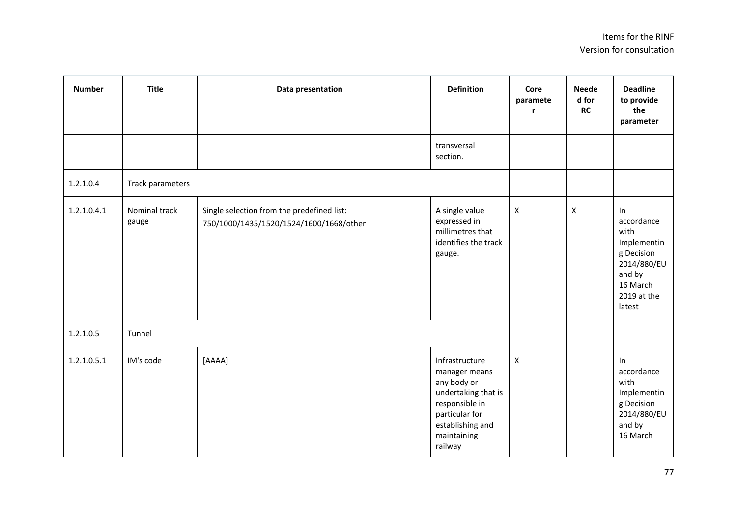| <b>Number</b> | <b>Title</b>           | Data presentation                                                                     | <b>Definition</b>                                                                                                                                       | Core<br>paramete   | <b>Neede</b><br>d for<br>RC | <b>Deadline</b><br>to provide<br>the<br>parameter                                                                   |
|---------------|------------------------|---------------------------------------------------------------------------------------|---------------------------------------------------------------------------------------------------------------------------------------------------------|--------------------|-----------------------------|---------------------------------------------------------------------------------------------------------------------|
|               |                        |                                                                                       | transversal<br>section.                                                                                                                                 |                    |                             |                                                                                                                     |
| 1.2.1.0.4     | Track parameters       |                                                                                       |                                                                                                                                                         |                    |                             |                                                                                                                     |
| 1.2.1.0.4.1   | Nominal track<br>gauge | Single selection from the predefined list:<br>750/1000/1435/1520/1524/1600/1668/other | A single value<br>expressed in<br>millimetres that<br>identifies the track<br>gauge.                                                                    | $\pmb{\mathsf{X}}$ | $\pmb{\mathsf{X}}$          | In<br>accordance<br>with<br>Implementin<br>g Decision<br>2014/880/EU<br>and by<br>16 March<br>2019 at the<br>latest |
| 1.2.1.0.5     | Tunnel                 |                                                                                       |                                                                                                                                                         |                    |                             |                                                                                                                     |
| 1.2.1.0.5.1   | IM's code              | [AAAA]                                                                                | Infrastructure<br>manager means<br>any body or<br>undertaking that is<br>responsible in<br>particular for<br>establishing and<br>maintaining<br>railway | $\pmb{\mathsf{X}}$ |                             | In<br>accordance<br>with<br>Implementin<br>g Decision<br>2014/880/EU<br>and by<br>16 March                          |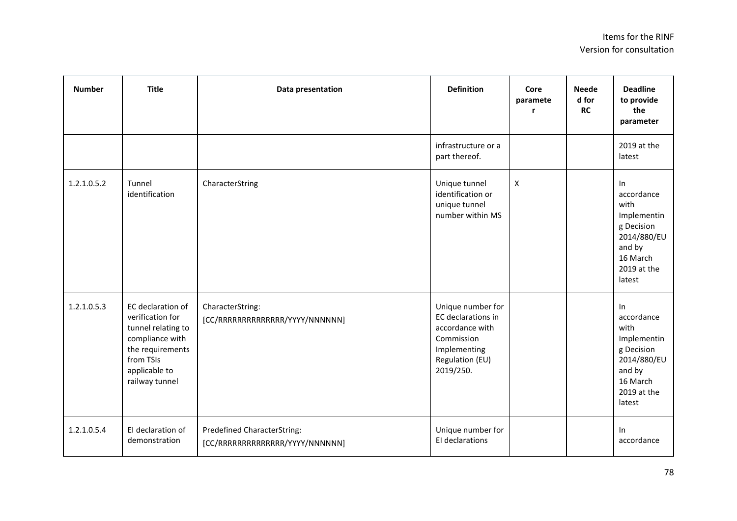| <b>Number</b> | <b>Title</b>                                                                                                                                       | Data presentation                                              | <b>Definition</b>                                                                                                        | Core<br>paramete   | <b>Neede</b><br>d for<br>RC | <b>Deadline</b><br>to provide<br>the<br>parameter                                                                   |
|---------------|----------------------------------------------------------------------------------------------------------------------------------------------------|----------------------------------------------------------------|--------------------------------------------------------------------------------------------------------------------------|--------------------|-----------------------------|---------------------------------------------------------------------------------------------------------------------|
|               |                                                                                                                                                    |                                                                | infrastructure or a<br>part thereof.                                                                                     |                    |                             | 2019 at the<br>latest                                                                                               |
| 1.2.1.0.5.2   | Tunnel<br>identification                                                                                                                           | CharacterString                                                | Unique tunnel<br>identification or<br>unique tunnel<br>number within MS                                                  | $\pmb{\mathsf{X}}$ |                             | In<br>accordance<br>with<br>Implementin<br>g Decision<br>2014/880/EU<br>and by<br>16 March<br>2019 at the<br>latest |
| 1.2.1.0.5.3   | EC declaration of<br>verification for<br>tunnel relating to<br>compliance with<br>the requirements<br>from TSIs<br>applicable to<br>railway tunnel | CharacterString:<br>[CC/RRRRRRRRRRRRRR/YYYY/NNNNNN]            | Unique number for<br>EC declarations in<br>accordance with<br>Commission<br>Implementing<br>Regulation (EU)<br>2019/250. |                    |                             | In<br>accordance<br>with<br>Implementin<br>g Decision<br>2014/880/EU<br>and by<br>16 March<br>2019 at the<br>latest |
| 1.2.1.0.5.4   | El declaration of<br>demonstration                                                                                                                 | Predefined CharacterString:<br>[CC/RRRRRRRRRRRRRR/YYYY/NNNNNN] | Unique number for<br>El declarations                                                                                     |                    |                             | In<br>accordance                                                                                                    |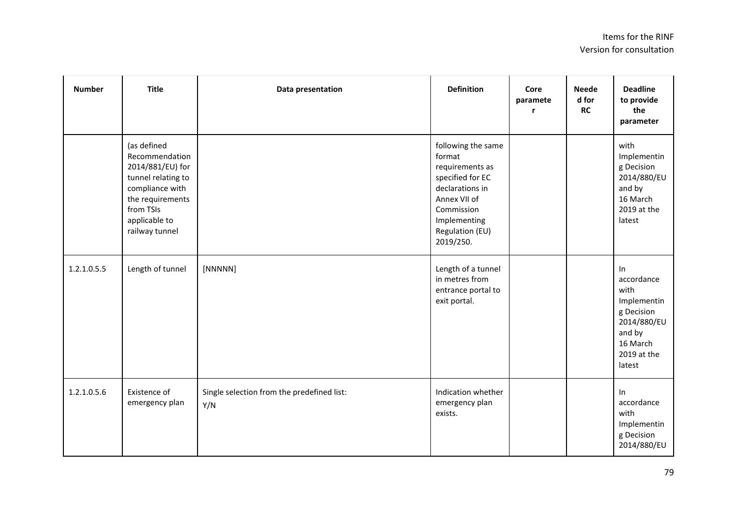| <b>Number</b> | <b>Title</b>                                                                                                                                                   | Data presentation                                 | <b>Definition</b>                                                                                                                                                    | Core<br>paramete<br>r | <b>Neede</b><br>d for<br>RC | <b>Deadline</b><br>to provide<br>the<br>parameter                                                                   |
|---------------|----------------------------------------------------------------------------------------------------------------------------------------------------------------|---------------------------------------------------|----------------------------------------------------------------------------------------------------------------------------------------------------------------------|-----------------------|-----------------------------|---------------------------------------------------------------------------------------------------------------------|
|               | (as defined<br>Recommendation<br>2014/881/EU) for<br>tunnel relating to<br>compliance with<br>the requirements<br>from TSIs<br>applicable to<br>railway tunnel |                                                   | following the same<br>format<br>requirements as<br>specified for EC<br>declarations in<br>Annex VII of<br>Commission<br>Implementing<br>Regulation (EU)<br>2019/250. |                       |                             | with<br>Implementin<br>g Decision<br>2014/880/EU<br>and by<br>16 March<br>2019 at the<br>latest                     |
| 1.2.1.0.5.5   | Length of tunnel                                                                                                                                               | [NNNNN]                                           | Length of a tunnel<br>in metres from<br>entrance portal to<br>exit portal.                                                                                           |                       |                             | In<br>accordance<br>with<br>Implementin<br>g Decision<br>2014/880/EU<br>and by<br>16 March<br>2019 at the<br>latest |
| 1.2.1.0.5.6   | Existence of<br>emergency plan                                                                                                                                 | Single selection from the predefined list:<br>Y/N | Indication whether<br>emergency plan<br>exists.                                                                                                                      |                       |                             | In<br>accordance<br>with<br>Implementin<br>g Decision<br>2014/880/EU                                                |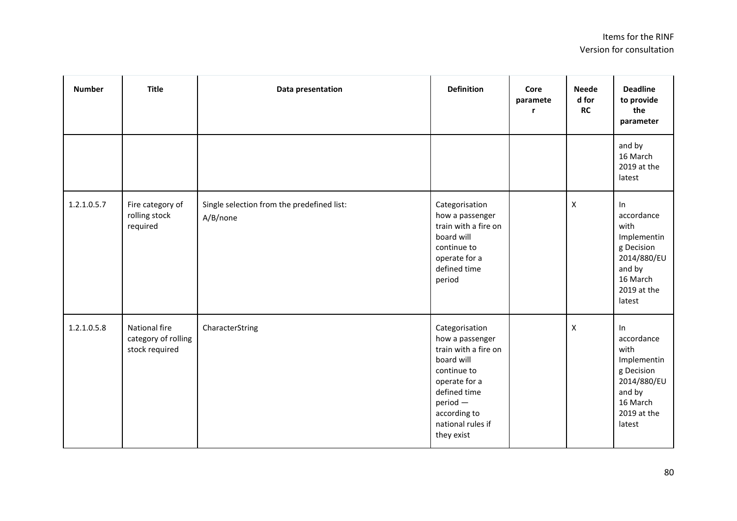| <b>Number</b> | <b>Title</b>                                           | Data presentation                                      | <b>Definition</b>                                                                                                                                                                      | Core<br>paramete | <b>Neede</b><br>d for<br><b>RC</b> | <b>Deadline</b><br>to provide<br>the<br>parameter                                                                   |
|---------------|--------------------------------------------------------|--------------------------------------------------------|----------------------------------------------------------------------------------------------------------------------------------------------------------------------------------------|------------------|------------------------------------|---------------------------------------------------------------------------------------------------------------------|
|               |                                                        |                                                        |                                                                                                                                                                                        |                  |                                    | and by<br>16 March<br>2019 at the<br>latest                                                                         |
| 1.2.1.0.5.7   | Fire category of<br>rolling stock<br>required          | Single selection from the predefined list:<br>A/B/none | Categorisation<br>how a passenger<br>train with a fire on<br>board will<br>continue to<br>operate for a<br>defined time<br>period                                                      |                  | X                                  | ln<br>accordance<br>with<br>Implementin<br>g Decision<br>2014/880/EU<br>and by<br>16 March<br>2019 at the<br>latest |
| 1.2.1.0.5.8   | National fire<br>category of rolling<br>stock required | CharacterString                                        | Categorisation<br>how a passenger<br>train with a fire on<br>board will<br>continue to<br>operate for a<br>defined time<br>period -<br>according to<br>national rules if<br>they exist |                  | X                                  | ln<br>accordance<br>with<br>Implementin<br>g Decision<br>2014/880/EU<br>and by<br>16 March<br>2019 at the<br>latest |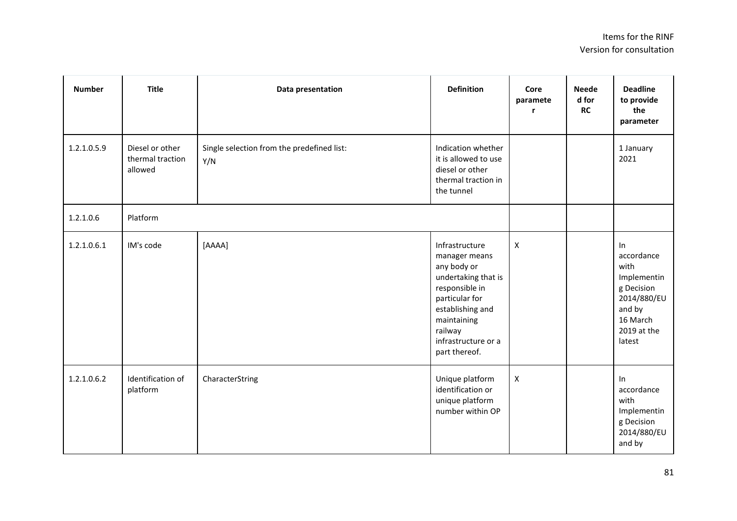| <b>Number</b> | <b>Title</b>                                   | Data presentation                                 | <b>Definition</b>                                                                                                                                                                               | Core<br>paramete<br>r | <b>Neede</b><br>d for<br><b>RC</b> | <b>Deadline</b><br>to provide<br>the<br>parameter                                                                   |
|---------------|------------------------------------------------|---------------------------------------------------|-------------------------------------------------------------------------------------------------------------------------------------------------------------------------------------------------|-----------------------|------------------------------------|---------------------------------------------------------------------------------------------------------------------|
| 1.2.1.0.5.9   | Diesel or other<br>thermal traction<br>allowed | Single selection from the predefined list:<br>Y/N | Indication whether<br>it is allowed to use<br>diesel or other<br>thermal traction in<br>the tunnel                                                                                              |                       |                                    | 1 January<br>2021                                                                                                   |
| 1.2.1.0.6     | Platform                                       |                                                   |                                                                                                                                                                                                 |                       |                                    |                                                                                                                     |
| 1.2.1.0.6.1   | IM's code                                      | [AAAA]                                            | Infrastructure<br>manager means<br>any body or<br>undertaking that is<br>responsible in<br>particular for<br>establishing and<br>maintaining<br>railway<br>infrastructure or a<br>part thereof. | $\mathsf{X}$          |                                    | In<br>accordance<br>with<br>Implementin<br>g Decision<br>2014/880/EU<br>and by<br>16 March<br>2019 at the<br>latest |
| 1.2.1.0.6.2   | Identification of<br>platform                  | CharacterString                                   | Unique platform<br>identification or<br>unique platform<br>number within OP                                                                                                                     | $\mathsf{X}$          |                                    | In<br>accordance<br>with<br>Implementin<br>g Decision<br>2014/880/EU<br>and by                                      |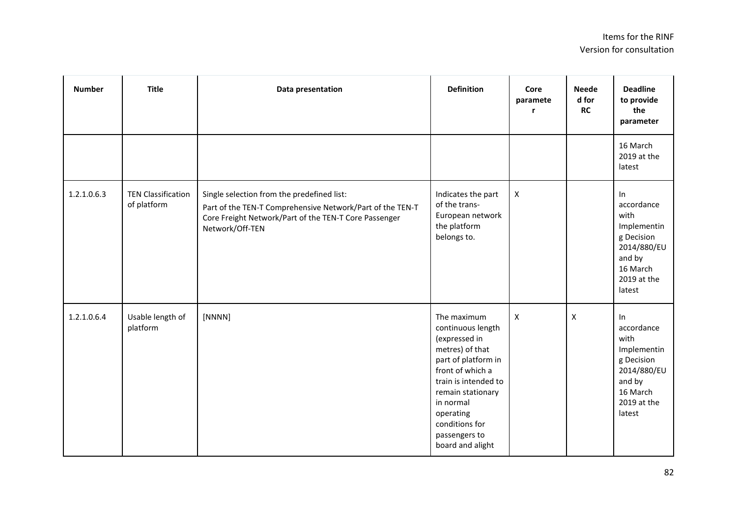| <b>Number</b> | <b>Title</b>                             | Data presentation                                                                                                                                                                   | <b>Definition</b>                                                                                                                                                                                                                             | Core<br>paramete<br>r     | <b>Neede</b><br>d for<br>RC | <b>Deadline</b><br>to provide<br>the<br>parameter                                                                   |
|---------------|------------------------------------------|-------------------------------------------------------------------------------------------------------------------------------------------------------------------------------------|-----------------------------------------------------------------------------------------------------------------------------------------------------------------------------------------------------------------------------------------------|---------------------------|-----------------------------|---------------------------------------------------------------------------------------------------------------------|
|               |                                          |                                                                                                                                                                                     |                                                                                                                                                                                                                                               |                           |                             | 16 March<br>2019 at the<br>latest                                                                                   |
| 1.2.1.0.6.3   | <b>TEN Classification</b><br>of platform | Single selection from the predefined list:<br>Part of the TEN-T Comprehensive Network/Part of the TEN-T<br>Core Freight Network/Part of the TEN-T Core Passenger<br>Network/Off-TEN | Indicates the part<br>of the trans-<br>European network<br>the platform<br>belongs to.                                                                                                                                                        | $\pmb{\times}$            |                             | In<br>accordance<br>with<br>Implementin<br>g Decision<br>2014/880/EU<br>and by<br>16 March<br>2019 at the<br>latest |
| 1.2.1.0.6.4   | Usable length of<br>platform             | [NNNN]                                                                                                                                                                              | The maximum<br>continuous length<br>(expressed in<br>metres) of that<br>part of platform in<br>front of which a<br>train is intended to<br>remain stationary<br>in normal<br>operating<br>conditions for<br>passengers to<br>board and alight | $\boldsymbol{\mathsf{X}}$ | X                           | ln<br>accordance<br>with<br>Implementin<br>g Decision<br>2014/880/EU<br>and by<br>16 March<br>2019 at the<br>latest |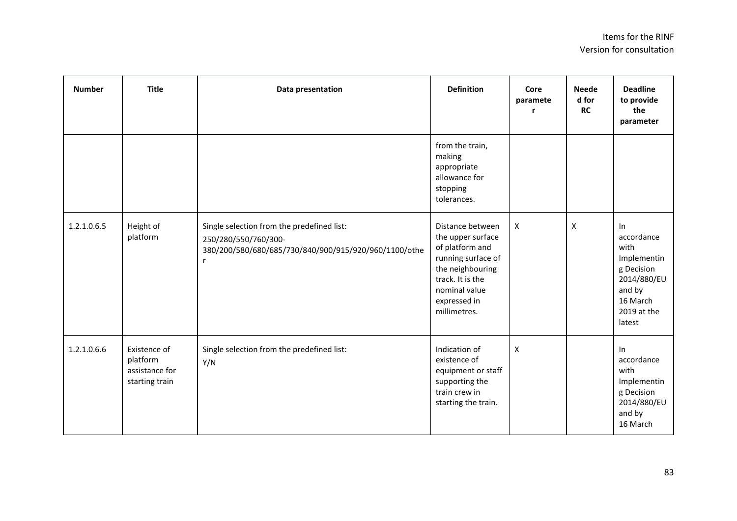| <b>Number</b> | <b>Title</b>                                                 | Data presentation                                                                                                                | <b>Definition</b>                                                                                                                                                       | Core<br>paramete<br>r     | <b>Neede</b><br>d for<br><b>RC</b> | <b>Deadline</b><br>to provide<br>the<br>parameter                                                                   |
|---------------|--------------------------------------------------------------|----------------------------------------------------------------------------------------------------------------------------------|-------------------------------------------------------------------------------------------------------------------------------------------------------------------------|---------------------------|------------------------------------|---------------------------------------------------------------------------------------------------------------------|
|               |                                                              |                                                                                                                                  | from the train,<br>making<br>appropriate<br>allowance for<br>stopping<br>tolerances.                                                                                    |                           |                                    |                                                                                                                     |
| 1.2.1.0.6.5   | Height of<br>platform                                        | Single selection from the predefined list:<br>250/280/550/760/300-<br>380/200/580/680/685/730/840/900/915/920/960/1100/othe<br>r | Distance between<br>the upper surface<br>of platform and<br>running surface of<br>the neighbouring<br>track. It is the<br>nominal value<br>expressed in<br>millimetres. | $\boldsymbol{\mathsf{X}}$ | X                                  | In<br>accordance<br>with<br>Implementin<br>g Decision<br>2014/880/EU<br>and by<br>16 March<br>2019 at the<br>latest |
| 1.2.1.0.6.6   | Existence of<br>platform<br>assistance for<br>starting train | Single selection from the predefined list:<br>Y/N                                                                                | Indication of<br>existence of<br>equipment or staff<br>supporting the<br>train crew in<br>starting the train.                                                           | $\pmb{\times}$            |                                    | In<br>accordance<br>with<br>Implementin<br>g Decision<br>2014/880/EU<br>and by<br>16 March                          |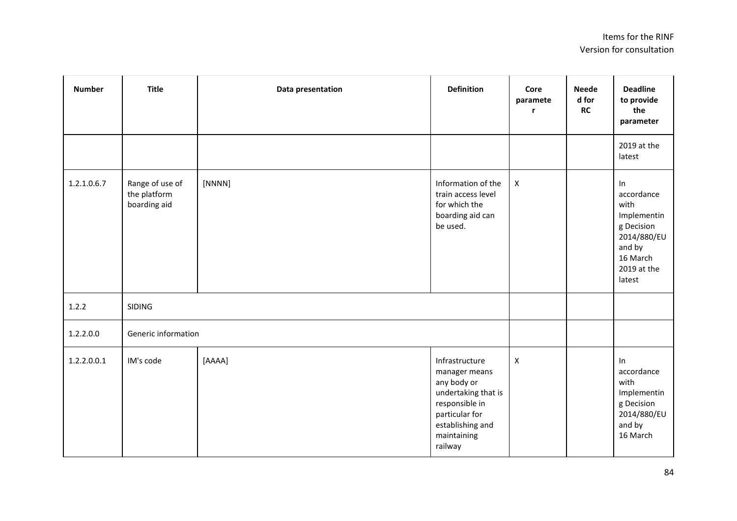| <b>Number</b> | <b>Title</b>                                    | Data presentation | <b>Definition</b>                                                                                                                                       | Core<br>paramete<br>r | <b>Neede</b><br>d for<br>RC | <b>Deadline</b><br>to provide<br>the<br>parameter                                                                   |
|---------------|-------------------------------------------------|-------------------|---------------------------------------------------------------------------------------------------------------------------------------------------------|-----------------------|-----------------------------|---------------------------------------------------------------------------------------------------------------------|
|               |                                                 |                   |                                                                                                                                                         |                       |                             | 2019 at the<br>latest                                                                                               |
| 1.2.1.0.6.7   | Range of use of<br>the platform<br>boarding aid | [NNNN]            | Information of the<br>train access level<br>for which the<br>boarding aid can<br>be used.                                                               | $\pmb{\times}$        |                             | In<br>accordance<br>with<br>Implementin<br>g Decision<br>2014/880/EU<br>and by<br>16 March<br>2019 at the<br>latest |
| 1.2.2         | <b>SIDING</b>                                   |                   |                                                                                                                                                         |                       |                             |                                                                                                                     |
| 1.2.2.0.0     | Generic information                             |                   |                                                                                                                                                         |                       |                             |                                                                                                                     |
| 1.2.2.0.0.1   | IM's code                                       | [AAAA]            | Infrastructure<br>manager means<br>any body or<br>undertaking that is<br>responsible in<br>particular for<br>establishing and<br>maintaining<br>railway | $\pmb{\mathsf{X}}$    |                             | ln<br>accordance<br>with<br>Implementin<br>g Decision<br>2014/880/EU<br>and by<br>16 March                          |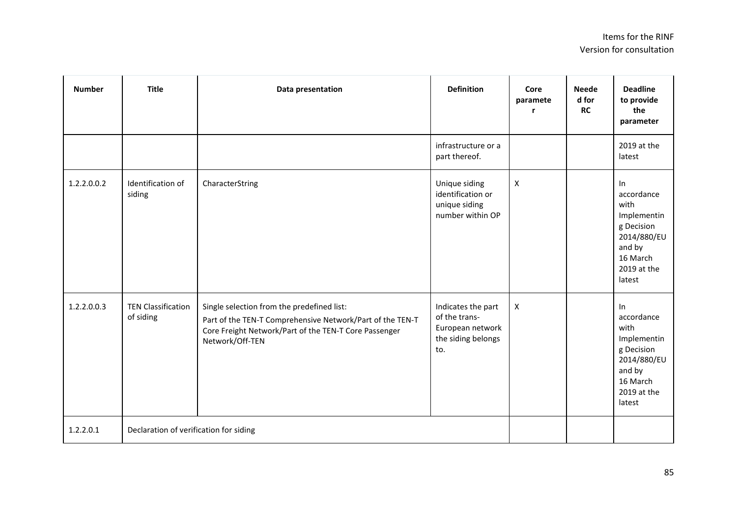| <b>Number</b> | <b>Title</b>                           | Data presentation                                                                                                                                                                   | <b>Definition</b>                                                                    | Core<br>paramete          | <b>Neede</b><br>d for<br><b>RC</b> | <b>Deadline</b><br>to provide<br>the<br>parameter                                                                      |
|---------------|----------------------------------------|-------------------------------------------------------------------------------------------------------------------------------------------------------------------------------------|--------------------------------------------------------------------------------------|---------------------------|------------------------------------|------------------------------------------------------------------------------------------------------------------------|
|               |                                        |                                                                                                                                                                                     | infrastructure or a<br>part thereof.                                                 |                           |                                    | 2019 at the<br>latest                                                                                                  |
| 1.2.2.0.0.2   | Identification of<br>siding            | CharacterString                                                                                                                                                                     | Unique siding<br>identification or<br>unique siding<br>number within OP              | $\pmb{\mathsf{X}}$        |                                    | In<br>accordance<br>with<br>Implementin<br>g Decision<br>2014/880/EU<br>and by<br>16 March<br>2019 at the<br>latest    |
| 1.2.2.0.0.3   | <b>TEN Classification</b><br>of siding | Single selection from the predefined list:<br>Part of the TEN-T Comprehensive Network/Part of the TEN-T<br>Core Freight Network/Part of the TEN-T Core Passenger<br>Network/Off-TEN | Indicates the part<br>of the trans-<br>European network<br>the siding belongs<br>to. | $\boldsymbol{\mathsf{X}}$ |                                    | $\ln$<br>accordance<br>with<br>Implementin<br>g Decision<br>2014/880/EU<br>and by<br>16 March<br>2019 at the<br>latest |
| 1.2.2.0.1     | Declaration of verification for siding |                                                                                                                                                                                     |                                                                                      |                           |                                    |                                                                                                                        |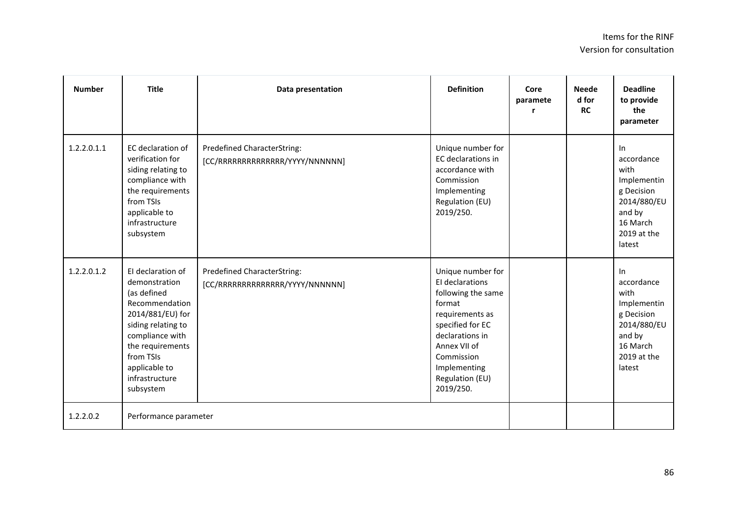| <b>Number</b> | <b>Title</b>                                                                                                                                                                                                      | Data presentation                                              | <b>Definition</b>                                                                                                                                                                                            | Core<br>paramete<br>r | <b>Neede</b><br>d for<br><b>RC</b> | <b>Deadline</b><br>to provide<br>the<br>parameter                                                                   |
|---------------|-------------------------------------------------------------------------------------------------------------------------------------------------------------------------------------------------------------------|----------------------------------------------------------------|--------------------------------------------------------------------------------------------------------------------------------------------------------------------------------------------------------------|-----------------------|------------------------------------|---------------------------------------------------------------------------------------------------------------------|
| 1.2.2.0.1.1   | EC declaration of<br>verification for<br>siding relating to<br>compliance with<br>the requirements<br>from TSIs<br>applicable to<br>infrastructure<br>subsystem                                                   | Predefined CharacterString:<br>[CC/RRRRRRRRRRRRRR/YYYY/NNNNNN] | Unique number for<br>EC declarations in<br>accordance with<br>Commission<br>Implementing<br>Regulation (EU)<br>2019/250.                                                                                     |                       |                                    | In<br>accordance<br>with<br>Implementin<br>g Decision<br>2014/880/EU<br>and by<br>16 March<br>2019 at the<br>latest |
| 1.2.2.0.1.2   | El declaration of<br>demonstration<br>(as defined<br>Recommendation<br>2014/881/EU) for<br>siding relating to<br>compliance with<br>the requirements<br>from TSIs<br>applicable to<br>infrastructure<br>subsystem | Predefined CharacterString:<br>[CC/RRRRRRRRRRRRRR/YYYY/NNNNNN] | Unique number for<br>El declarations<br>following the same<br>format<br>requirements as<br>specified for EC<br>declarations in<br>Annex VII of<br>Commission<br>Implementing<br>Regulation (EU)<br>2019/250. |                       |                                    | In<br>accordance<br>with<br>Implementin<br>g Decision<br>2014/880/EU<br>and by<br>16 March<br>2019 at the<br>latest |
| 1.2.2.0.2     | Performance parameter                                                                                                                                                                                             |                                                                |                                                                                                                                                                                                              |                       |                                    |                                                                                                                     |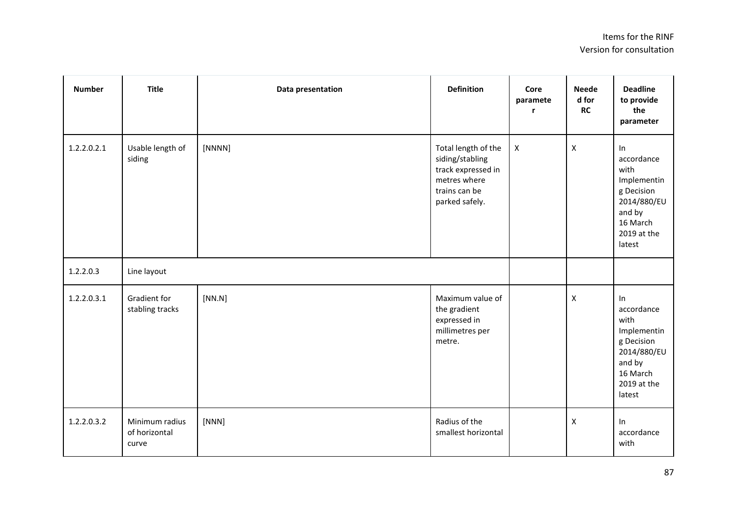| <b>Number</b> | <b>Title</b>                             | Data presentation | <b>Definition</b>                                                                                               | Core<br>paramete<br>r. | <b>Neede</b><br>d for<br>RC | <b>Deadline</b><br>to provide<br>the<br>parameter                                                                      |
|---------------|------------------------------------------|-------------------|-----------------------------------------------------------------------------------------------------------------|------------------------|-----------------------------|------------------------------------------------------------------------------------------------------------------------|
| 1.2.2.0.2.1   | Usable length of<br>siding               | [NNNN]            | Total length of the<br>siding/stabling<br>track expressed in<br>metres where<br>trains can be<br>parked safely. | $\pmb{\times}$         | $\pmb{\mathsf{X}}$          | In<br>accordance<br>with<br>Implementin<br>g Decision<br>2014/880/EU<br>and by<br>16 March<br>2019 at the<br>latest    |
| 1.2.2.0.3     | Line layout                              |                   |                                                                                                                 |                        |                             |                                                                                                                        |
| 1.2.2.0.3.1   | Gradient for<br>stabling tracks          | [NN.N]            | Maximum value of<br>the gradient<br>expressed in<br>millimetres per<br>metre.                                   |                        | $\pmb{\times}$              | $\ln$<br>accordance<br>with<br>Implementin<br>g Decision<br>2014/880/EU<br>and by<br>16 March<br>2019 at the<br>latest |
| 1.2.2.0.3.2   | Minimum radius<br>of horizontal<br>curve | [NNN]             | Radius of the<br>smallest horizontal                                                                            |                        | $\pmb{\times}$              | ln<br>accordance<br>with                                                                                               |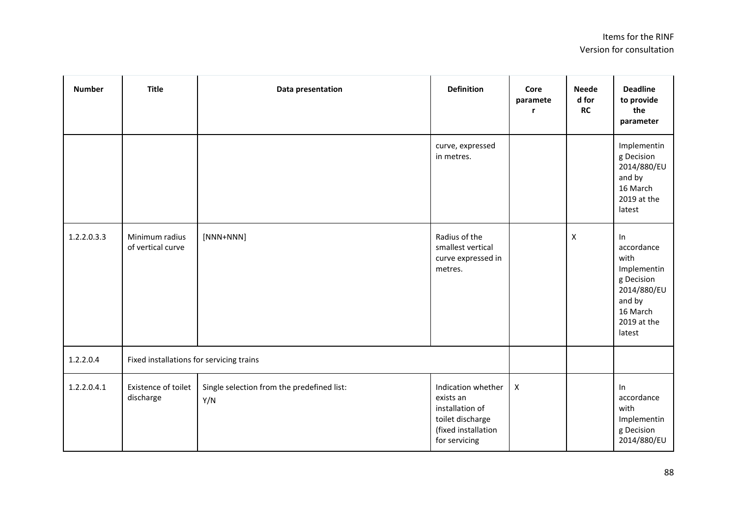| <b>Number</b> | <b>Title</b>                             | Data presentation                                 | <b>Definition</b>                                                                                              | Core<br>paramete          | <b>Neede</b><br>d for<br><b>RC</b> | <b>Deadline</b><br>to provide<br>the<br>parameter                                                                   |
|---------------|------------------------------------------|---------------------------------------------------|----------------------------------------------------------------------------------------------------------------|---------------------------|------------------------------------|---------------------------------------------------------------------------------------------------------------------|
|               |                                          |                                                   | curve, expressed<br>in metres.                                                                                 |                           |                                    | Implementin<br>g Decision<br>2014/880/EU<br>and by<br>16 March<br>2019 at the<br>latest                             |
| 1.2.2.0.3.3   | Minimum radius<br>of vertical curve      | $[NNN+NNN]$                                       | Radius of the<br>smallest vertical<br>curve expressed in<br>metres.                                            |                           | $\pmb{\mathsf{X}}$                 | In<br>accordance<br>with<br>Implementin<br>g Decision<br>2014/880/EU<br>and by<br>16 March<br>2019 at the<br>latest |
| 1.2.2.0.4     | Fixed installations for servicing trains |                                                   |                                                                                                                |                           |                                    |                                                                                                                     |
| 1.2.2.0.4.1   | Existence of toilet<br>discharge         | Single selection from the predefined list:<br>Y/N | Indication whether<br>exists an<br>installation of<br>toilet discharge<br>(fixed installation<br>for servicing | $\boldsymbol{\mathsf{X}}$ |                                    | In<br>accordance<br>with<br>Implementin<br>g Decision<br>2014/880/EU                                                |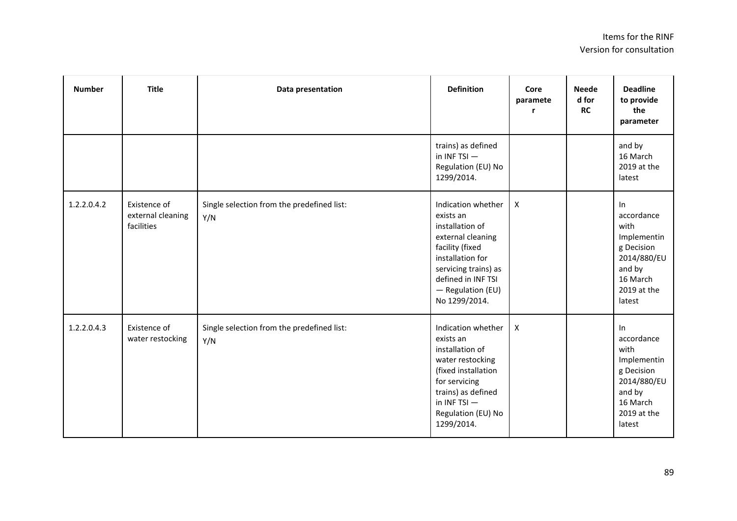| <b>Number</b> | <b>Title</b>                                    | Data presentation                                 | <b>Definition</b>                                                                                                                                                                                  | Core<br>paramete<br>r | <b>Neede</b><br>d for<br><b>RC</b> | <b>Deadline</b><br>to provide<br>the<br>parameter                                                                   |
|---------------|-------------------------------------------------|---------------------------------------------------|----------------------------------------------------------------------------------------------------------------------------------------------------------------------------------------------------|-----------------------|------------------------------------|---------------------------------------------------------------------------------------------------------------------|
|               |                                                 |                                                   | trains) as defined<br>in INF TSI $-$<br>Regulation (EU) No<br>1299/2014.                                                                                                                           |                       |                                    | and by<br>16 March<br>2019 at the<br>latest                                                                         |
| 1.2.2.0.4.2   | Existence of<br>external cleaning<br>facilities | Single selection from the predefined list:<br>Y/N | Indication whether<br>exists an<br>installation of<br>external cleaning<br>facility (fixed<br>installation for<br>servicing trains) as<br>defined in INF TSI<br>- Regulation (EU)<br>No 1299/2014. | X                     |                                    | ln<br>accordance<br>with<br>Implementin<br>g Decision<br>2014/880/EU<br>and by<br>16 March<br>2019 at the<br>latest |
| 1.2.2.0.4.3   | Existence of<br>water restocking                | Single selection from the predefined list:<br>Y/N | Indication whether<br>exists an<br>installation of<br>water restocking<br>(fixed installation<br>for servicing<br>trains) as defined<br>in INF TSI $-$<br>Regulation (EU) No<br>1299/2014.         | $\mathsf{X}$          |                                    | ln<br>accordance<br>with<br>Implementin<br>g Decision<br>2014/880/EU<br>and by<br>16 March<br>2019 at the<br>latest |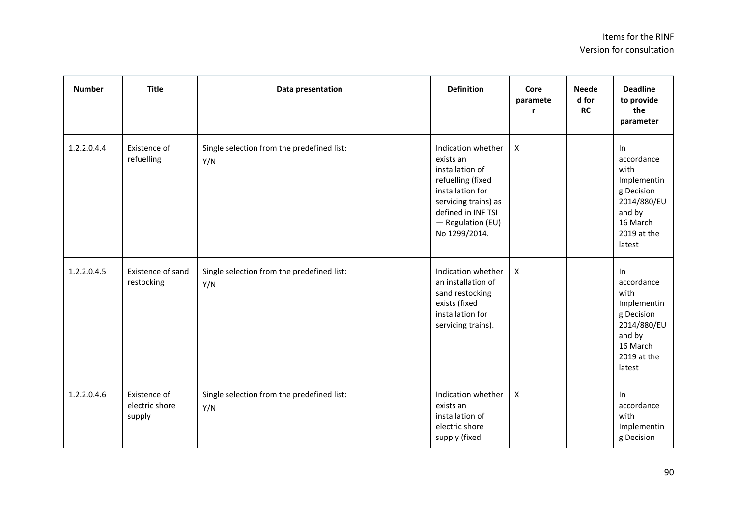| <b>Number</b> | <b>Title</b>                             | Data presentation                                 | <b>Definition</b>                                                                                                                                                               | Core<br>paramete<br>r     | <b>Neede</b><br>d for<br><b>RC</b> | <b>Deadline</b><br>to provide<br>the<br>parameter                                                                   |
|---------------|------------------------------------------|---------------------------------------------------|---------------------------------------------------------------------------------------------------------------------------------------------------------------------------------|---------------------------|------------------------------------|---------------------------------------------------------------------------------------------------------------------|
| 1.2.2.0.4.4   | Existence of<br>refuelling               | Single selection from the predefined list:<br>Y/N | Indication whether<br>exists an<br>installation of<br>refuelling (fixed<br>installation for<br>servicing trains) as<br>defined in INF TSI<br>- Regulation (EU)<br>No 1299/2014. | $\boldsymbol{X}$          |                                    | In<br>accordance<br>with<br>Implementin<br>g Decision<br>2014/880/EU<br>and by<br>16 March<br>2019 at the<br>latest |
| 1.2.2.0.4.5   | Existence of sand<br>restocking          | Single selection from the predefined list:<br>Y/N | Indication whether<br>an installation of<br>sand restocking<br>exists (fixed<br>installation for<br>servicing trains).                                                          | $\boldsymbol{\mathsf{X}}$ |                                    | In<br>accordance<br>with<br>Implementin<br>g Decision<br>2014/880/EU<br>and by<br>16 March<br>2019 at the<br>latest |
| 1.2.2.0.4.6   | Existence of<br>electric shore<br>supply | Single selection from the predefined list:<br>Y/N | Indication whether<br>exists an<br>installation of<br>electric shore<br>supply (fixed                                                                                           | $\pmb{\times}$            |                                    | In<br>accordance<br>with<br>Implementin<br>g Decision                                                               |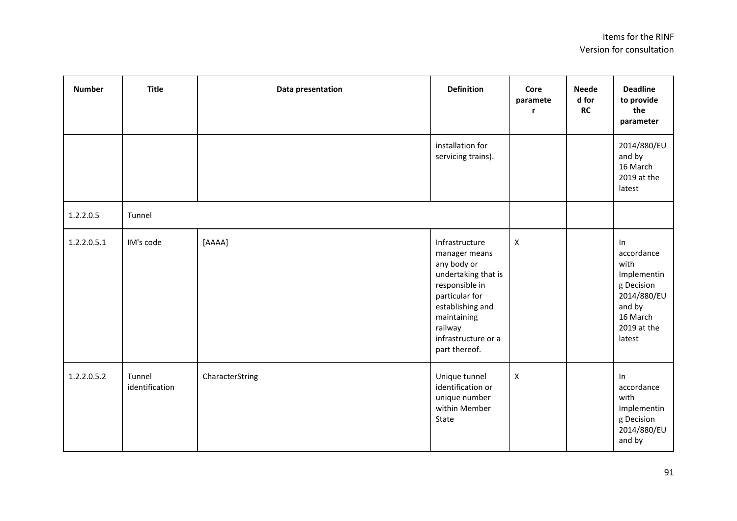| <b>Number</b> | <b>Title</b>             | Data presentation | <b>Definition</b>                                                                                                                                                                               | Core<br>paramete<br>r | <b>Neede</b><br>d for<br>RC | <b>Deadline</b><br>to provide<br>the<br>parameter                                                                   |
|---------------|--------------------------|-------------------|-------------------------------------------------------------------------------------------------------------------------------------------------------------------------------------------------|-----------------------|-----------------------------|---------------------------------------------------------------------------------------------------------------------|
|               |                          |                   | installation for<br>servicing trains).                                                                                                                                                          |                       |                             | 2014/880/EU<br>and by<br>16 March<br>2019 at the<br>latest                                                          |
| 1.2.2.0.5     | Tunnel                   |                   |                                                                                                                                                                                                 |                       |                             |                                                                                                                     |
| 1.2.2.0.5.1   | IM's code                | [AAAA]            | Infrastructure<br>manager means<br>any body or<br>undertaking that is<br>responsible in<br>particular for<br>establishing and<br>maintaining<br>railway<br>infrastructure or a<br>part thereof. | $\pmb{\times}$        |                             | In<br>accordance<br>with<br>Implementin<br>g Decision<br>2014/880/EU<br>and by<br>16 March<br>2019 at the<br>latest |
| 1.2.2.0.5.2   | Tunnel<br>identification | CharacterString   | Unique tunnel<br>identification or<br>unique number<br>within Member<br>State                                                                                                                   | $\pmb{\times}$        |                             | In<br>accordance<br>with<br>Implementin<br>g Decision<br>2014/880/EU<br>and by                                      |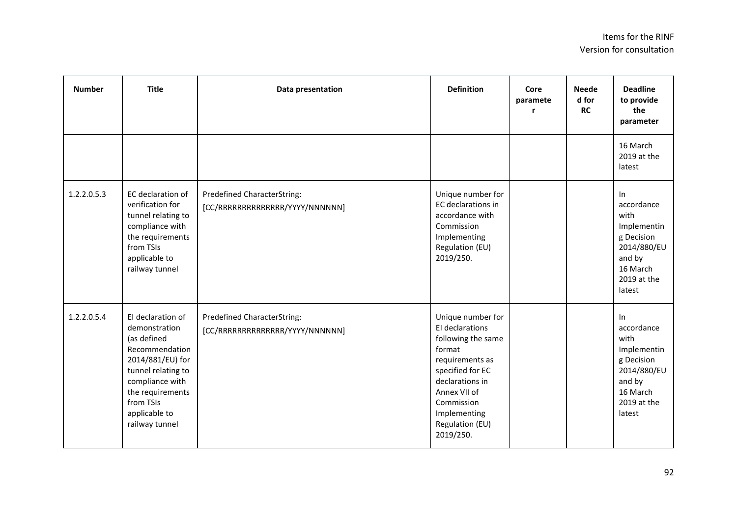| <b>Number</b> | <b>Title</b>                                                                                                                                                                                         | Data presentation                                                     | <b>Definition</b>                                                                                                                                                                                            | Core<br>paramete | <b>Neede</b><br>d for<br><b>RC</b> | <b>Deadline</b><br>to provide<br>the<br>parameter                                                                      |
|---------------|------------------------------------------------------------------------------------------------------------------------------------------------------------------------------------------------------|-----------------------------------------------------------------------|--------------------------------------------------------------------------------------------------------------------------------------------------------------------------------------------------------------|------------------|------------------------------------|------------------------------------------------------------------------------------------------------------------------|
|               |                                                                                                                                                                                                      |                                                                       |                                                                                                                                                                                                              |                  |                                    | 16 March<br>2019 at the<br>latest                                                                                      |
| 1.2.2.0.5.3   | EC declaration of<br>verification for<br>tunnel relating to<br>compliance with<br>the requirements<br>from TSIs<br>applicable to<br>railway tunnel                                                   | <b>Predefined CharacterString:</b><br>[CC/RRRRRRRRRRRRRR/YYYY/NNNNNN] | Unique number for<br>EC declarations in<br>accordance with<br>Commission<br>Implementing<br>Regulation (EU)<br>2019/250.                                                                                     |                  |                                    | $\ln$<br>accordance<br>with<br>Implementin<br>g Decision<br>2014/880/EU<br>and by<br>16 March<br>2019 at the<br>latest |
| 1.2.2.0.5.4   | El declaration of<br>demonstration<br>(as defined<br>Recommendation<br>2014/881/EU) for<br>tunnel relating to<br>compliance with<br>the requirements<br>from TSIs<br>applicable to<br>railway tunnel | <b>Predefined CharacterString:</b><br>[CC/RRRRRRRRRRRRRR/YYYY/NNNNNN] | Unique number for<br>El declarations<br>following the same<br>format<br>requirements as<br>specified for EC<br>declarations in<br>Annex VII of<br>Commission<br>Implementing<br>Regulation (EU)<br>2019/250. |                  |                                    | In<br>accordance<br>with<br>Implementin<br>g Decision<br>2014/880/EU<br>and by<br>16 March<br>2019 at the<br>latest    |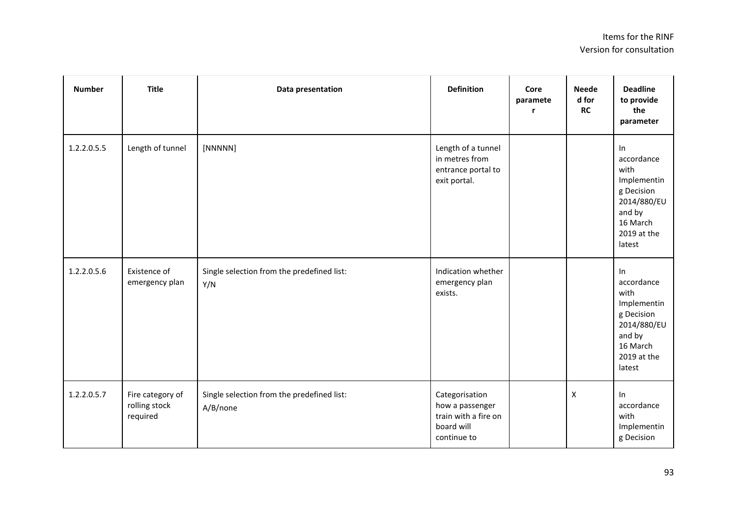| <b>Number</b> | <b>Title</b>                                  | Data presentation                                      | <b>Definition</b>                                                                      | Core<br>paramete<br>r | <b>Neede</b><br>d for<br><b>RC</b> | <b>Deadline</b><br>to provide<br>the<br>parameter                                                                   |
|---------------|-----------------------------------------------|--------------------------------------------------------|----------------------------------------------------------------------------------------|-----------------------|------------------------------------|---------------------------------------------------------------------------------------------------------------------|
| 1.2.2.0.5.5   | Length of tunnel                              | [NNNNN]                                                | Length of a tunnel<br>in metres from<br>entrance portal to<br>exit portal.             |                       |                                    | In<br>accordance<br>with<br>Implementin<br>g Decision<br>2014/880/EU<br>and by<br>16 March<br>2019 at the<br>latest |
| 1.2.2.0.5.6   | Existence of<br>emergency plan                | Single selection from the predefined list:<br>Y/N      | Indication whether<br>emergency plan<br>exists.                                        |                       |                                    | In<br>accordance<br>with<br>Implementin<br>g Decision<br>2014/880/EU<br>and by<br>16 March<br>2019 at the<br>latest |
| 1.2.2.0.5.7   | Fire category of<br>rolling stock<br>required | Single selection from the predefined list:<br>A/B/none | Categorisation<br>how a passenger<br>train with a fire on<br>board will<br>continue to |                       | $\mathsf{X}$                       | In<br>accordance<br>with<br>Implementin<br>g Decision                                                               |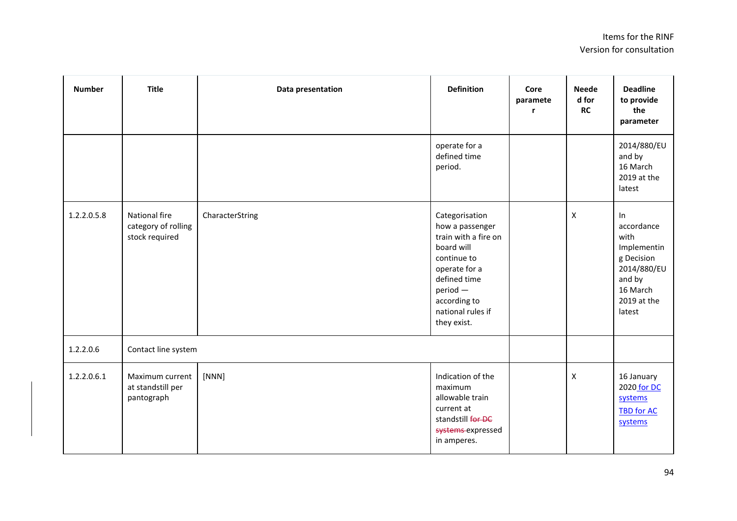| <b>Number</b> | <b>Title</b>                                           | Data presentation | <b>Definition</b>                                                                                                                                                                         | Core<br>paramete | <b>Neede</b><br>d for<br><b>RC</b> | <b>Deadline</b><br>to provide<br>the<br>parameter                                                                   |
|---------------|--------------------------------------------------------|-------------------|-------------------------------------------------------------------------------------------------------------------------------------------------------------------------------------------|------------------|------------------------------------|---------------------------------------------------------------------------------------------------------------------|
|               |                                                        |                   | operate for a<br>defined time<br>period.                                                                                                                                                  |                  |                                    | 2014/880/EU<br>and by<br>16 March<br>2019 at the<br>latest                                                          |
| 1.2.2.0.5.8   | National fire<br>category of rolling<br>stock required | CharacterString   | Categorisation<br>how a passenger<br>train with a fire on<br>board will<br>continue to<br>operate for a<br>defined time<br>$period -$<br>according to<br>national rules if<br>they exist. |                  | X                                  | In<br>accordance<br>with<br>Implementin<br>g Decision<br>2014/880/EU<br>and by<br>16 March<br>2019 at the<br>latest |
| 1.2.2.0.6     | Contact line system                                    |                   |                                                                                                                                                                                           |                  |                                    |                                                                                                                     |
| 1.2.2.0.6.1   | Maximum current<br>at standstill per<br>pantograph     | [NNN]             | Indication of the<br>maximum<br>allowable train<br>current at<br>standstill for DC<br>systems expressed<br>in amperes.                                                                    |                  | X                                  | 16 January<br>2020 for DC<br>systems<br><b>TBD for AC</b><br>systems                                                |